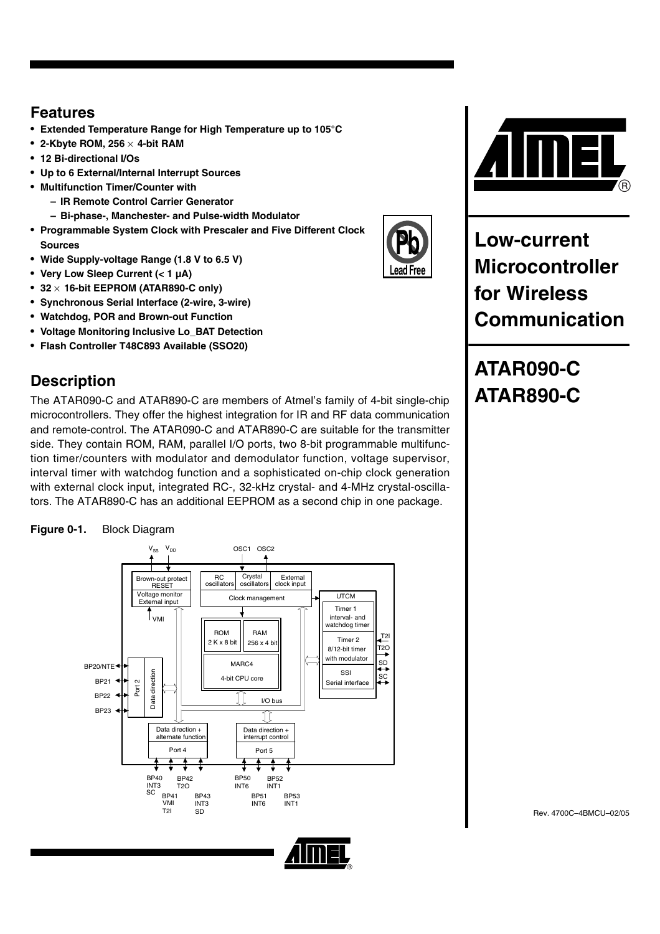## **Features**

- **Extended Temperature Range for High Temperature up to 105°C**
- **2-Kbyte ROM, 256** × **4-bit RAM**
- **12 Bi-directional I/Os**
- **Up to 6 External/Internal Interrupt Sources**
- **Multifunction Timer/Counter with**
	- **IR Remote Control Carrier Generator**
	- **Bi-phase-, Manchester- and Pulse-width Modulator**
- **Programmable System Clock with Prescaler and Five Different Clock Sources**
- **Wide Supply-voltage Range (1.8 V to 6.5 V)**
- **Very Low Sleep Current (< 1 µA)**
- **32** × **16-bit EEPROM (ATAR890-C only)**
- **Synchronous Serial Interface (2-wire, 3-wire)**
- **Watchdog, POR and Brown-out Function**
- **Voltage Monitoring Inclusive Lo\_BAT Detection**
- **Flash Controller T48C893 Available (SSO20)**

# **Description**

The ATAR090-C and ATAR890-C are members of Atmel's family of 4-bit single-chip microcontrollers. They offer the highest integration for IR and RF data communication and remote-control. The ATAR090-C and ATAR890-C are suitable for the transmitter side. They contain ROM, RAM, parallel I/O ports, two 8-bit programmable multifunction timer/counters with modulator and demodulator function, voltage supervisor, interval timer with watchdog function and a sophisticated on-chip clock generation with external clock input, integrated RC-, 32-kHz crystal- and 4-MHz crystal-oscillators. The ATAR890-C has an additional EEPROM as a second chip in one package.







**Low-current Microcontroller for Wireless Communication**

ead Free\_

# **ATAR090-C ATAR890-C**

Rev. 4700C–4BMCU–02/05

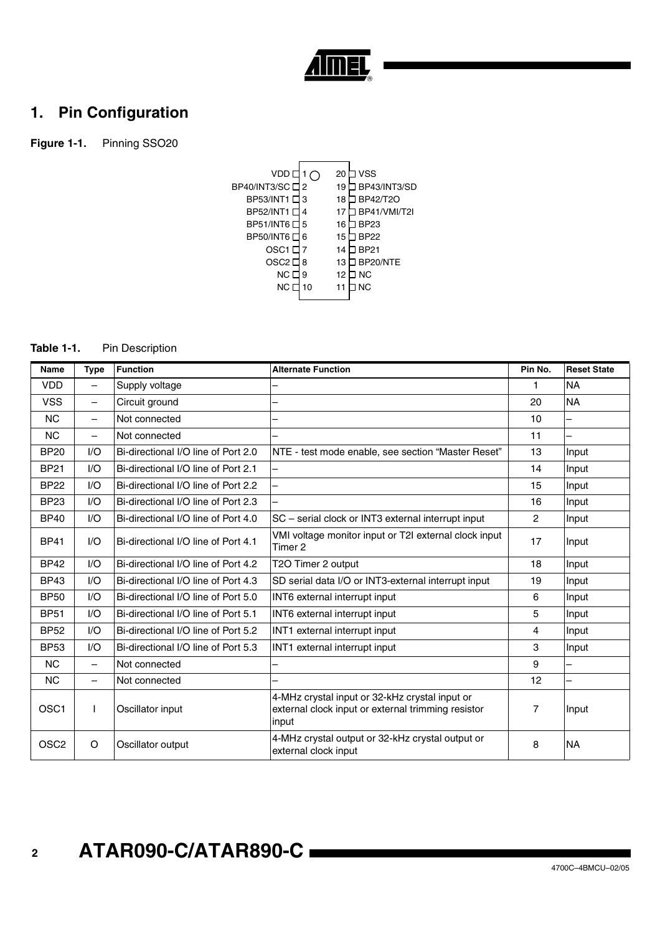

## **1. Pin Configuration**

**Figure 1-1.** Pinning SSO20



## **Table 1-1.** Pin Description

| <b>Name</b>      | <b>Type</b>              | <b>Function</b>                     | <b>Alternate Function</b>                                                                                     | Pin No.        | <b>Reset State</b> |
|------------------|--------------------------|-------------------------------------|---------------------------------------------------------------------------------------------------------------|----------------|--------------------|
| <b>VDD</b>       |                          | Supply voltage                      |                                                                                                               | 1              | <b>NA</b>          |
| <b>VSS</b>       | $\overline{\phantom{0}}$ | Circuit ground                      | ۰                                                                                                             | 20             | <b>NA</b>          |
| <b>NC</b>        | $\overline{\phantom{0}}$ | Not connected                       |                                                                                                               | 10             |                    |
| <b>NC</b>        |                          | Not connected                       |                                                                                                               | 11             |                    |
| <b>BP20</b>      | 1/O                      | Bi-directional I/O line of Port 2.0 | NTE - test mode enable, see section "Master Reset"                                                            | 13             | Input              |
| <b>BP21</b>      | 1/O                      | Bi-directional I/O line of Port 2.1 | —                                                                                                             | 14             | Input              |
| <b>BP22</b>      | I/O                      | Bi-directional I/O line of Port 2.2 |                                                                                                               | 15             | Input              |
| <b>BP23</b>      | 1/O                      | Bi-directional I/O line of Port 2.3 |                                                                                                               | 16             | Input              |
| <b>BP40</b>      | I/O                      | Bi-directional I/O line of Port 4.0 | SC - serial clock or INT3 external interrupt input                                                            | $\overline{2}$ | Input              |
| <b>BP41</b>      | 1/O                      | Bi-directional I/O line of Port 4.1 | VMI voltage monitor input or T2I external clock input<br>Timer 2                                              | 17             | Input              |
| <b>BP42</b>      | 1/O                      | Bi-directional I/O line of Port 4.2 | T2O Timer 2 output                                                                                            | 18             | Input              |
| <b>BP43</b>      | 1/O                      | Bi-directional I/O line of Port 4.3 | SD serial data I/O or INT3-external interrupt input                                                           | 19             | Input              |
| <b>BP50</b>      | 1/O                      | Bi-directional I/O line of Port 5.0 | INT6 external interrupt input                                                                                 | 6              | Input              |
| <b>BP51</b>      | I/O                      | Bi-directional I/O line of Port 5.1 | INT6 external interrupt input                                                                                 | 5              | Input              |
| <b>BP52</b>      | 1/O                      | Bi-directional I/O line of Port 5.2 | INT1 external interrupt input                                                                                 | 4              | Input              |
| <b>BP53</b>      | I/O                      | Bi-directional I/O line of Port 5.3 | INT1 external interrupt input                                                                                 | 3              | Input              |
| <b>NC</b>        | $\overline{\phantom{0}}$ | Not connected                       |                                                                                                               | 9              |                    |
| <b>NC</b>        |                          | Not connected                       | ٠                                                                                                             | 12             |                    |
| OSC <sub>1</sub> |                          | Oscillator input                    | 4-MHz crystal input or 32-kHz crystal input or<br>external clock input or external trimming resistor<br>input | 7              | Input              |
| OSC <sub>2</sub> | $\circ$                  | Oscillator output                   | 4-MHz crystal output or 32-kHz crystal output or<br>external clock input                                      | 8              | <b>NA</b>          |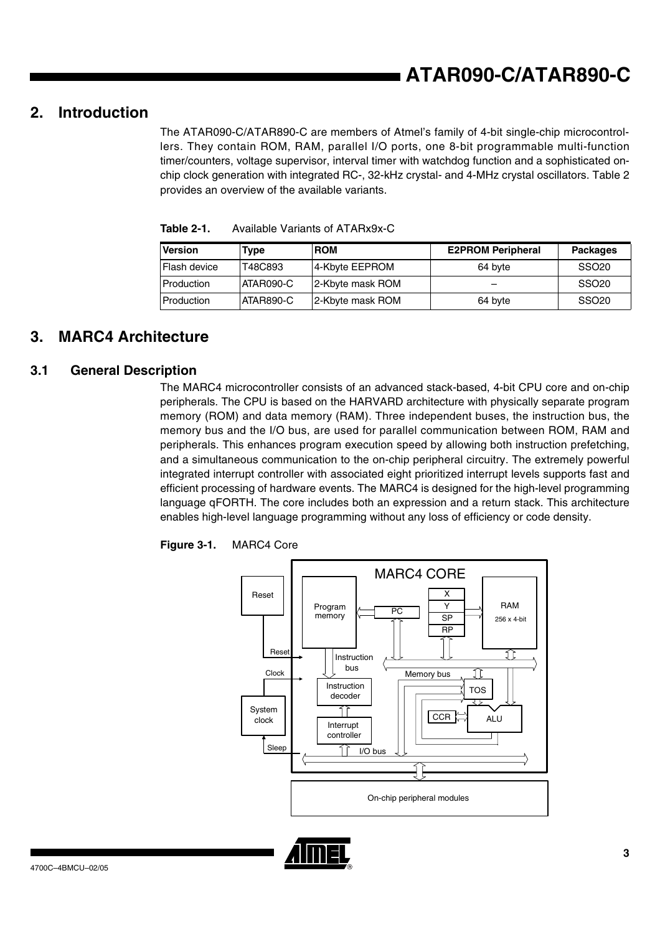## **2. Introduction**

The ATAR090-C/ATAR890-C are members of Atmel's family of 4-bit single-chip microcontrollers. They contain ROM, RAM, parallel I/O ports, one 8-bit programmable multi-function timer/counters, voltage supervisor, interval timer with watchdog function and a sophisticated onchip clock generation with integrated RC-, 32-kHz crystal- and 4-MHz crystal oscillators. Table 2 provides an overview of the available variants.

| <b>Version</b> | Type      | <b>ROM</b>       | <b>E2PROM Peripheral</b> | <b>Packages</b>   |
|----------------|-----------|------------------|--------------------------|-------------------|
| Flash device   | T48C893   | 4-Kbyte EEPROM   | 64 byte                  | SSO <sub>20</sub> |
| Production     | ATAR090-C | 2-Kbyte mask ROM |                          | SSO <sub>20</sub> |
| Production     | ATAR890-C | 2-Kbyte mask ROM | 64 byte                  | SSO <sub>20</sub> |

<span id="page-2-0"></span>**Table 2-1.** Available Variants of ATARx9x-C

## **3. MARC4 Architecture**

## **3.1 General Description**

The MARC4 microcontroller consists of an advanced stack-based, 4-bit CPU core and on-chip peripherals. The CPU is based on the HARVARD architecture with physically separate program memory (ROM) and data memory (RAM). Three independent buses, the instruction bus, the memory bus and the I/O bus, are used for parallel communication between ROM, RAM and peripherals. This enhances program execution speed by allowing both instruction prefetching, and a simultaneous communication to the on-chip peripheral circuitry. The extremely powerful integrated interrupt controller with associated eight prioritized interrupt levels supports fast and efficient processing of hardware events. The MARC4 is designed for the high-level programming language qFORTH. The core includes both an expression and a return stack. This architecture enables high-level language programming without any loss of efficiency or code density.



**Figure 3-1.** MARC4 Core

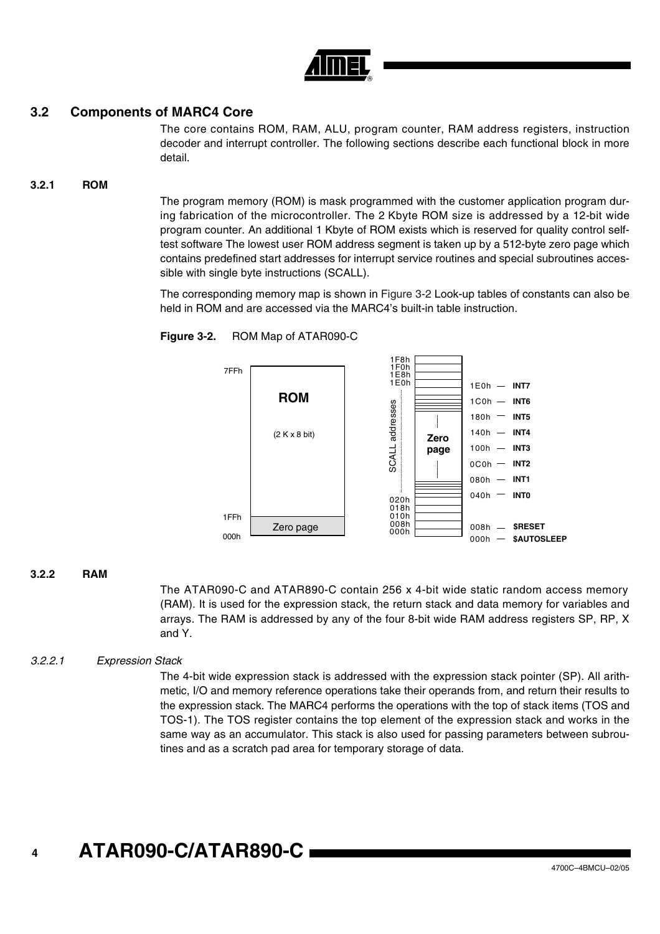

## **3.2 Components of MARC4 Core**

The core contains ROM, RAM, ALU, program counter, RAM address registers, instruction decoder and interrupt controller. The following sections describe each functional block in more detail.

### **3.2.1 ROM**

The program memory (ROM) is mask programmed with the customer application program during fabrication of the microcontroller. The 2 Kbyte ROM size is addressed by a 12-bit wide program counter. An additional 1 Kbyte of ROM exists which is reserved for quality control selftest software The lowest user ROM address segment is taken up by a 512-byte zero page which contains predefined start addresses for interrupt service routines and special subroutines accessible with single byte instructions (SCALL).

The corresponding memory map is shown in [Figure 3-2](#page-3-0) Look-up tables of constants can also be held in ROM and are accessed via the MARC4's built-in table instruction.

<span id="page-3-0"></span>



#### **3.2.2 RAM**

The ATAR090-C and ATAR890-C contain 256 x 4-bit wide static random access memory (RAM). It is used for the expression stack, the return stack and data memory for variables and arrays. The RAM is addressed by any of the four 8-bit wide RAM address registers SP, RP, X and Y.

### *3.2.2.1 Expression Stack*

The 4-bit wide expression stack is addressed with the expression stack pointer (SP). All arithmetic, I/O and memory reference operations take their operands from, and return their results to the expression stack. The MARC4 performs the operations with the top of stack items (TOS and TOS-1). The TOS register contains the top element of the expression stack and works in the same way as an accumulator. This stack is also used for passing parameters between subroutines and as a scratch pad area for temporary storage of data.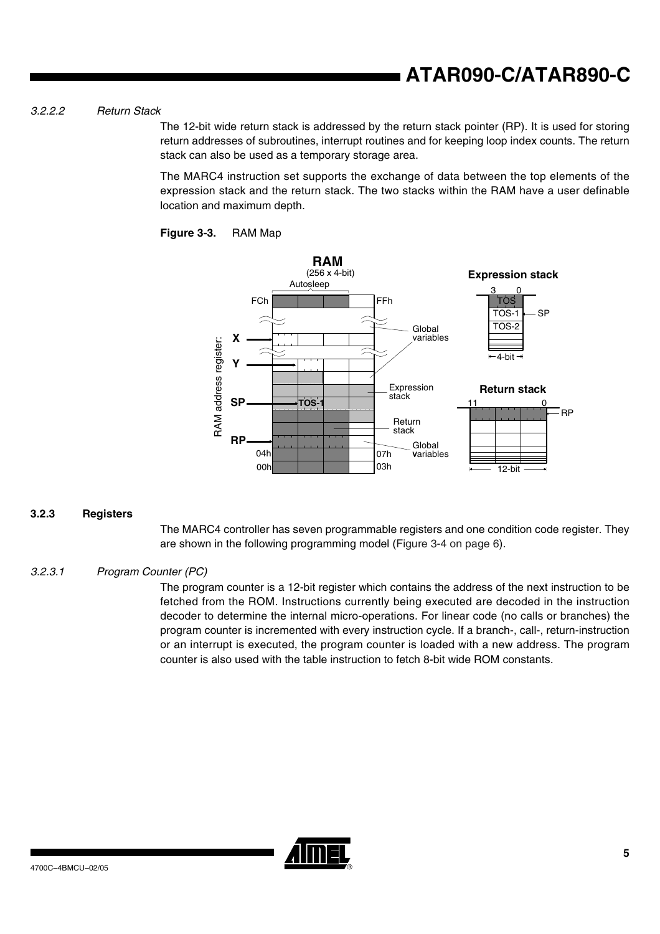## *3.2.2.2 Return Stack*

The 12-bit wide return stack is addressed by the return stack pointer (RP). It is used for storing return addresses of subroutines, interrupt routines and for keeping loop index counts. The return stack can also be used as a temporary storage area.

The MARC4 instruction set supports the exchange of data between the top elements of the expression stack and the return stack. The two stacks within the RAM have a user definable location and maximum depth.





### **3.2.3 Registers**

The MARC4 controller has seven programmable registers and one condition code register. They are shown in the following programming model [\(Figure 3-4 on page 6\)](#page-5-0).

### *3.2.3.1 Program Counter (PC)*

The program counter is a 12-bit register which contains the address of the next instruction to be fetched from the ROM. Instructions currently being executed are decoded in the instruction decoder to determine the internal micro-operations. For linear code (no calls or branches) the program counter is incremented with every instruction cycle. If a branch-, call-, return-instruction or an interrupt is executed, the program counter is loaded with a new address. The program counter is also used with the table instruction to fetch 8-bit wide ROM constants.

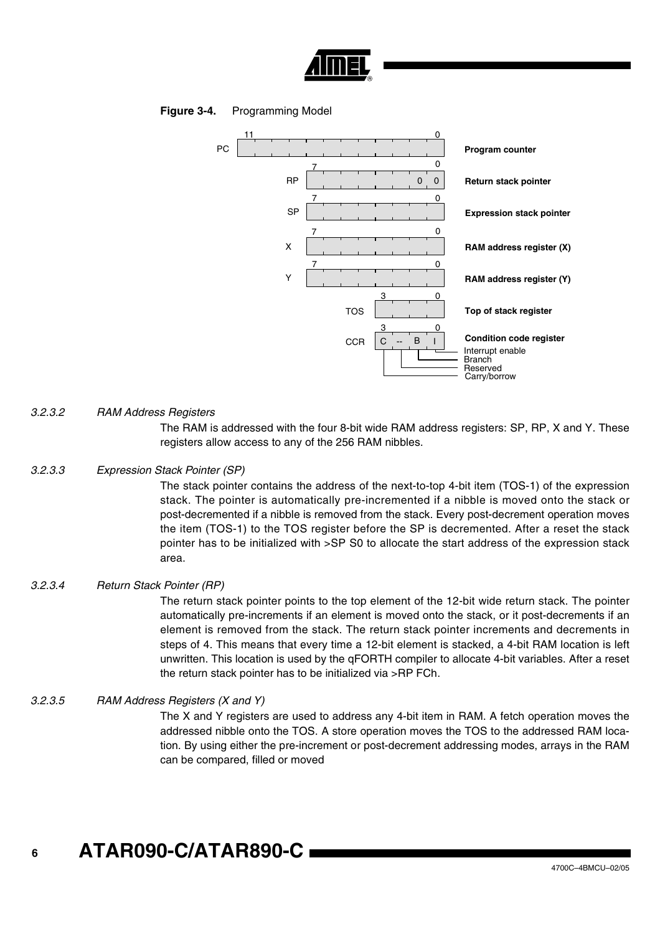

## <span id="page-5-0"></span>**Figure 3-4.** Programming Model



## *3.2.3.2 RAM Address Registers*

The RAM is addressed with the four 8-bit wide RAM address registers: SP, RP, X and Y. These registers allow access to any of the 256 RAM nibbles.

#### *3.2.3.3 Expression Stack Pointer (SP)*

The stack pointer contains the address of the next-to-top 4-bit item (TOS-1) of the expression stack. The pointer is automatically pre-incremented if a nibble is moved onto the stack or post-decremented if a nibble is removed from the stack. Every post-decrement operation moves the item (TOS-1) to the TOS register before the SP is decremented. After a reset the stack pointer has to be initialized with >SP S0 to allocate the start address of the expression stack area.

#### *3.2.3.4 Return Stack Pointer (RP)*

The return stack pointer points to the top element of the 12-bit wide return stack. The pointer automatically pre-increments if an element is moved onto the stack, or it post-decrements if an element is removed from the stack. The return stack pointer increments and decrements in steps of 4. This means that every time a 12-bit element is stacked, a 4-bit RAM location is left unwritten. This location is used by the qFORTH compiler to allocate 4-bit variables. After a reset the return stack pointer has to be initialized via >RP FCh.

### *3.2.3.5 RAM Address Registers (X and Y)*

The X and Y registers are used to address any 4-bit item in RAM. A fetch operation moves the addressed nibble onto the TOS. A store operation moves the TOS to the addressed RAM location. By using either the pre-increment or post-decrement addressing modes, arrays in the RAM can be compared, filled or moved

#### **6 ATAR090-C/ATAR890-C**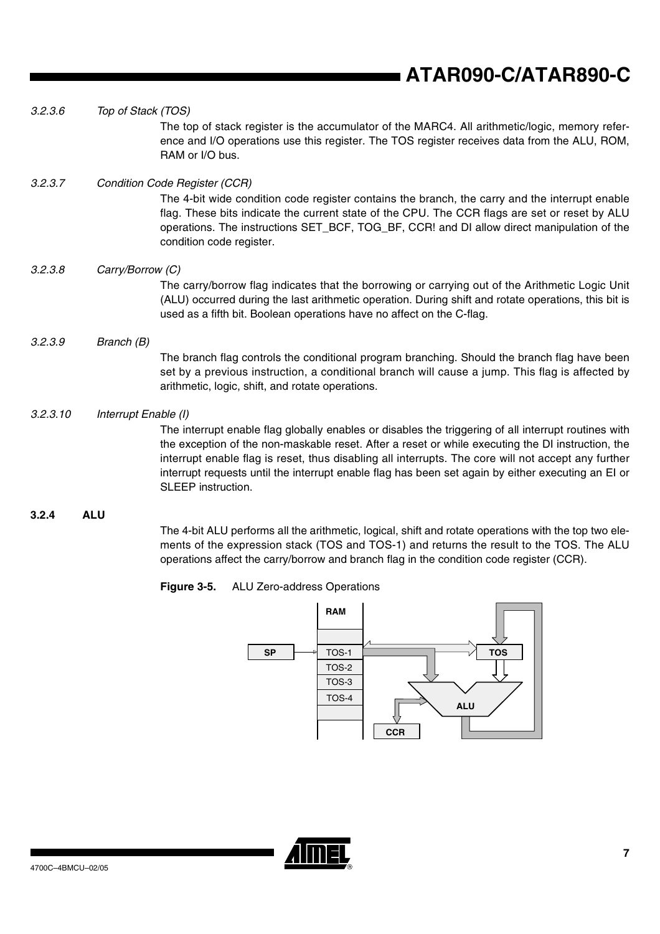| 3.2.4    | <b>ALU</b>                                                                                                                                                                                                                                                                                                                                                                                                                                                           |
|----------|----------------------------------------------------------------------------------------------------------------------------------------------------------------------------------------------------------------------------------------------------------------------------------------------------------------------------------------------------------------------------------------------------------------------------------------------------------------------|
| 3.2.3.10 | Interrupt Enable (I)<br>The interrupt enable flag globally enables or disables the triggering of all interrupt routines with<br>the exception of the non-maskable reset. After a reset or while executing the DI instruction, the<br>interrupt enable flag is reset, thus disabling all interrupts. The core will not accept any further<br>interrupt requests until the interrupt enable flag has been set again by either executing an EI or<br>SLEEP instruction. |
| 3.2.3.9  | Branch (B)<br>The branch flag controls the conditional program branching. Should the branch flag have been<br>set by a previous instruction, a conditional branch will cause a jump. This flag is affected by<br>arithmetic, logic, shift, and rotate operations.                                                                                                                                                                                                    |
| 3.2.3.8  | Carry/Borrow (C)<br>The carry/borrow flag indicates that the borrowing or carrying out of the Arithmetic Logic Unit<br>(ALU) occurred during the last arithmetic operation. During shift and rotate operations, this bit is<br>used as a fifth bit. Boolean operations have no affect on the C-flag.                                                                                                                                                                 |
| 3.2.3.7  | <b>Condition Code Register (CCR)</b><br>The 4-bit wide condition code register contains the branch, the carry and the interrupt enable<br>flag. These bits indicate the current state of the CPU. The CCR flags are set or reset by ALU<br>operations. The instructions SET_BCF, TOG_BF, CCR! and DI allow direct manipulation of the<br>condition code register.                                                                                                    |
| 3.2.3.6  | Top of Stack (TOS)<br>The top of stack register is the accumulator of the MARC4. All arithmetic/logic, memory refer-<br>ence and I/O operations use this register. The TOS register receives data from the ALU, ROM,<br>RAM or I/O bus.                                                                                                                                                                                                                              |

The 4-bit ALU performs all the arithmetic, logical, shift and rotate operations with the top two elements of the expression stack (TOS and TOS-1) and returns the result to the TOS. The ALU operations affect the carry/borrow and branch flag in the condition code register (CCR).





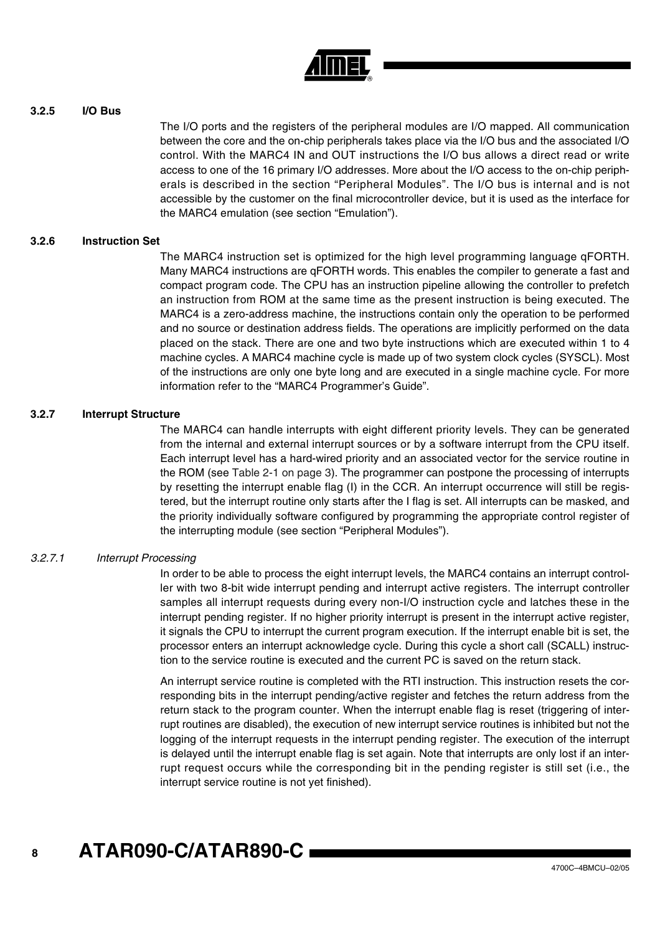

## **3.2.5 I/O Bus**

The I/O ports and the registers of the peripheral modules are I/O mapped. All communication between the core and the on-chip peripherals takes place via the I/O bus and the associated I/O control. With the MARC4 IN and OUT instructions the I/O bus allows a direct read or write access to one of the 16 primary I/O addresses. More about the I/O access to the on-chip peripherals is described in the section "Peripheral Modules". The I/O bus is internal and is not accessible by the customer on the final microcontroller device, but it is used as the interface for the MARC4 emulation (see section "Emulation").

## **3.2.6 Instruction Set**

The MARC4 instruction set is optimized for the high level programming language qFORTH. Many MARC4 instructions are qFORTH words. This enables the compiler to generate a fast and compact program code. The CPU has an instruction pipeline allowing the controller to prefetch an instruction from ROM at the same time as the present instruction is being executed. The MARC4 is a zero-address machine, the instructions contain only the operation to be performed and no source or destination address fields. The operations are implicitly performed on the data placed on the stack. There are one and two byte instructions which are executed within 1 to 4 machine cycles. A MARC4 machine cycle is made up of two system clock cycles (SYSCL). Most of the instructions are only one byte long and are executed in a single machine cycle. For more information refer to the "MARC4 Programmer's Guide".

### **3.2.7 Interrupt Structure**

The MARC4 can handle interrupts with eight different priority levels. They can be generated from the internal and external interrupt sources or by a software interrupt from the CPU itself. Each interrupt level has a hard-wired priority and an associated vector for the service routine in the ROM (see [Table 2-1 on page 3\)](#page-2-0). The programmer can postpone the processing of interrupts by resetting the interrupt enable flag (I) in the CCR. An interrupt occurrence will still be registered, but the interrupt routine only starts after the I flag is set. All interrupts can be masked, and the priority individually software configured by programming the appropriate control register of the interrupting module (see section "Peripheral Modules").

## *3.2.7.1 Interrupt Processing*

In order to be able to process the eight interrupt levels, the MARC4 contains an interrupt controller with two 8-bit wide interrupt pending and interrupt active registers. The interrupt controller samples all interrupt requests during every non-I/O instruction cycle and latches these in the interrupt pending register. If no higher priority interrupt is present in the interrupt active register, it signals the CPU to interrupt the current program execution. If the interrupt enable bit is set, the processor enters an interrupt acknowledge cycle. During this cycle a short call (SCALL) instruction to the service routine is executed and the current PC is saved on the return stack.

An interrupt service routine is completed with the RTI instruction. This instruction resets the corresponding bits in the interrupt pending/active register and fetches the return address from the return stack to the program counter. When the interrupt enable flag is reset (triggering of interrupt routines are disabled), the execution of new interrupt service routines is inhibited but not the logging of the interrupt requests in the interrupt pending register. The execution of the interrupt is delayed until the interrupt enable flag is set again. Note that interrupts are only lost if an interrupt request occurs while the corresponding bit in the pending register is still set (i.e., the interrupt service routine is not yet finished).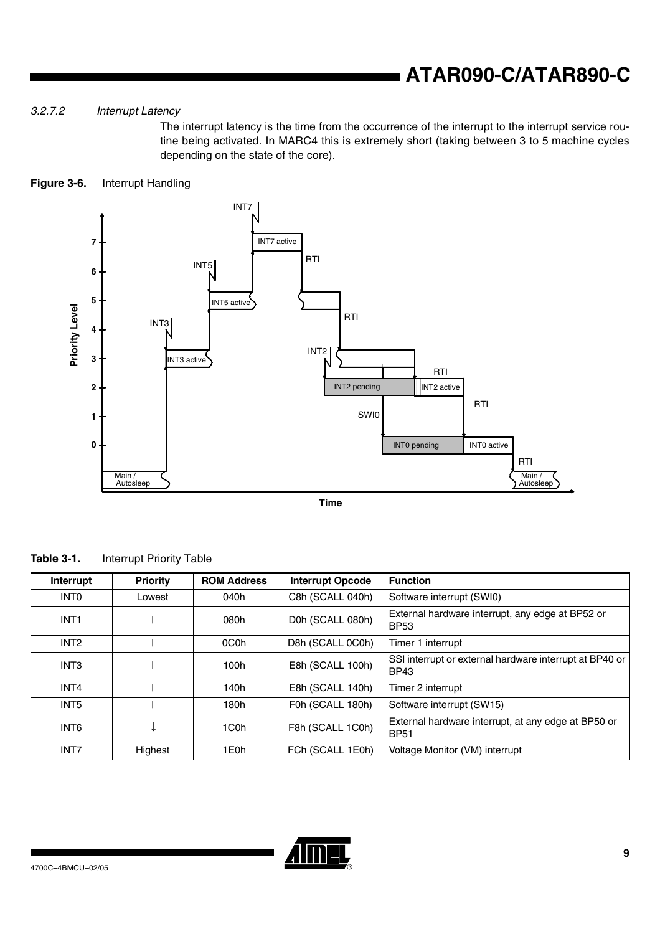## *3.2.7.2 Interrupt Latency*

The interrupt latency is the time from the occurrence of the interrupt to the interrupt service routine being activated. In MARC4 this is extremely short (taking between 3 to 5 machine cycles depending on the state of the core).

## **Figure 3-6.** Interrupt Handling



**Time**

|  | Table 3-1. | <b>Interrupt Priority Table</b> |
|--|------------|---------------------------------|
|--|------------|---------------------------------|

| Interrupt        | <b>Priority</b> | <b>ROM Address</b> | <b>Interrupt Opcode</b>                                                                | <b>Function</b>                                                        |
|------------------|-----------------|--------------------|----------------------------------------------------------------------------------------|------------------------------------------------------------------------|
| <b>INTO</b>      | Lowest          | 040h               | C8h (SCALL 040h)                                                                       | Software interrupt (SWI0)                                              |
| INT <sub>1</sub> |                 | 080h               | External hardware interrupt, any edge at BP52 or<br>D0h (SCALL 080h)<br><b>BP53</b>    |                                                                        |
| INT <sub>2</sub> |                 | 0C <sub>0</sub> h  | D8h (SCALL 0C0h)                                                                       | Timer 1 interrupt                                                      |
| INT <sub>3</sub> |                 | 100h               | E8h (SCALL 100h)                                                                       | SSI interrupt or external hardware interrupt at BP40 or<br><b>BP43</b> |
| INT4             |                 | 140h               | E8h (SCALL 140h)                                                                       | Timer 2 interrupt                                                      |
| INT <sub>5</sub> |                 | 180h               | F0h (SCALL 180h)                                                                       | Software interrupt (SW15)                                              |
| INT <sub>6</sub> | ◡               | 1C <sub>0</sub> h  | External hardware interrupt, at any edge at BP50 or<br>F8h (SCALL 1C0h)<br><b>BP51</b> |                                                                        |
| INT7             | Highest         | 1E0h               | FCh (SCALL 1E0h)                                                                       | Voltage Monitor (VM) interrupt                                         |

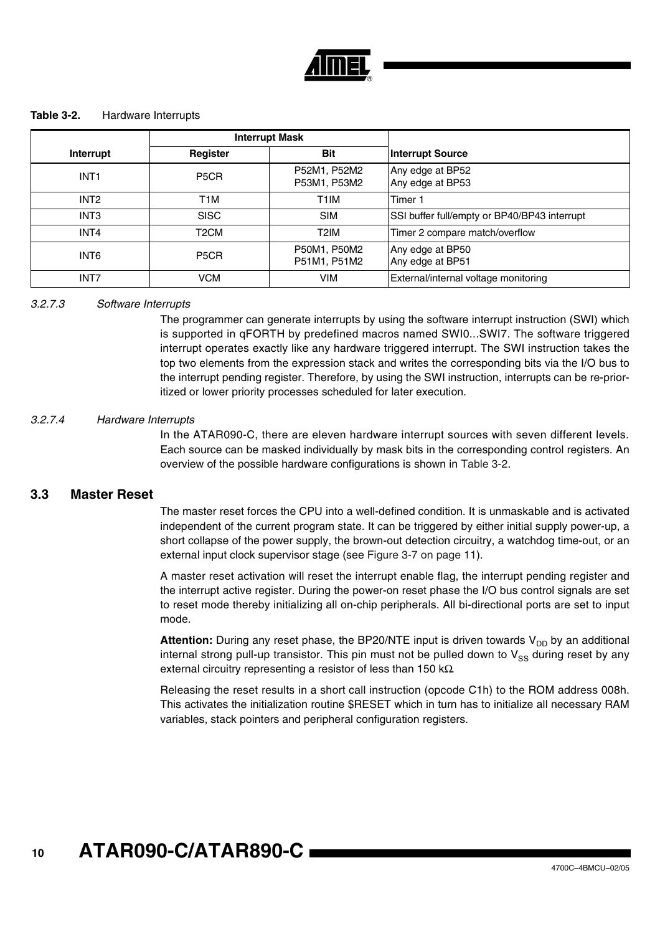

#### <span id="page-9-0"></span>**Table 3-2.** Hardware Interrupts

|                  | <b>Interrupt Mask</b> |                              |                                              |
|------------------|-----------------------|------------------------------|----------------------------------------------|
| Interrupt        | Register              | <b>Bit</b>                   | <b>Interrupt Source</b>                      |
| INT <sub>1</sub> | P <sub>5</sub> CR     | P52M1, P52M2<br>P53M1, P53M2 | Any edge at BP52<br>Any edge at BP53         |
| INT <sub>2</sub> | T1M                   | T1IM                         | Timer 1                                      |
| INT <sub>3</sub> | <b>SISC</b>           | <b>SIM</b>                   | SSI buffer full/empty or BP40/BP43 interrupt |
| INT4             | T <sub>2</sub> CM     | T <sub>2</sub> IM            | Timer 2 compare match/overflow               |
| INT6             | P <sub>5</sub> CR     | P50M1, P50M2<br>P51M1, P51M2 | Any edge at BP50<br>Any edge at BP51         |
| INT7             | <b>VCM</b>            | <b>VIM</b>                   | External/internal voltage monitoring         |

### *3.2.7.3 Software Interrupts*

The programmer can generate interrupts by using the software interrupt instruction (SWI) which is supported in qFORTH by predefined macros named SWI0...SWI7. The software triggered interrupt operates exactly like any hardware triggered interrupt. The SWI instruction takes the top two elements from the expression stack and writes the corresponding bits via the I/O bus to the interrupt pending register. Therefore, by using the SWI instruction, interrupts can be re-prioritized or lower priority processes scheduled for later execution.

#### *3.2.7.4 Hardware Interrupts*

In the ATAR090-C, there are eleven hardware interrupt sources with seven different levels. Each source can be masked individually by mask bits in the corresponding control registers. An overview of the possible hardware configurations is shown in [Table 3-2.](#page-9-0)

## **3.3 Master Reset**

The master reset forces the CPU into a well-defined condition. It is unmaskable and is activated independent of the current program state. It can be triggered by either initial supply power-up, a short collapse of the power supply, the brown-out detection circuitry, a watchdog time-out, or an external input clock supervisor stage (see [Figure 3-7 on page 11](#page-10-0)).

A master reset activation will reset the interrupt enable flag, the interrupt pending register and the interrupt active register. During the power-on reset phase the I/O bus control signals are set to reset mode thereby initializing all on-chip peripherals. All bi-directional ports are set to input mode.

**Attention:** During any reset phase, the BP20/NTE input is driven towards  $V_{DD}$  by an additional internal strong pull-up transistor. This pin must not be pulled down to  $V_{SS}$  during reset by any external circuitry representing a resistor of less than 150 kΩ.

Releasing the reset results in a short call instruction (opcode C1h) to the ROM address 008h. This activates the initialization routine \$RESET which in turn has to initialize all necessary RAM variables, stack pointers and peripheral configuration registers.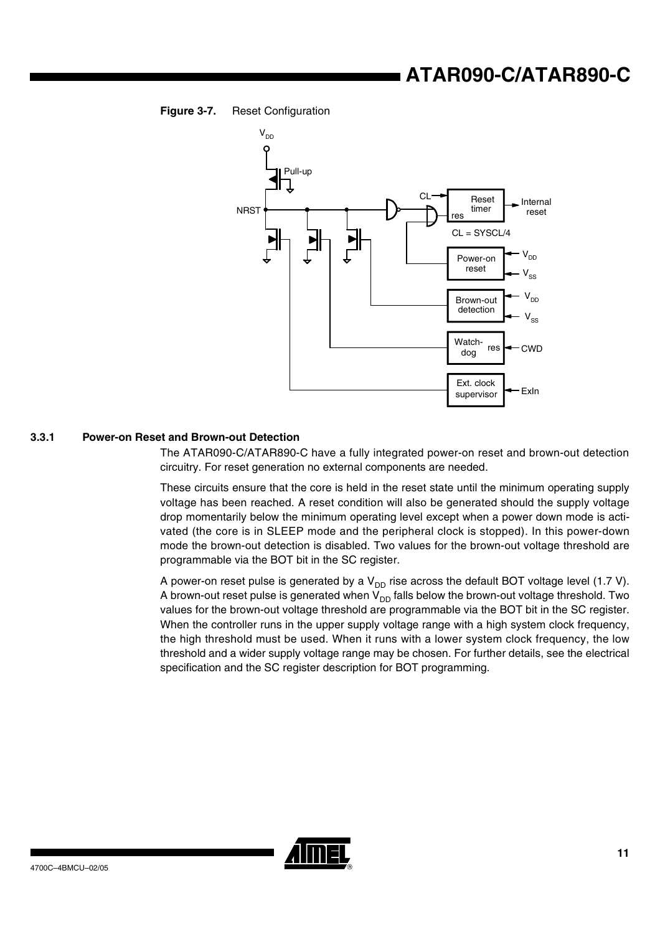<span id="page-10-0"></span>



## **3.3.1 Power-on Reset and Brown-out Detection**

The ATAR090-C/ATAR890-C have a fully integrated power-on reset and brown-out detection circuitry. For reset generation no external components are needed.

These circuits ensure that the core is held in the reset state until the minimum operating supply voltage has been reached. A reset condition will also be generated should the supply voltage drop momentarily below the minimum operating level except when a power down mode is activated (the core is in SLEEP mode and the peripheral clock is stopped). In this power-down mode the brown-out detection is disabled. Two values for the brown-out voltage threshold are programmable via the BOT bit in the SC register.

A power-on reset pulse is generated by a  $V_{DD}$  rise across the default BOT voltage level (1.7 V). A brown-out reset pulse is generated when  $V_{DD}$  falls below the brown-out voltage threshold. Two values for the brown-out voltage threshold are programmable via the BOT bit in the SC register. When the controller runs in the upper supply voltage range with a high system clock frequency, the high threshold must be used. When it runs with a lower system clock frequency, the low threshold and a wider supply voltage range may be chosen. For further details, see the electrical specification and the SC register description for BOT programming.

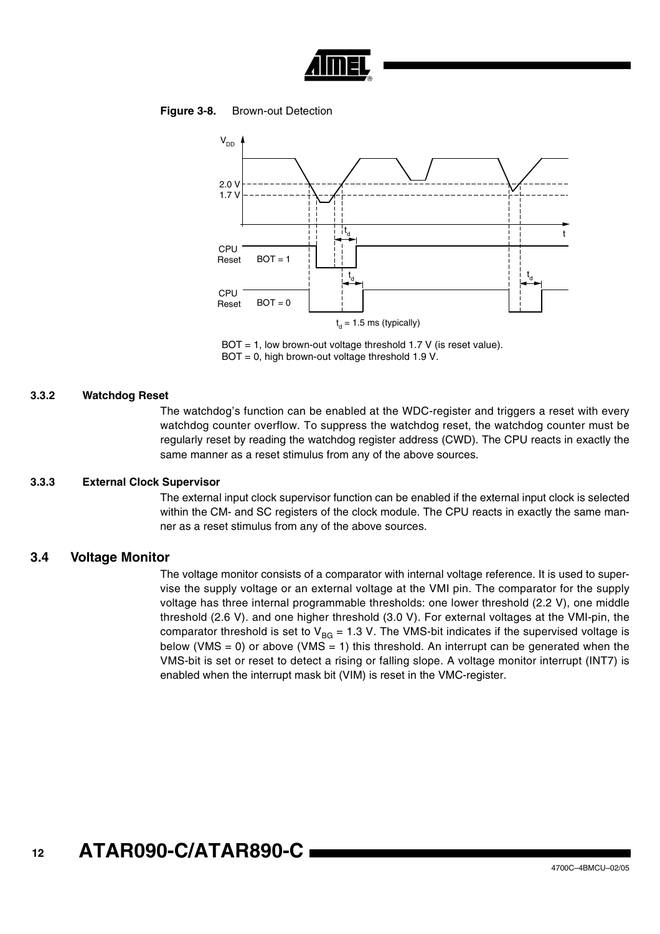

#### **Figure 3-8.** Brown-out Detection



BOT = 1, low brown-out voltage threshold 1.7 V (is reset value). BOT = 0, high brown-out voltage threshold 1.9 V.

#### <span id="page-11-0"></span>**3.3.2 Watchdog Reset**

The watchdog's function can be enabled at the WDC-register and triggers a reset with every watchdog counter overflow. To suppress the watchdog reset, the watchdog counter must be regularly reset by reading the watchdog register address (CWD). The CPU reacts in exactly the same manner as a reset stimulus from any of the above sources.

#### **3.3.3 External Clock Supervisor**

The external input clock supervisor function can be enabled if the external input clock is selected within the CM- and SC registers of the clock module. The CPU reacts in exactly the same manner as a reset stimulus from any of the above sources.

## **3.4 Voltage Monitor**

The voltage monitor consists of a comparator with internal voltage reference. It is used to supervise the supply voltage or an external voltage at the VMI pin. The comparator for the supply voltage has three internal programmable thresholds: one lower threshold (2.2 V), one middle threshold (2.6 V). and one higher threshold (3.0 V). For external voltages at the VMI-pin, the comparator threshold is set to  $V_{BG} = 1.3$  V. The VMS-bit indicates if the supervised voltage is below (VMS = 0) or above (VMS = 1) this threshold. An interrupt can be generated when the VMS-bit is set or reset to detect a rising or falling slope. A voltage monitor interrupt (INT7) is enabled when the interrupt mask bit (VIM) is reset in the VMC-register.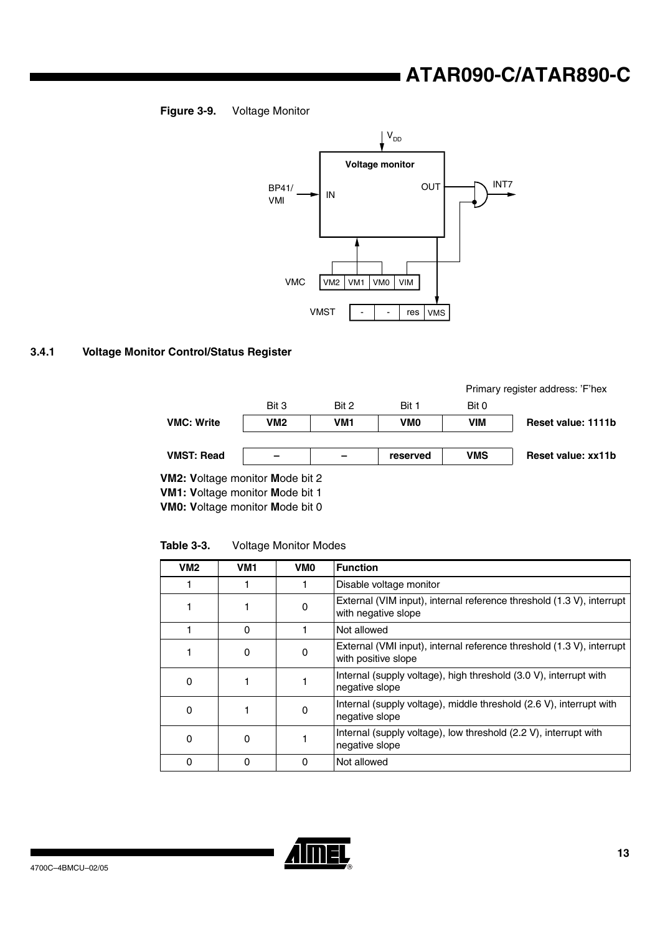## **ATAR090-C/ATAR890-C**





## <span id="page-12-0"></span>**3.4.1 Voltage Monitor Control/Status Register**



**VM1: V**oltage monitor **M**ode bit 1

**VM0: V**oltage monitor **M**ode bit 0

**Table 3-3.** Voltage Monitor Modes

| VM <sub>2</sub> | VM <sub>1</sub> | VM <sub>0</sub> | <b>Function</b>                                                                              |  |  |
|-----------------|-----------------|-----------------|----------------------------------------------------------------------------------------------|--|--|
|                 |                 |                 | Disable voltage monitor                                                                      |  |  |
|                 |                 | 0               | External (VIM input), internal reference threshold (1.3 V), interrupt<br>with negative slope |  |  |
|                 | $\Omega$        |                 | Not allowed                                                                                  |  |  |
|                 | 0               | 0               | External (VMI input), internal reference threshold (1.3 V), interrupt<br>with positive slope |  |  |
| 0               |                 |                 | Internal (supply voltage), high threshold (3.0 V), interrupt with<br>negative slope          |  |  |
| 0               |                 | 0               | Internal (supply voltage), middle threshold (2.6 V), interrupt with<br>negative slope        |  |  |
| 0               | 0               |                 | Internal (supply voltage), low threshold (2.2 V), interrupt with<br>negative slope           |  |  |
|                 | 0               | 0               | Not allowed                                                                                  |  |  |

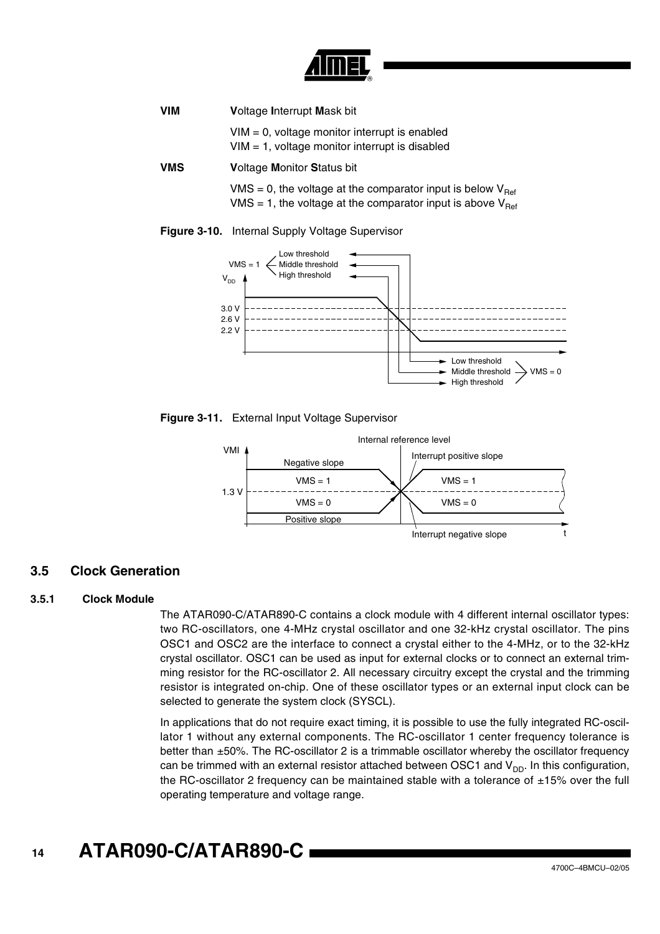

| <b>VIM</b> | <b>Voltage Interrupt Mask bit</b>                                                                                                                |  |  |  |  |
|------------|--------------------------------------------------------------------------------------------------------------------------------------------------|--|--|--|--|
|            | $VIM = 0$ , voltage monitor interrupt is enabled<br>$VIM = 1$ , voltage monitor interrupt is disabled                                            |  |  |  |  |
| <b>VMS</b> | <b>Voltage Monitor Status bit</b>                                                                                                                |  |  |  |  |
|            | VMS = 0, the voltage at the comparator input is below $V_{\text{Ref}}$<br>VMS = 1, the voltage at the comparator input is above $V_{\text{Ref}}$ |  |  |  |  |





**Figure 3-11.** External Input Voltage Supervisor



## **3.5 Clock Generation**

## **3.5.1 Clock Module**

The ATAR090-C/ATAR890-C contains a clock module with 4 different internal oscillator types: two RC-oscillators, one 4-MHz crystal oscillator and one 32-kHz crystal oscillator. The pins OSC1 and OSC2 are the interface to connect a crystal either to the 4-MHz, or to the 32-kHz crystal oscillator. OSC1 can be used as input for external clocks or to connect an external trimming resistor for the RC-oscillator 2. All necessary circuitry except the crystal and the trimming resistor is integrated on-chip. One of these oscillator types or an external input clock can be selected to generate the system clock (SYSCL).

In applications that do not require exact timing, it is possible to use the fully integrated RC-oscillator 1 without any external components. The RC-oscillator 1 center frequency tolerance is better than ±50%. The RC-oscillator 2 is a trimmable oscillator whereby the oscillator frequency can be trimmed with an external resistor attached between OSC1 and  $V_{DD}$ . In this configuration, the RC-oscillator 2 frequency can be maintained stable with a tolerance of  $\pm 15\%$  over the full operating temperature and voltage range.

#### **14 ATAR090-C/ATAR890-C**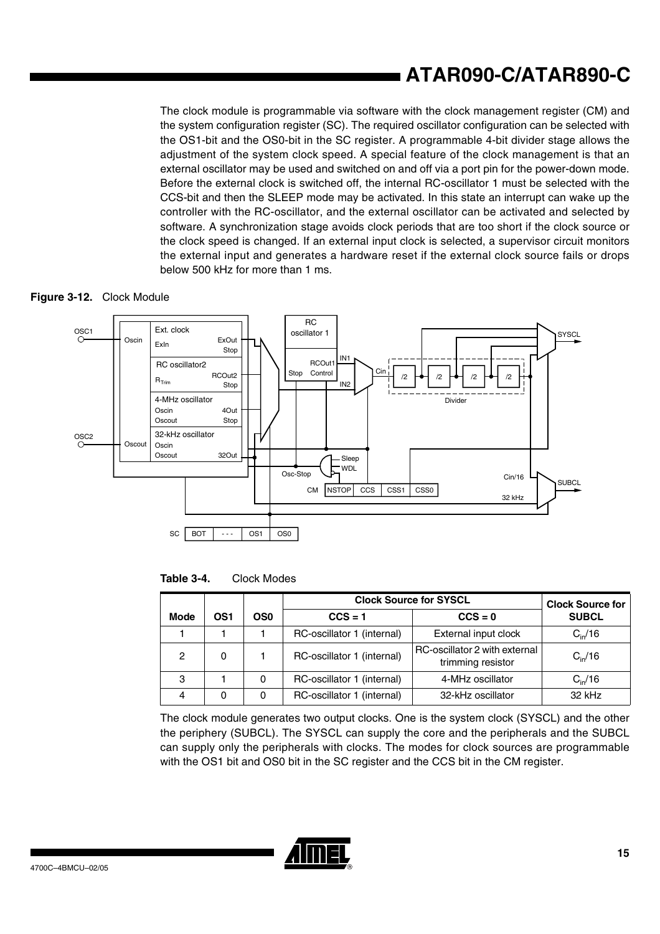# **ATAR090-C/ATAR890-C**

The clock module is programmable via software with the clock management register (CM) and the system configuration register (SC). The required oscillator configuration can be selected with the OS1-bit and the OS0-bit in the SC register. A programmable 4-bit divider stage allows the adjustment of the system clock speed. A special feature of the clock management is that an external oscillator may be used and switched on and off via a port pin for the power-down mode. Before the external clock is switched off, the internal RC-oscillator 1 must be selected with the CCS-bit and then the SLEEP mode may be activated. In this state an interrupt can wake up the controller with the RC-oscillator, and the external oscillator can be activated and selected by software. A synchronization stage avoids clock periods that are too short if the clock source or the clock speed is changed. If an external input clock is selected, a supervisor circuit monitors the external input and generates a hardware reset if the external clock source fails or drops below 500 kHz for more than 1 ms.





**Table 3-4.** Clock Modes

|             | OS1<br>OS <sub>0</sub> |   | <b>Clock Source for SYSCL</b> | <b>Clock Source for</b>                            |                  |
|-------------|------------------------|---|-------------------------------|----------------------------------------------------|------------------|
| <b>Mode</b> |                        |   | $CCS = 1$                     | $CCS = 0$                                          | <b>SUBCL</b>     |
|             |                        |   | RC-oscillator 1 (internal)    | External input clock                               | $C_{\rm in}$ /16 |
| 2           | 0                      |   | RC-oscillator 1 (internal)    | RC-oscillator 2 with external<br>trimming resistor | $C_{\rm in}$ /16 |
| З           |                        | 0 | RC-oscillator 1 (internal)    | 4-MHz oscillator                                   | $C_{\rm in}$ /16 |
| 4           | 0                      | 0 | RC-oscillator 1 (internal)    | 32-kHz oscillator                                  | 32 kHz           |

The clock module generates two output clocks. One is the system clock (SYSCL) and the other the periphery (SUBCL). The SYSCL can supply the core and the peripherals and the SUBCL can supply only the peripherals with clocks. The modes for clock sources are programmable with the OS1 bit and OS0 bit in the SC register and the CCS bit in the CM register.

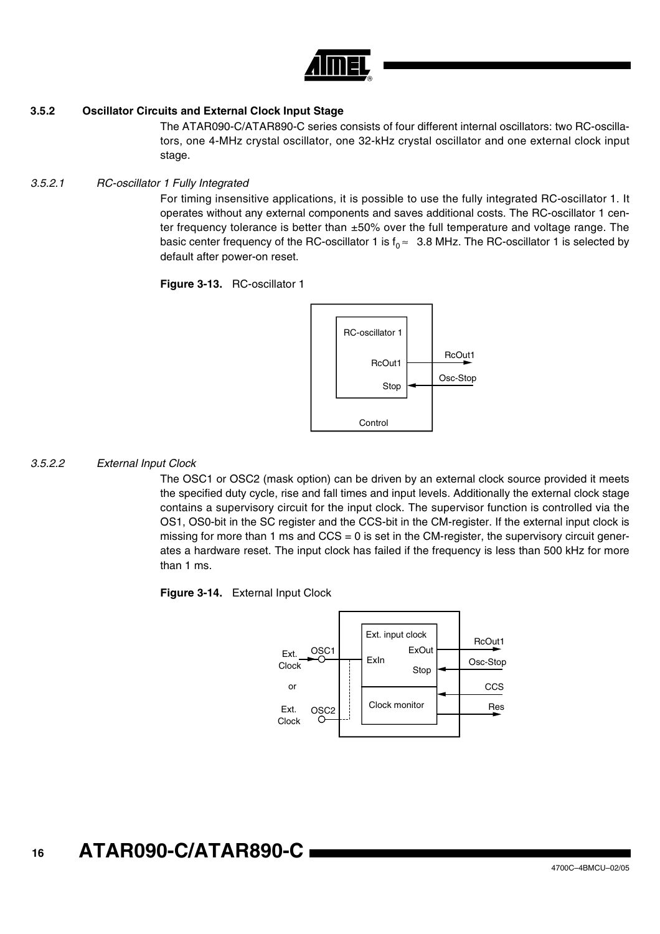

## **3.5.2 Oscillator Circuits and External Clock Input Stage**

The ATAR090-C/ATAR890-C series consists of four different internal oscillators: two RC-oscillators, one 4-MHz crystal oscillator, one 32-kHz crystal oscillator and one external clock input stage.

### *3.5.2.1 RC-oscillator 1 Fully Integrated*

For timing insensitive applications, it is possible to use the fully integrated RC-oscillator 1. It operates without any external components and saves additional costs. The RC-oscillator 1 center frequency tolerance is better than  $\pm 50\%$  over the full temperature and voltage range. The basic center frequency of the RC-oscillator 1 is  $f_0 \approx 3.8$  MHz. The RC-oscillator 1 is selected by default after power-on reset.

**Figure 3-13.** RC-oscillator 1



## *3.5.2.2 External Input Clock*

The OSC1 or OSC2 (mask option) can be driven by an external clock source provided it meets the specified duty cycle, rise and fall times and input levels. Additionally the external clock stage contains a supervisory circuit for the input clock. The supervisor function is controlled via the OS1, OS0-bit in the SC register and the CCS-bit in the CM-register. If the external input clock is missing for more than 1 ms and  $CCS = 0$  is set in the CM-register, the supervisory circuit generates a hardware reset. The input clock has failed if the frequency is less than 500 kHz for more than 1 ms.



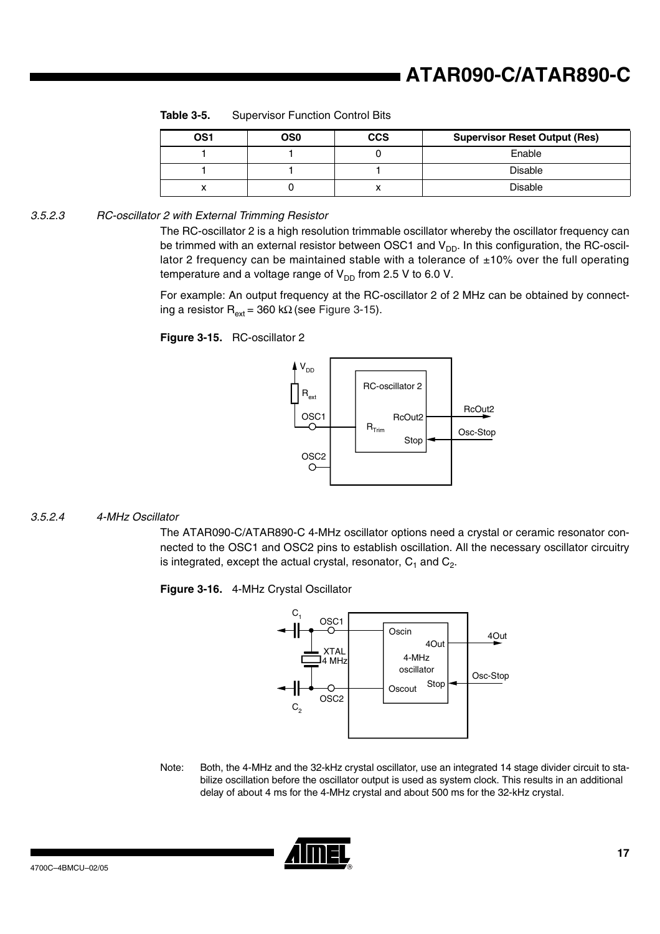| OS <sub>1</sub> | OS0 | <b>CCS</b> | <b>Supervisor Reset Output (Res)</b> |
|-----------------|-----|------------|--------------------------------------|
|                 |     |            | Enable                               |
|                 |     |            | <b>Disable</b>                       |
|                 |     |            | Disable                              |

**Table 3-5.** Supervisor Function Control Bits

*3.5.2.3 RC-oscillator 2 with External Trimming Resistor*

The RC-oscillator 2 is a high resolution trimmable oscillator whereby the oscillator frequency can be trimmed with an external resistor between OSC1 and  $V_{DD}$ . In this configuration, the RC-oscillator 2 frequency can be maintained stable with a tolerance of  $\pm 10\%$  over the full operating temperature and a voltage range of  $V_{DD}$  from 2.5 V to 6.0 V.

For example: An output frequency at the RC-oscillator 2 of 2 MHz can be obtained by connect-ing a resistor R<sub>ext</sub> = 360 kΩ (see [Figure 3-15\)](#page-16-0).

## <span id="page-16-0"></span>**Figure 3-15.** RC-oscillator 2



### *3.5.2.4 4-MHz Oscillator*

The ATAR090-C/ATAR890-C 4-MHz oscillator options need a crystal or ceramic resonator connected to the OSC1 and OSC2 pins to establish oscillation. All the necessary oscillator circuitry is integrated, except the actual crystal, resonator,  $C_1$  and  $C_2$ .

**Figure 3-16.** 4-MHz Crystal Oscillator



Note: Both, the 4-MHz and the 32-kHz crystal oscillator, use an integrated 14 stage divider circuit to stabilize oscillation before the oscillator output is used as system clock. This results in an additional delay of about 4 ms for the 4-MHz crystal and about 500 ms for the 32-kHz crystal.

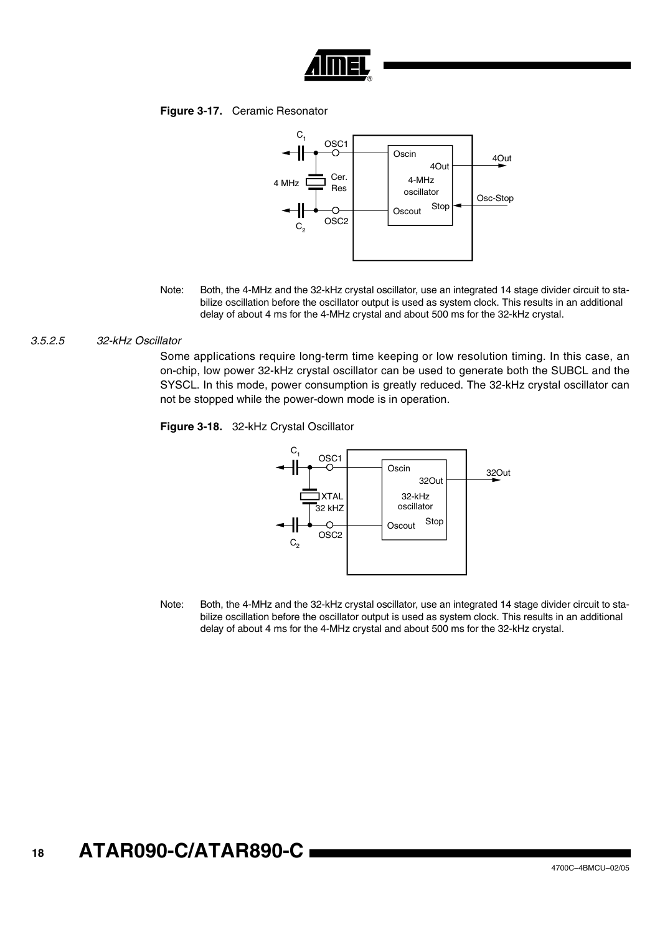

## **Figure 3-17.** Ceramic Resonator



Note: Both, the 4-MHz and the 32-kHz crystal oscillator, use an integrated 14 stage divider circuit to stabilize oscillation before the oscillator output is used as system clock. This results in an additional delay of about 4 ms for the 4-MHz crystal and about 500 ms for the 32-kHz crystal.

#### *3.5.2.5 32-kHz Oscillator*

Some applications require long-term time keeping or low resolution timing. In this case, an on-chip, low power 32-kHz crystal oscillator can be used to generate both the SUBCL and the SYSCL. In this mode, power consumption is greatly reduced. The 32-kHz crystal oscillator can not be stopped while the power-down mode is in operation.

**Figure 3-18.** 32-kHz Crystal Oscillator



Note: Both, the 4-MHz and the 32-kHz crystal oscillator, use an integrated 14 stage divider circuit to stabilize oscillation before the oscillator output is used as system clock. This results in an additional delay of about 4 ms for the 4-MHz crystal and about 500 ms for the 32-kHz crystal.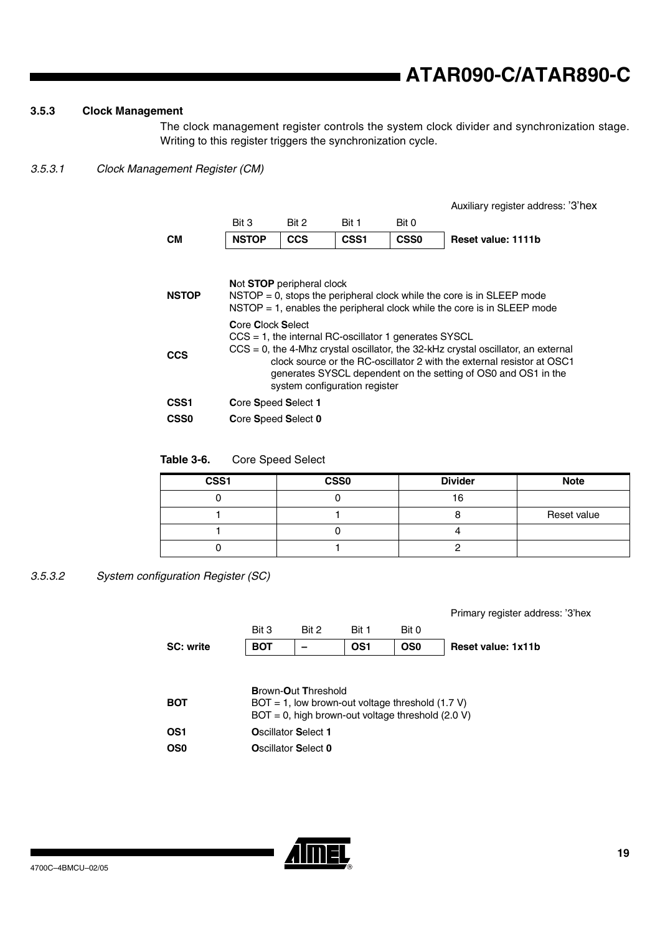## **3.5.3 Clock Management**

The clock management register controls the system clock divider and synchronization stage. Writing to this register triggers the synchronization cycle.

## <span id="page-18-1"></span>*3.5.3.1 Clock Management Register (CM)*

|                  |                                                                                                                                                                                                                                                                                                                                                    |                           |                  |             | Auxiliary register address: '3'hex                                         |  |  |  |
|------------------|----------------------------------------------------------------------------------------------------------------------------------------------------------------------------------------------------------------------------------------------------------------------------------------------------------------------------------------------------|---------------------------|------------------|-------------|----------------------------------------------------------------------------|--|--|--|
|                  | Bit 3                                                                                                                                                                                                                                                                                                                                              | Bit 2                     | Bit 1            | Bit 0       |                                                                            |  |  |  |
| CМ               | <b>NSTOP</b>                                                                                                                                                                                                                                                                                                                                       | <b>CCS</b>                | CSS <sub>1</sub> | <b>CSS0</b> | Reset value: 1111b                                                         |  |  |  |
| <b>NSTOP</b>     |                                                                                                                                                                                                                                                                                                                                                    | Not STOP peripheral clock |                  |             | $NSTOP = 0$ , stops the peripheral clock while the core is in SLEEP mode   |  |  |  |
|                  |                                                                                                                                                                                                                                                                                                                                                    |                           |                  |             | $NSTOP = 1$ , enables the peripheral clock while the core is in SLEEP mode |  |  |  |
| <b>CCS</b>       | Core Clock Select<br>$CCS = 1$ , the internal RC-oscillator 1 generates SYSCL<br>$CCS = 0$ , the 4-Mhz crystal oscillator, the 32-kHz crystal oscillator, an external<br>clock source or the RC-oscillator 2 with the external resistor at OSC1<br>generates SYSCL dependent on the setting of OS0 and OS1 in the<br>system configuration register |                           |                  |             |                                                                            |  |  |  |
| CSS1             | Core Speed Select 1                                                                                                                                                                                                                                                                                                                                |                           |                  |             |                                                                            |  |  |  |
| CSS <sub>0</sub> | Core Speed Select 0                                                                                                                                                                                                                                                                                                                                |                           |                  |             |                                                                            |  |  |  |

## **Table 3-6.** Core Speed Select

| CSS1 | <b>CSS0</b> | <b>Divider</b> | <b>Note</b> |
|------|-------------|----------------|-------------|
|      |             | c              |             |
|      |             |                | Reset value |
|      |             |                |             |
|      |             |                |             |

## <span id="page-18-0"></span>*3.5.3.2 System configuration Register (SC)*

|                  |                                                                                   |                            |       |                                                      | Primary register address: |  |  |  |
|------------------|-----------------------------------------------------------------------------------|----------------------------|-------|------------------------------------------------------|---------------------------|--|--|--|
|                  | Bit 3                                                                             | Bit 2                      | Bit 1 | Bit 0                                                |                           |  |  |  |
| <b>SC: write</b> | <b>BOT</b>                                                                        |                            | OS1   | OS <sub>0</sub>                                      | Reset value: 1x11b        |  |  |  |
|                  |                                                                                   |                            |       |                                                      |                           |  |  |  |
|                  |                                                                                   |                            |       |                                                      |                           |  |  |  |
| <b>BOT</b>       | <b>Brown-Out Threshold</b><br>$BOT = 1$ , low brown-out voltage threshold (1.7 V) |                            |       |                                                      |                           |  |  |  |
|                  |                                                                                   |                            |       | $BOT = 0$ , high brown-out voltage threshold (2.0 V) |                           |  |  |  |
| OS1              |                                                                                   | <b>Oscillator Select 1</b> |       |                                                      |                           |  |  |  |
| OS <sub>0</sub>  |                                                                                   | Oscillator Select 0        |       |                                                      |                           |  |  |  |
|                  |                                                                                   |                            |       |                                                      |                           |  |  |  |



'3'hex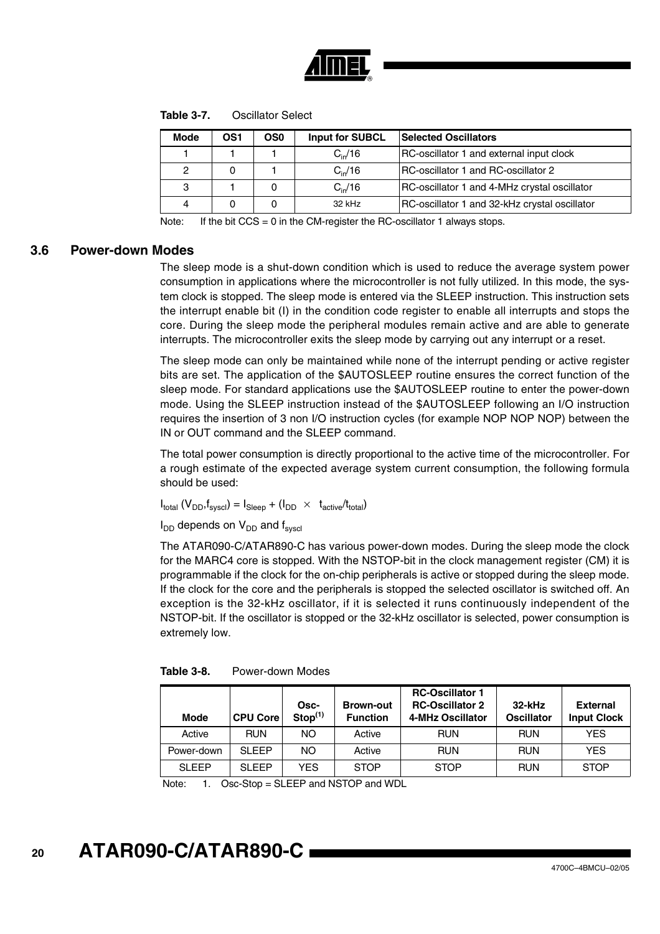

|  | Table 3-7. | <b>Oscillator Select</b> |
|--|------------|--------------------------|
|--|------------|--------------------------|

| <b>Mode</b> | OS1 | OS0 | <b>Input for SUBCL</b> | <b>Selected Oscillators</b>                         |
|-------------|-----|-----|------------------------|-----------------------------------------------------|
|             |     |     | $C_{\rm in}/16$        | RC-oscillator 1 and external input clock            |
| 2           |     |     | $C_{\rm in}/16$        | IRC-oscillator 1 and RC-oscillator 2                |
| 3           |     |     | $C_{\rm in}/16$        | <b>RC-oscillator 1 and 4-MHz crystal oscillator</b> |
| 4           |     |     | 32 kHz                 | RC-oscillator 1 and 32-kHz crystal oscillator       |

Note: If the bit  $CCS = 0$  in the CM-register the RC-oscillator 1 always stops.

## **3.6 Power-down Modes**

The sleep mode is a shut-down condition which is used to reduce the average system power consumption in applications where the microcontroller is not fully utilized. In this mode, the system clock is stopped. The sleep mode is entered via the SLEEP instruction. This instruction sets the interrupt enable bit (I) in the condition code register to enable all interrupts and stops the core. During the sleep mode the peripheral modules remain active and are able to generate interrupts. The microcontroller exits the sleep mode by carrying out any interrupt or a reset.

The sleep mode can only be maintained while none of the interrupt pending or active register bits are set. The application of the \$AUTOSLEEP routine ensures the correct function of the sleep mode. For standard applications use the \$AUTOSLEEP routine to enter the power-down mode. Using the SLEEP instruction instead of the \$AUTOSLEEP following an I/O instruction requires the insertion of 3 non I/O instruction cycles (for example NOP NOP NOP) between the IN or OUT command and the SLEEP command.

The total power consumption is directly proportional to the active time of the microcontroller. For a rough estimate of the expected average system current consumption, the following formula should be used:

 $I_{total}$   $(V_{DD}, f_{sused}) = I_{Sloop} + (I_{DD} \times t_{active}/t_{total})$ 

 $I_{DD}$  depends on  $V_{DD}$  and  $f_{svscl}$ 

The ATAR090-C/ATAR890-C has various power-down modes. During the sleep mode the clock for the MARC4 core is stopped. With the NSTOP-bit in the clock management register (CM) it is programmable if the clock for the on-chip peripherals is active or stopped during the sleep mode. If the clock for the core and the peripherals is stopped the selected oscillator is switched off. An exception is the 32-kHz oscillator, if it is selected it runs continuously independent of the NSTOP-bit. If the oscillator is stopped or the 32-kHz oscillator is selected, power consumption is extremely low.

| <b>Mode</b>  | <b>CPU Core</b> | Osc-<br>Stop <sup>(1)</sup> | <b>Brown-out</b><br><b>Function</b> | <b>RC-Oscillator 1</b><br><b>RC-Oscillator 2</b><br>4-MHz Oscillator | $32$ -kHz<br><b>Oscillator</b> | <b>External</b><br><b>Input Clock</b> |
|--------------|-----------------|-----------------------------|-------------------------------------|----------------------------------------------------------------------|--------------------------------|---------------------------------------|
| Active       | <b>RUN</b>      | NO.                         | Active                              | <b>RUN</b>                                                           | <b>RUN</b>                     | <b>YES</b>                            |
| Power-down   | SLEEP           | NO.                         | Active                              | <b>RUN</b>                                                           | <b>RUN</b>                     | <b>YES</b>                            |
| <b>SLEEP</b> | SLEEP           | YES.                        | <b>STOP</b>                         | <b>STOP</b>                                                          | <b>RUN</b>                     | <b>STOP</b>                           |

Note: 1. Osc-Stop = SLEEP and NSTOP and WDL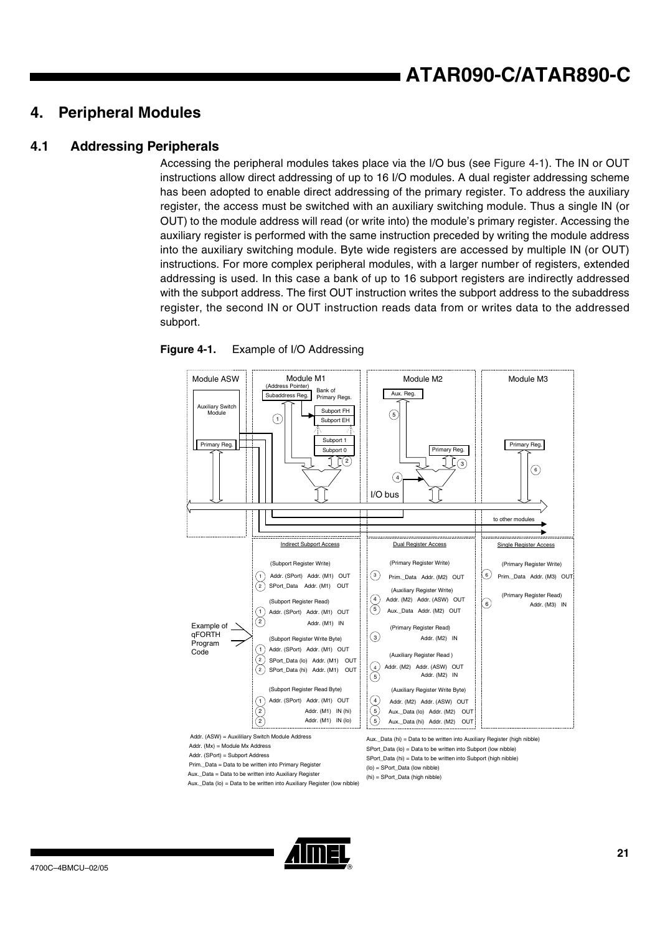## **ATAR090-C/ATAR890-C**

## <span id="page-20-1"></span>**4. Peripheral Modules**

## **4.1 Addressing Peripherals**

Accessing the peripheral modules takes place via the I/O bus (see [Figure 4-1](#page-20-0)). The IN or OUT instructions allow direct addressing of up to 16 I/O modules. A dual register addressing scheme has been adopted to enable direct addressing of the primary register. To address the auxiliary register, the access must be switched with an auxiliary switching module. Thus a single IN (or OUT) to the module address will read (or write into) the module's primary register. Accessing the auxiliary register is performed with the same instruction preceded by writing the module address into the auxiliary switching module. Byte wide registers are accessed by multiple IN (or OUT) instructions. For more complex peripheral modules, with a larger number of registers, extended addressing is used. In this case a bank of up to 16 subport registers are indirectly addressed with the subport address. The first OUT instruction writes the subport address to the subaddress register, the second IN or OUT instruction reads data from or writes data to the addressed subport.



### <span id="page-20-0"></span>**Figure 4-1.** Example of I/O Addressing



Aux.\_Data (lo) = Data to be written into Auxiliary Register (low nibble)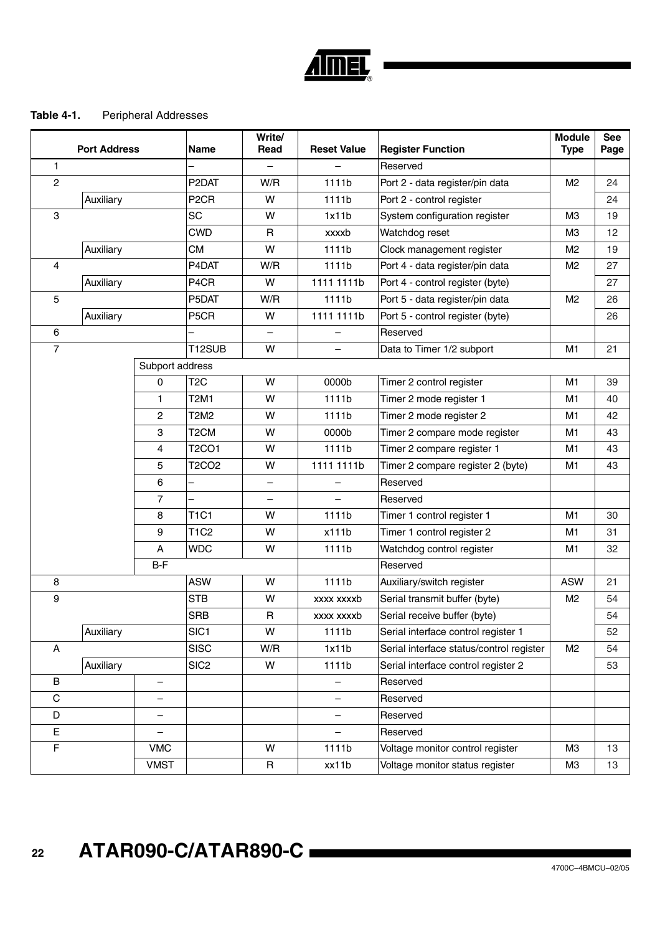

## **Table 4-1.** Peripheral Addresses

|                | <b>Port Address</b> |                   | Name                     | Write/<br>Read | <b>Reset Value</b>       | <b>Register Function</b>                 | <b>Module</b><br><b>Type</b> | <b>See</b><br>Page |
|----------------|---------------------|-------------------|--------------------------|----------------|--------------------------|------------------------------------------|------------------------------|--------------------|
| $\mathbf{1}$   |                     |                   |                          |                |                          | Reserved                                 |                              |                    |
| $\overline{c}$ |                     |                   | P <sub>2</sub> DAT       | W/R            | 1111b                    | Port 2 - data register/pin data          | M <sub>2</sub>               | 24                 |
|                | Auxiliary           |                   | P <sub>2</sub> CR        | W              | 1111b                    | Port 2 - control register                |                              | 24                 |
| 3              |                     |                   | <b>SC</b>                | W              | 1x11b                    | System configuration register            | M <sub>3</sub>               | 19                 |
|                |                     |                   | <b>CWD</b>               | R              | xxxxb                    | Watchdog reset                           | M <sub>3</sub>               | 12                 |
|                | Auxiliary           |                   | <b>CM</b>                | W              | 1111b                    | Clock management register                | M <sub>2</sub>               | 19                 |
| 4              |                     |                   | P4DAT                    | W/R            | 1111b                    | Port 4 - data register/pin data          | M <sub>2</sub>               | 27                 |
|                | Auxiliary           |                   | P4CR                     | W              | 1111 1111b               | Port 4 - control register (byte)         |                              | 27                 |
| 5              |                     |                   | P5DAT                    | W/R            | 1111b                    | Port 5 - data register/pin data          | M <sub>2</sub>               | 26                 |
|                | Auxiliary           |                   | P5CR                     | W              | 1111 1111b               | Port 5 - control register (byte)         |                              | 26                 |
| 6              |                     |                   |                          |                |                          | Reserved                                 |                              |                    |
| $\overline{7}$ |                     |                   | T12SUB                   | W              | $\overline{\phantom{0}}$ | Data to Timer 1/2 subport                | M1                           | 21                 |
|                |                     | Subport address   |                          |                |                          |                                          |                              |                    |
|                |                     | 0                 | T <sub>2</sub> C         | W              | 0000b                    | Timer 2 control register                 | M1                           | 39                 |
|                |                     | 1                 | <b>T2M1</b>              | W              | 1111b                    | Timer 2 mode register 1                  | M1                           | 40                 |
|                |                     | $\mathbf{2}$      | T2M2                     | W              | 1111b                    | Timer 2 mode register 2                  | M1                           | 42                 |
|                |                     | 3                 | T <sub>2</sub> CM        | W              | 0000b                    | Timer 2 compare mode register            | M1                           | 43                 |
|                |                     | 4                 | <b>T2CO1</b>             | W              | 1111b                    | Timer 2 compare register 1               | M1                           | 43                 |
|                |                     | 5                 | <b>T2CO2</b>             | W              | 1111 1111b               | Timer 2 compare register 2 (byte)        | M1                           | 43                 |
|                |                     | 6                 | $\overline{\phantom{0}}$ | -              | $\overline{\phantom{0}}$ | Reserved                                 |                              |                    |
|                |                     | $\overline{7}$    |                          |                |                          | Reserved                                 |                              |                    |
|                |                     | 8                 | <b>T1C1</b>              | W              | 1111b                    | Timer 1 control register 1               | M1                           | 30                 |
|                |                     | 9                 | <b>T1C2</b>              | W              | x111b                    | Timer 1 control register 2               | M1                           | 31                 |
|                |                     | A                 | <b>WDC</b>               | W              | 1111b                    | Watchdog control register                | M1                           | 32                 |
|                |                     | B-F               |                          |                |                          | Reserved                                 |                              |                    |
| 8              |                     |                   | <b>ASW</b>               | W              | 1111b                    | Auxiliary/switch register                | <b>ASW</b>                   | 21                 |
| 9              |                     |                   | <b>STB</b>               | W              | xxxx xxxxb               | Serial transmit buffer (byte)            | M <sub>2</sub>               | 54                 |
|                |                     |                   | <b>SRB</b>               | R              | xxxx xxxxb               | Serial receive buffer (byte)             |                              | 54                 |
|                | Auxiliary           |                   | SIC <sub>1</sub>         | W              | 1111b                    | Serial interface control register 1      |                              | 52                 |
| Α              |                     |                   | <b>SISC</b>              | W/R            | 1x11b                    | Serial interface status/control register | M <sub>2</sub>               | 54                 |
|                | Auxiliary           |                   | SIC <sub>2</sub>         | W              | 1111b                    | Serial interface control register 2      |                              | 53                 |
| В              |                     | $\qquad \qquad -$ |                          |                | $\qquad \qquad -$        | Reserved                                 |                              |                    |
| C              |                     | $\qquad \qquad -$ |                          |                | $\overline{\phantom{0}}$ | Reserved                                 |                              |                    |
| D              |                     | $\qquad \qquad -$ |                          |                | $\qquad \qquad -$        | Reserved                                 |                              |                    |
| E              |                     |                   |                          |                |                          | Reserved                                 |                              |                    |
| F              |                     | <b>VMC</b>        |                          | W              | 1111b                    | Voltage monitor control register         | ΜЗ                           | 13                 |
|                |                     | <b>VMST</b>       |                          | R              | xx11b                    | Voltage monitor status register          | M <sub>3</sub>               | 13                 |

 **22 ATAR090-C/ATAR890-C**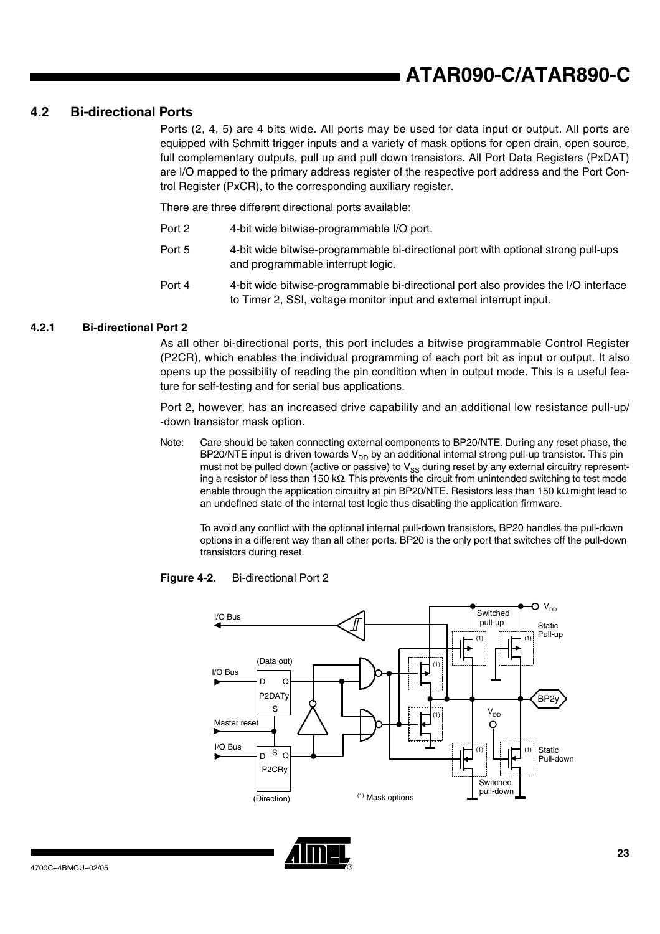## **4.2 Bi-directional Ports**

Ports (2, 4, 5) are 4 bits wide. All ports may be used for data input or output. All ports are equipped with Schmitt trigger inputs and a variety of mask options for open drain, open source, full complementary outputs, pull up and pull down transistors. All Port Data Registers (PxDAT) are I/O mapped to the primary address register of the respective port address and the Port Control Register (PxCR), to the corresponding auxiliary register.

There are three different directional ports available:

- Port 2 4-bit wide bitwise-programmable I/O port.
- Port 5 4-bit wide bitwise-programmable bi-directional port with optional strong pull-ups and programmable interrupt logic.
- Port 4 4-bit wide bitwise-programmable bi-directional port also provides the I/O interface to Timer 2, SSI, voltage monitor input and external interrupt input.

## **4.2.1 Bi-directional Port 2**

As all other bi-directional ports, this port includes a bitwise programmable Control Register (P2CR), which enables the individual programming of each port bit as input or output. It also opens up the possibility of reading the pin condition when in output mode. This is a useful feature for self-testing and for serial bus applications.

Port 2, however, has an increased drive capability and an additional low resistance pull-up/ -down transistor mask option.

Note: Care should be taken connecting external components to BP20/NTE. During any reset phase, the BP20/NTE input is driven towards  $V_{DD}$  by an additional internal strong pull-up transistor. This pin must not be pulled down (active or passive) to  $V_{SS}$  during reset by any external circuitry representing a resistor of less than 150 kΩ. This prevents the circuit from unintended switching to test mode enable through the application circuitry at pin BP20/NTE. Resistors less than 150 kΩ might lead to an undefined state of the internal test logic thus disabling the application firmware.

To avoid any conflict with the optional internal pull-down transistors, BP20 handles the pull-down options in a different way than all other ports. BP20 is the only port that switches off the pull-down transistors during reset.

### **Figure 4-2.** Bi-directional Port 2



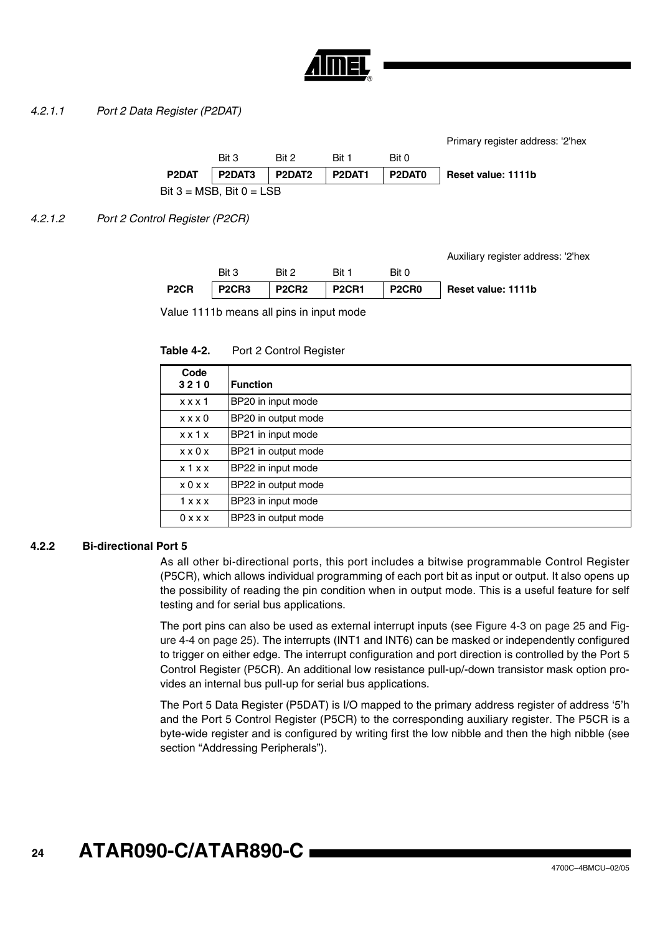

## <span id="page-23-0"></span>*4.2.1.1 Port 2 Data Register (P2DAT)*

Bit  $3 = MSB$ , Bit  $0 = LSB$ Primary register address: '2'hex Bit 3 Bit 2 Bit 1 Bit 0 **P2DAT P2DAT3 P2DAT2 P2DAT1 P2DAT0 Reset value: 1111b**

<span id="page-23-1"></span>*4.2.1.2 Port 2 Control Register (P2CR)*

Auxiliary register address: '2'hex

|                   | Bit 3 | Rit 2 | Rit 1                         | Bit 0 |                    |
|-------------------|-------|-------|-------------------------------|-------|--------------------|
| P <sub>2</sub> CR |       |       | P2CR3   P2CR2   P2CR1   P2CR0 |       | Reset value: 1111b |

Value 1111b means all pins in input mode

Table 4-2. Port 2 Control Register

| Code<br>3210        | <b>Function</b>     |
|---------------------|---------------------|
| x x x 1             | BP20 in input mode  |
| x x x 0             | BP20 in output mode |
| $x \times 1$        | BP21 in input mode  |
| $x \times 0 \times$ | BP21 in output mode |
| x 1 x x             | BP22 in input mode  |
| x0xx                | BP22 in output mode |
| 1 x x x             | BP23 in input mode  |
| 0 x x x             | BP23 in output mode |

## **4.2.2 Bi-directional Port 5**

As all other bi-directional ports, this port includes a bitwise programmable Control Register (P5CR), which allows individual programming of each port bit as input or output. It also opens up the possibility of reading the pin condition when in output mode. This is a useful feature for self testing and for serial bus applications.

The port pins can also be used as external interrupt inputs (see [Figure 4-3 on page 25](#page-24-0) and [Fig](#page-24-1)[ure 4-4 on page 25\)](#page-24-1). The interrupts (INT1 and INT6) can be masked or independently configured to trigger on either edge. The interrupt configuration and port direction is controlled by the Port 5 Control Register (P5CR). An additional low resistance pull-up/-down transistor mask option provides an internal bus pull-up for serial bus applications.

The Port 5 Data Register (P5DAT) is I/O mapped to the primary address register of address '5'h and the Port 5 Control Register (P5CR) to the corresponding auxiliary register. The P5CR is a byte-wide register and is configured by writing first the low nibble and then the high nibble (see section "Addressing Peripherals").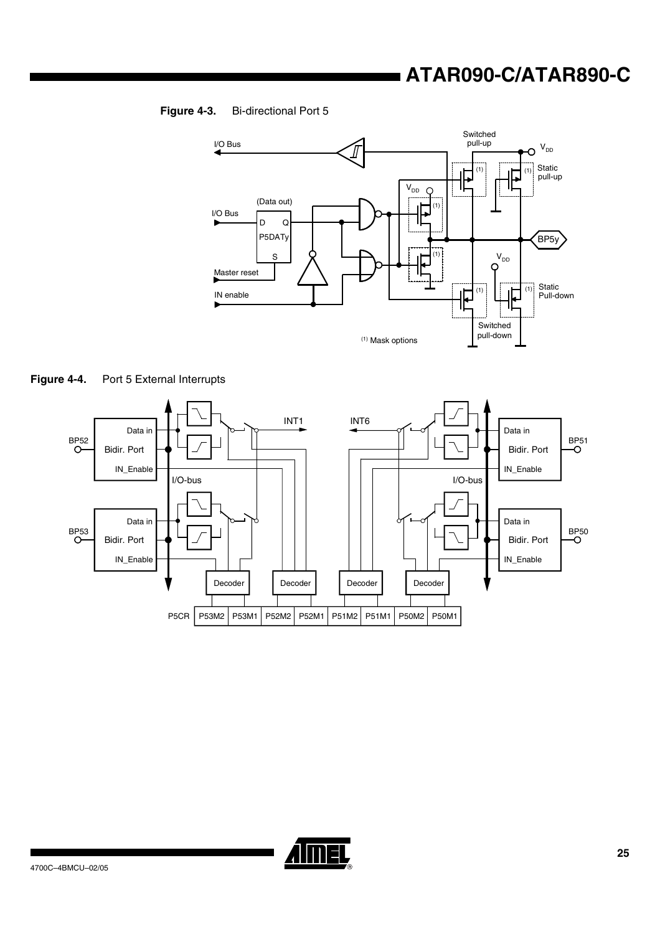## **ATAR090-C/ATAR890-C**

## <span id="page-24-0"></span>**Figure 4-3.** Bi-directional Port 5



<span id="page-24-1"></span>



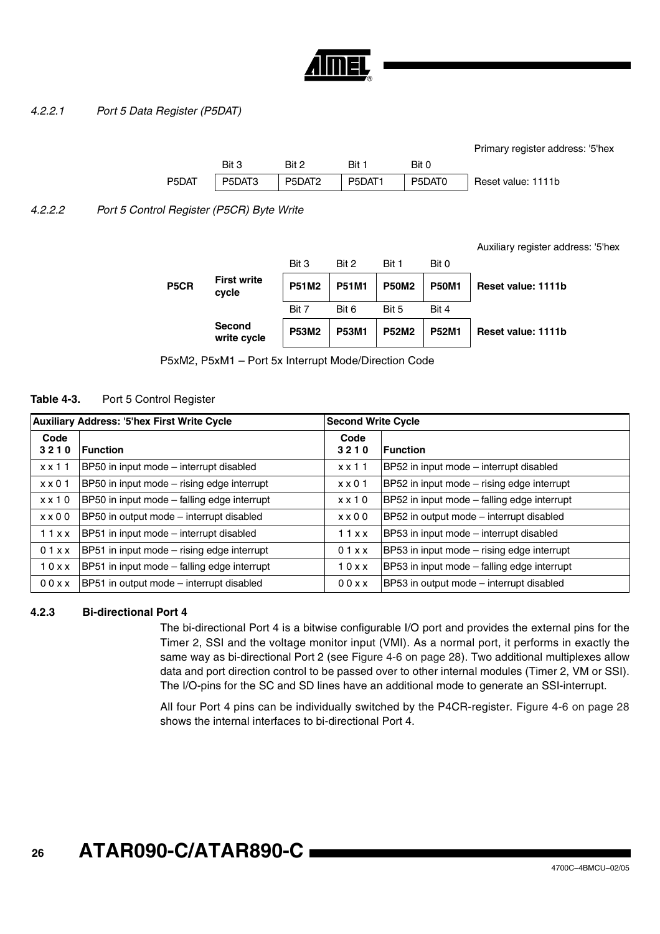

## <span id="page-25-0"></span>*4.2.2.1 Port 5 Data Register (P5DAT)*

|       |          |          |       |       | Primary register address: '5'hex     |
|-------|----------|----------|-------|-------|--------------------------------------|
|       | Bit 3    | Bit 2    | Bit 1 | Bit 0 |                                      |
| P5DAT | l P5DAT3 | l P5DAT2 |       |       | P5DAT1   P5DAT0   Reset value: 1111b |

<span id="page-25-1"></span>*4.2.2.2 Port 5 Control Register (P5CR) Byte Write*

Auxiliary register address: '5'hex

|                   | <b>Second</b><br>write cycle | <b>P53M2</b> | <b>P53M1</b> | <b>P52M2</b> | <b>P52M1</b> | Reset value: 1111b |
|-------------------|------------------------------|--------------|--------------|--------------|--------------|--------------------|
|                   |                              | Bit 7        | Bit 6        | Bit 5        | Bit 4        |                    |
| P <sub>5</sub> CR | <b>First write</b><br>cycle  | <b>P51M2</b> | <b>P51M1</b> | <b>P50M2</b> | <b>P50M1</b> | Reset value: 1111b |
|                   |                              | Bit 3        | Bit 2        | Bit 1        | Bit 0        |                    |

P5xM2, P5xM1 – Port 5x Interrupt Mode/Direction Code

## **Table 4-3.** Port 5 Control Register

| <b>Auxiliary Address: '5'hex First Write Cycle</b> |                                             | <b>Second Write Cycle</b> |                                             |
|----------------------------------------------------|---------------------------------------------|---------------------------|---------------------------------------------|
| Code<br>3210                                       | <b>Function</b>                             | Code<br>3210              | <b>Function</b>                             |
| $x \times 11$                                      | BP50 in input mode – interrupt disabled     | $x \times 11$             | BP52 in input mode – interrupt disabled     |
| $x \times 01$                                      | BP50 in input mode - rising edge interrupt  | $x \times 01$             | BP52 in input mode - rising edge interrupt  |
| $x \times 10$                                      | BP50 in input mode - falling edge interrupt | $x \times 10$             | BP52 in input mode - falling edge interrupt |
| $x \times 00$                                      | BP50 in output mode - interrupt disabled    | $x \times 00$             | BP52 in output mode - interrupt disabled    |
| 11xx                                               | BP51 in input mode - interrupt disabled     | 11xx                      | BP53 in input mode - interrupt disabled     |
| 01xx                                               | BP51 in input mode - rising edge interrupt  | 01xx                      | BP53 in input mode - rising edge interrupt  |
| 10xx                                               | BP51 in input mode - falling edge interrupt | 10xx                      | BP53 in input mode - falling edge interrupt |
| 00xx                                               | BP51 in output mode - interrupt disabled    | 00xx                      | BP53 in output mode - interrupt disabled    |

## **4.2.3 Bi-directional Port 4**

The bi-directional Port 4 is a bitwise configurable I/O port and provides the external pins for the Timer 2, SSI and the voltage monitor input (VMI). As a normal port, it performs in exactly the same way as bi-directional Port 2 (see [Figure 4-6 on page 28\)](#page-27-0). Two additional multiplexes allow data and port direction control to be passed over to other internal modules (Timer 2, VM or SSI). The I/O-pins for the SC and SD lines have an additional mode to generate an SSI-interrupt.

All four Port 4 pins can be individually switched by the P4CR-register. [Figure 4-6 on page 28](#page-27-0) shows the internal interfaces to bi-directional Port 4.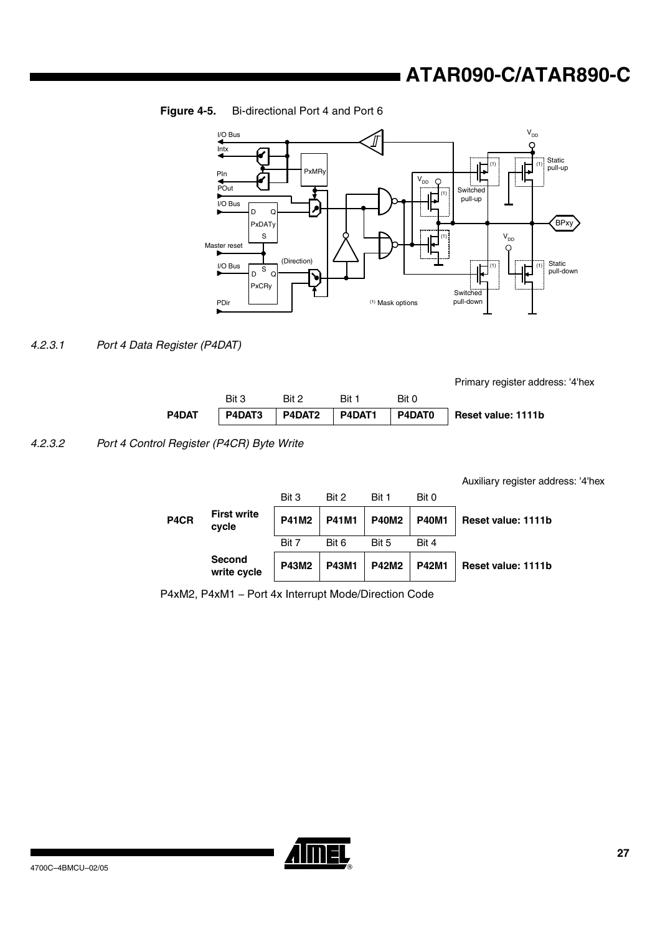## **Figure 4-5.** Bi-directional Port 4 and Port 6



## <span id="page-26-0"></span>*4.2.3.1 Port 4 Data Register (P4DAT)*

Primary register address: '4'hex

|       | Bit 3 | Rit 2 | Rit 1 | Bit 0 |                                                |
|-------|-------|-------|-------|-------|------------------------------------------------|
| P4DAT |       |       |       |       | P4DAT3 P4DAT2 P4DAT1 P4DAT0 Reset value: 1111b |

<span id="page-26-1"></span>*4.2.3.2 Port 4 Control Register (P4CR) Byte Write* 

Auxiliary register address: '4'hex

| P4CR | <b>First write</b><br>cycle  | Bit 3<br><b>P41M2</b> | Bit 2<br><b>P41M1</b> | Bit 1<br><b>P40M2</b> | Bit 0<br><b>P40M1</b> | Reset value: 1111b |
|------|------------------------------|-----------------------|-----------------------|-----------------------|-----------------------|--------------------|
|      |                              | Bit 7                 | Bit 6                 | Bit 5                 | Bit 4                 |                    |
|      | <b>Second</b><br>write cycle | <b>P43M2</b>          | <b>P43M1</b>          | <b>P42M2</b>          | <b>P42M1</b>          | Reset value: 1111b |

P4xM2, P4xM1 – Port 4x Interrupt Mode/Direction Code

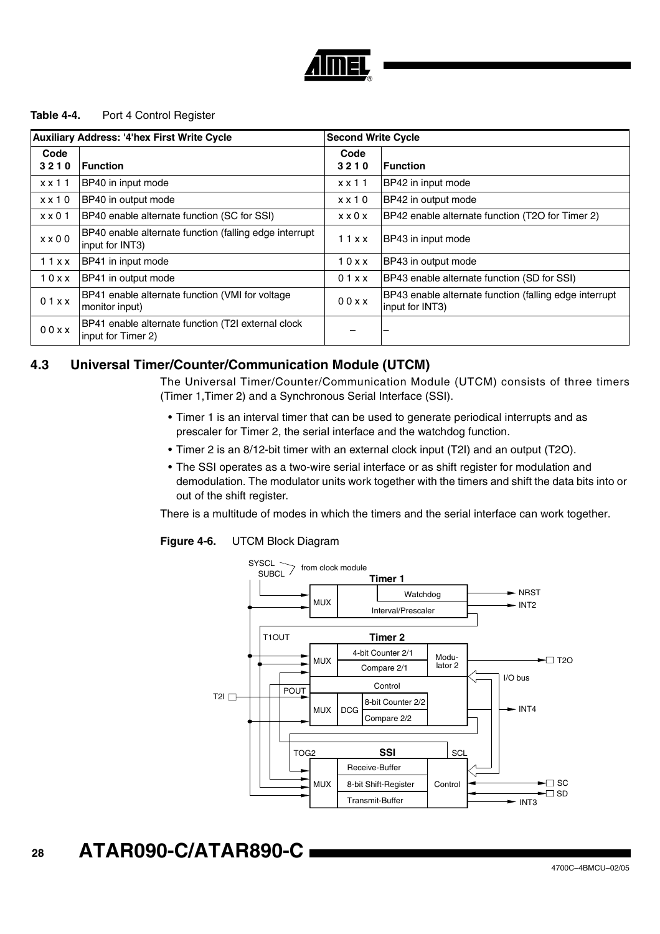

## Table 4-4. Port 4 Control Register

| <b>Auxiliary Address: '4'hex First Write Cycle</b> |                                                                           | <b>Second Write Cycle</b> |                                                                           |
|----------------------------------------------------|---------------------------------------------------------------------------|---------------------------|---------------------------------------------------------------------------|
| Code<br>3210                                       | <b>Function</b>                                                           | Code<br>3210              | <b>Function</b>                                                           |
| $x \times 11$                                      | BP40 in input mode                                                        | $x \times 11$             | BP42 in input mode                                                        |
| $x \times 10$                                      | BP40 in output mode                                                       | $x \times 10$             | BP42 in output mode                                                       |
| $x \times 01$                                      | BP40 enable alternate function (SC for SSI)                               | $x \times 0 \times$       | BP42 enable alternate function (T2O for Timer 2)                          |
| $x \times 00$                                      | BP40 enable alternate function (falling edge interrupt<br>input for INT3) | 11xx                      | BP43 in input mode                                                        |
| 11xx                                               | BP41 in input mode                                                        | 10xx                      | BP43 in output mode                                                       |
| 10xx                                               | BP41 in output mode                                                       | 01xx                      | BP43 enable alternate function (SD for SSI)                               |
| 01xx                                               | BP41 enable alternate function (VMI for voltage<br>monitor input)         | 00xx                      | BP43 enable alternate function (falling edge interrupt<br>input for INT3) |
| 00xx                                               | BP41 enable alternate function (T2I external clock<br>input for Timer 2)  |                           |                                                                           |

## **4.3 Universal Timer/Counter/Communication Module (UTCM)**

The Universal Timer/Counter/Communication Module (UTCM) consists of three timers (Timer 1,Timer 2) and a Synchronous Serial Interface (SSI).

- Timer 1 is an interval timer that can be used to generate periodical interrupts and as prescaler for Timer 2, the serial interface and the watchdog function.
- Timer 2 is an 8/12-bit timer with an external clock input (T2I) and an output (T2O).
- The SSI operates as a two-wire serial interface or as shift register for modulation and demodulation. The modulator units work together with the timers and shift the data bits into or out of the shift register.

There is a multitude of modes in which the timers and the serial interface can work together.



## <span id="page-27-0"></span>**Figure 4-6.** UTCM Block Diagram

#### **28 ATAR090-C/ATAR890-C**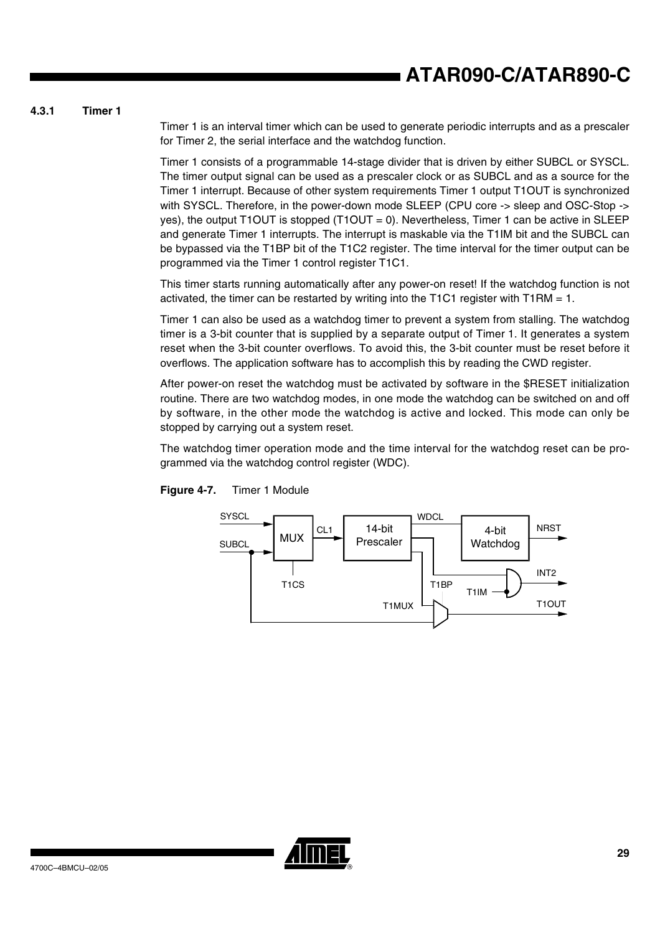## **4.3.1 Timer 1**

Timer 1 is an interval timer which can be used to generate periodic interrupts and as a prescaler for Timer 2, the serial interface and the watchdog function.

Timer 1 consists of a programmable 14-stage divider that is driven by either SUBCL or SYSCL. The timer output signal can be used as a prescaler clock or as SUBCL and as a source for the Timer 1 interrupt. Because of other system requirements Timer 1 output T1OUT is synchronized with SYSCL. Therefore, in the power-down mode SLEEP (CPU core -> sleep and OSC-Stop -> yes), the output T1OUT is stopped  $(T1OUT = 0)$ . Nevertheless, Timer 1 can be active in SLEEP and generate Timer 1 interrupts. The interrupt is maskable via the T1IM bit and the SUBCL can be bypassed via the T1BP bit of the T1C2 register. The time interval for the timer output can be programmed via the Timer 1 control register T1C1.

This timer starts running automatically after any power-on reset! If the watchdog function is not activated, the timer can be restarted by writing into the T1C1 register with T1RM  $= 1$ .

Timer 1 can also be used as a watchdog timer to prevent a system from stalling. The watchdog timer is a 3-bit counter that is supplied by a separate output of Timer 1. It generates a system reset when the 3-bit counter overflows. To avoid this, the 3-bit counter must be reset before it overflows. The application software has to accomplish this by reading the CWD register.

After power-on reset the watchdog must be activated by software in the \$RESET initialization routine. There are two watchdog modes, in one mode the watchdog can be switched on and off by software, in the other mode the watchdog is active and locked. This mode can only be stopped by carrying out a system reset.

The watchdog timer operation mode and the time interval for the watchdog reset can be programmed via the watchdog control register (WDC).



**Figure 4-7.** Timer 1 Module

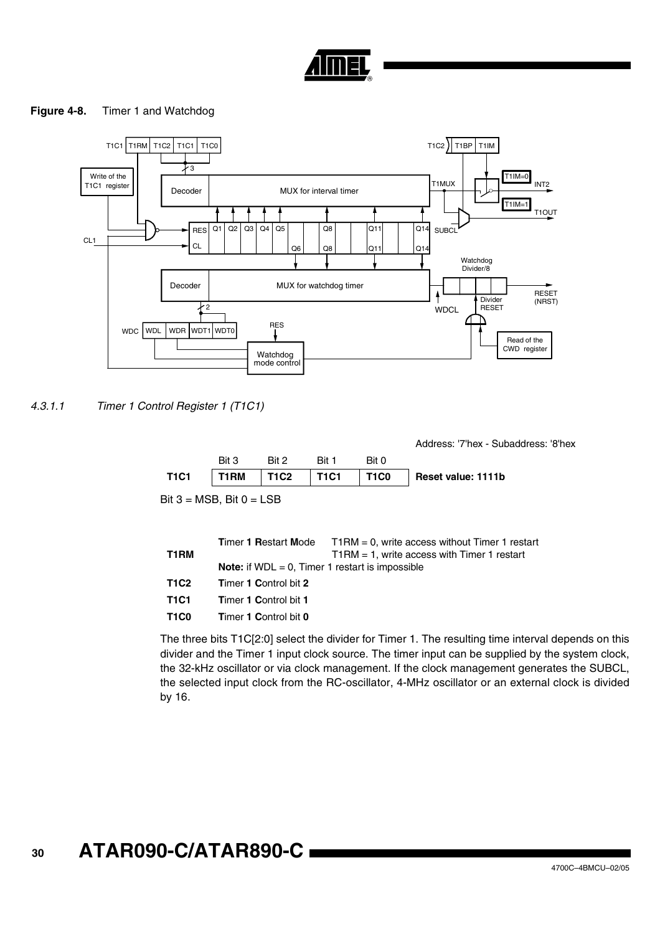

## <span id="page-29-1"></span>**Figure 4-8.** Timer 1 and Watchdog



<span id="page-29-0"></span>*4.3.1.1 Timer 1 Control Register 1 (T1C1)*

Bit  $3 = MSB$ , Bit  $0 = LSB$ Address: '7'hex - Subaddress: '8'hex Bit 3 Bit 2 Bit 1 Bit 0 **T1C1 T1RM T1C2 T1C1 T1C0 Reset value: 1111b**

| T1RM                          |                                                           | <b>Timer 1 Restart Mode</b> $T1RM = 0$ , write access without Timer 1 restart<br>$T1RM = 1$ , write access with Timer 1 restart |
|-------------------------------|-----------------------------------------------------------|---------------------------------------------------------------------------------------------------------------------------------|
|                               | <b>Note:</b> if $WDL = 0$ , Timer 1 restart is impossible |                                                                                                                                 |
| T1C2                          | <b>Timer 1 Control bit 2</b>                              |                                                                                                                                 |
| T1C1                          | <b>Timer 1 Control bit 1</b>                              |                                                                                                                                 |
| T <sub>1</sub> C <sub>0</sub> | Timer 1 Control bit 0                                     |                                                                                                                                 |

The three bits T1C[2:0] select the divider for Timer 1. The resulting time interval depends on this divider and the Timer 1 input clock source. The timer input can be supplied by the system clock, the 32-kHz oscillator or via clock management. If the clock management generates the SUBCL, the selected input clock from the RC-oscillator, 4-MHz oscillator or an external clock is divided by 16.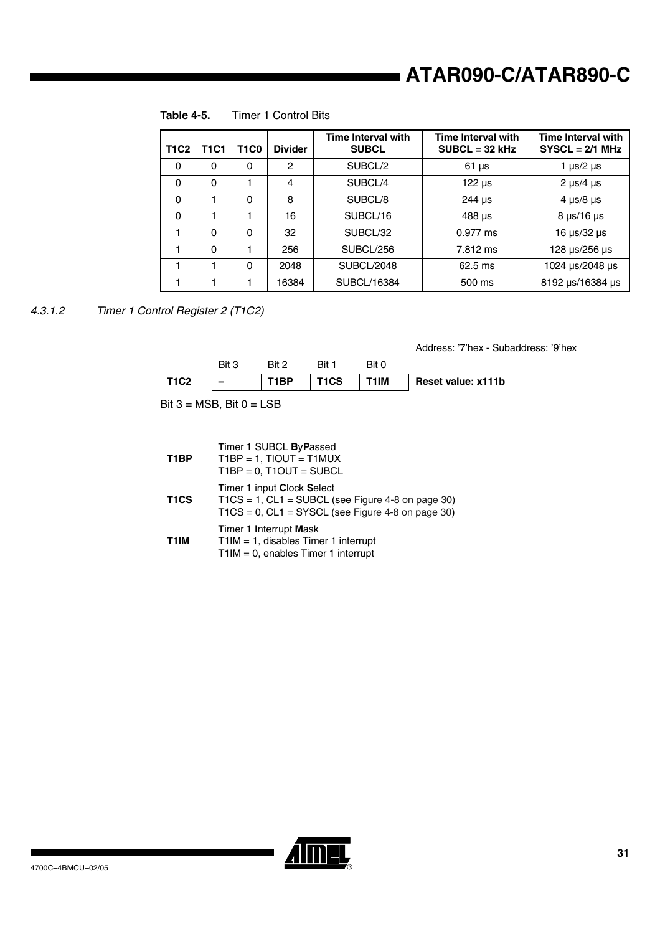| <b>T1C2</b> | T1C1     | <b>T1C0</b> | <b>Divider</b> | <b>Time Interval with</b><br><b>SUBCL</b> | <b>Time Interval with</b><br>$SUBCL = 32 kHz$ | <b>Time Interval with</b><br>$SYSCL = 2/1 MHz$ |
|-------------|----------|-------------|----------------|-------------------------------------------|-----------------------------------------------|------------------------------------------------|
| $\Omega$    | 0        | 0           | 2              | SUBCL/2                                   | $61 \mu s$                                    | 1 $\mu$ s/2 $\mu$ s                            |
| $\Omega$    | $\Omega$ |             | 4              | SUBCL/4                                   | $122 \mu s$                                   | $2 \mu s/4 \mu s$                              |
| $\Omega$    |          | $\Omega$    | 8              | SUBCL/8                                   | $244 \mu s$                                   | 4 $\mu$ s/8 $\mu$ s                            |
| $\Omega$    |          |             | 16             | SUBCL/16                                  | $488 \,\mu s$                                 | $8 \mu s/16 \mu s$                             |
|             | $\Omega$ | $\Omega$    | 32             | SUBCL/32                                  | $0.977$ ms                                    | 16 µs/32 µs                                    |
|             | $\Omega$ |             | 256            | SUBCL/256                                 | 7.812 ms                                      | 128 µs/256 µs                                  |
|             |          | $\Omega$    | 2048           | SUBCL/2048                                | $62.5$ ms                                     | 1024 µs/2048 µs                                |
|             |          |             | 16384          | SUBCL/16384                               | 500 ms                                        | 8192 µs/16384 µs                               |

**Table 4-5.** Timer 1 Control Bits

<span id="page-30-0"></span>*4.3.1.2 Timer 1 Control Register 2 (T1C2)*

Address: '7'hex - Subaddress: '9'hex

|             | Bit 3         | Rit 2 | Rit 1                                  | Bit 0 |                    |
|-------------|---------------|-------|----------------------------------------|-------|--------------------|
| <b>T1C2</b> | $\sim$ $\sim$ |       | $\vert$ T1BP $\vert$ T1CS $\vert$ T1IM |       | Reset value: x111b |

Bit  $3 = MSB$ , Bit  $0 = LSB$ 

| T <sub>1</sub> BP | Timer 1 SUBCL ByPassed<br>$T1BP = 1$ , $TIOUT = T1MUX$<br>$T1BP = 0$ , $T1OUT = SUBCL$                                                                |
|-------------------|-------------------------------------------------------------------------------------------------------------------------------------------------------|
| T <sub>1</sub> CS | <b>Timer 1 input Clock Select</b><br>$TICS = 1$ , $CL1 = SUBCL$ (see Figure 4-8 on page 30)<br>$TICS = 0$ , $CL1 = SYSCL$ (see Figure 4-8 on page 30) |
| T1IM              | <b>Timer 1 Interrupt Mask</b><br>$T1IM = 1$ , disables Timer 1 interrupt<br>$T1IM = 0$ , enables Timer 1 interrupt                                    |

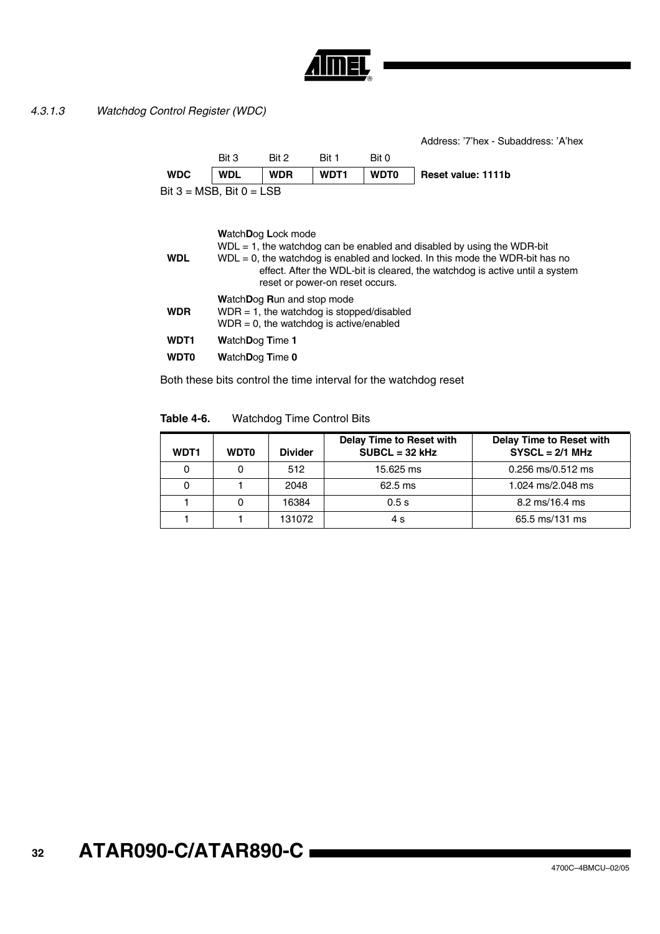

## <span id="page-31-0"></span>*4.3.1.3 Watchdog Control Register (WDC)*

**WDL**

Address: '7'hex - Subaddress: 'A'hex

|                               | Bit 3      | Bit 2      | Bit 1       | Bit 0       |                    |
|-------------------------------|------------|------------|-------------|-------------|--------------------|
| <b>WDC</b>                    | <b>WDL</b> | <b>WDR</b> | <b>WDT1</b> | <b>WDT0</b> | Reset value: 1111b |
| Bit $3 = MSB$ , Bit $0 = LSB$ |            |            |             |             |                    |
|                               |            |            |             |             |                    |
|                               |            |            |             |             |                    |

**W**atch**D**og **L**ock mode

 $WDL = 1$ , the watchdog can be enabled and disabled by using the WDR-bit

 $WDL = 0$ , the watchdog is enabled and locked. In this mode the WDR-bit has no effect. After the WDL-bit is cleared, the watchdog is active until a system reset or power-on reset occurs.

**W**atch**D**og **R**un and stop mode

- **WDR**  $WDR = 1$ , the watchdog is stopped/disabled  $WDR = 0$ , the watchdog is active/enabled
- **WDT1 W**atch**D**og **T**ime **1**
- **WDT0 W**atch**D**og **T**ime **0**

Both these bits control the time interval for the watchdog reset

### **Table 4-6.** Watchdog Time Control Bits

| <b>WDT1</b> | <b>WDT0</b> | <b>Divider</b> | <b>Delay Time to Reset with</b><br>$SUBCL = 32 kHz$ | <b>Delay Time to Reset with</b><br>$SYSCL = 2/1 MHz$ |
|-------------|-------------|----------------|-----------------------------------------------------|------------------------------------------------------|
| 0           |             | 512            | 15.625 ms                                           | 0.256 ms/0.512 ms                                    |
| 0           |             | 2048           | $62.5$ ms                                           | 1.024 ms/2.048 ms                                    |
|             |             | 16384          | 0.5s                                                | $8.2 \text{ ms}/16.4 \text{ ms}$                     |
|             |             | 131072         | 4 s                                                 | 65.5 ms/131 ms                                       |

#### **32 ATAR090-C/ATAR890-C**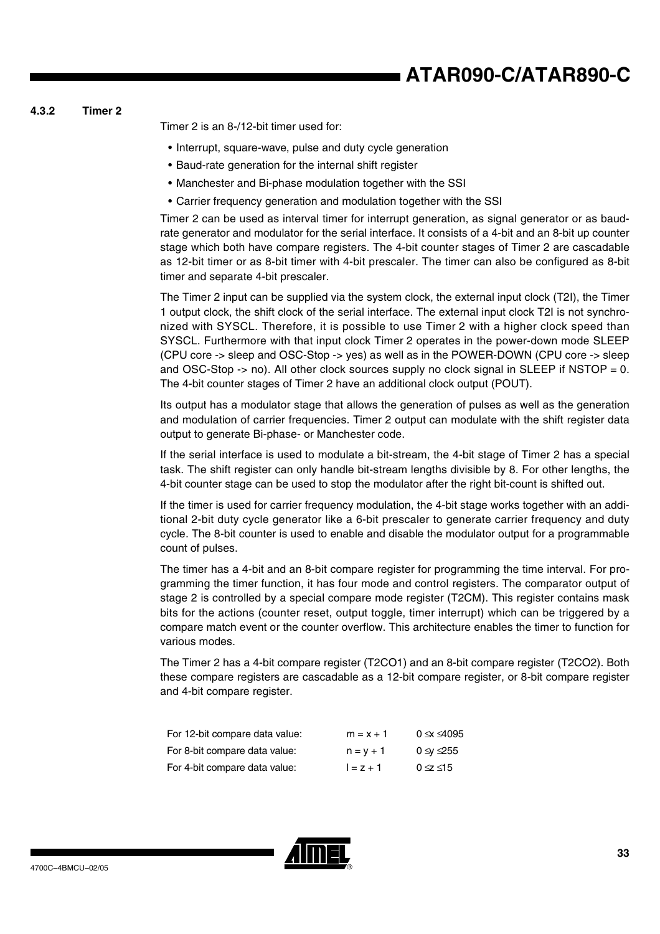# **ATAR090-C/ATAR890-C**

## **4.3.2 Timer 2**

Timer 2 is an 8-/12-bit timer used for:

- Interrupt, square-wave, pulse and duty cycle generation
- Baud-rate generation for the internal shift register
- Manchester and Bi-phase modulation together with the SSI
- Carrier frequency generation and modulation together with the SSI

Timer 2 can be used as interval timer for interrupt generation, as signal generator or as baudrate generator and modulator for the serial interface. It consists of a 4-bit and an 8-bit up counter stage which both have compare registers. The 4-bit counter stages of Timer 2 are cascadable as 12-bit timer or as 8-bit timer with 4-bit prescaler. The timer can also be configured as 8-bit timer and separate 4-bit prescaler.

The Timer 2 input can be supplied via the system clock, the external input clock (T2I), the Timer 1 output clock, the shift clock of the serial interface. The external input clock T2I is not synchronized with SYSCL. Therefore, it is possible to use Timer 2 with a higher clock speed than SYSCL. Furthermore with that input clock Timer 2 operates in the power-down mode SLEEP (CPU core -> sleep and OSC-Stop -> yes) as well as in the POWER-DOWN (CPU core -> sleep and OSC-Stop  $\rightarrow$  no). All other clock sources supply no clock signal in SLEEP if NSTOP = 0. The 4-bit counter stages of Timer 2 have an additional clock output (POUT).

Its output has a modulator stage that allows the generation of pulses as well as the generation and modulation of carrier frequencies. Timer 2 output can modulate with the shift register data output to generate Bi-phase- or Manchester code.

If the serial interface is used to modulate a bit-stream, the 4-bit stage of Timer 2 has a special task. The shift register can only handle bit-stream lengths divisible by 8. For other lengths, the 4-bit counter stage can be used to stop the modulator after the right bit-count is shifted out.

If the timer is used for carrier frequency modulation, the 4-bit stage works together with an additional 2-bit duty cycle generator like a 6-bit prescaler to generate carrier frequency and duty cycle. The 8-bit counter is used to enable and disable the modulator output for a programmable count of pulses.

The timer has a 4-bit and an 8-bit compare register for programming the time interval. For programming the timer function, it has four mode and control registers. The comparator output of stage 2 is controlled by a special compare mode register (T2CM). This register contains mask bits for the actions (counter reset, output toggle, timer interrupt) which can be triggered by a compare match event or the counter overflow. This architecture enables the timer to function for various modes.

The Timer 2 has a 4-bit compare register (T2CO1) and an 8-bit compare register (T2CO2). Both these compare registers are cascadable as a 12-bit compare register, or 8-bit compare register and 4-bit compare register.

| For 12-bit compare data value: | $m = x + 1$ | $0 \le x \le 4095$ |
|--------------------------------|-------------|--------------------|
| For 8-bit compare data value:  | $n = v + 1$ | 0 ≤v ≤255          |
| For 4-bit compare data value:  | $1 = z + 1$ | $0 \leq \leq 15$   |

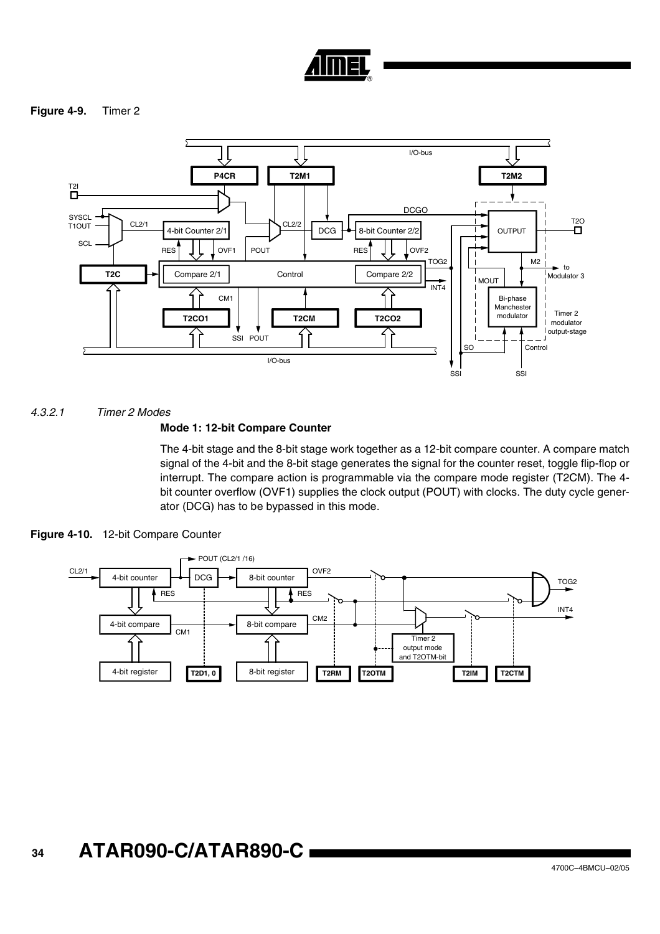

## **Figure 4-9.** Timer 2



*4.3.2.1 Timer 2 Modes*

## **Mode 1: 12-bit Compare Counter**

The 4-bit stage and the 8-bit stage work together as a 12-bit compare counter. A compare match signal of the 4-bit and the 8-bit stage generates the signal for the counter reset, toggle flip-flop or interrupt. The compare action is programmable via the compare mode register (T2CM). The 4 bit counter overflow (OVF1) supplies the clock output (POUT) with clocks. The duty cycle generator (DCG) has to be bypassed in this mode.





#### **34 ATAR090-C/ATAR890-C**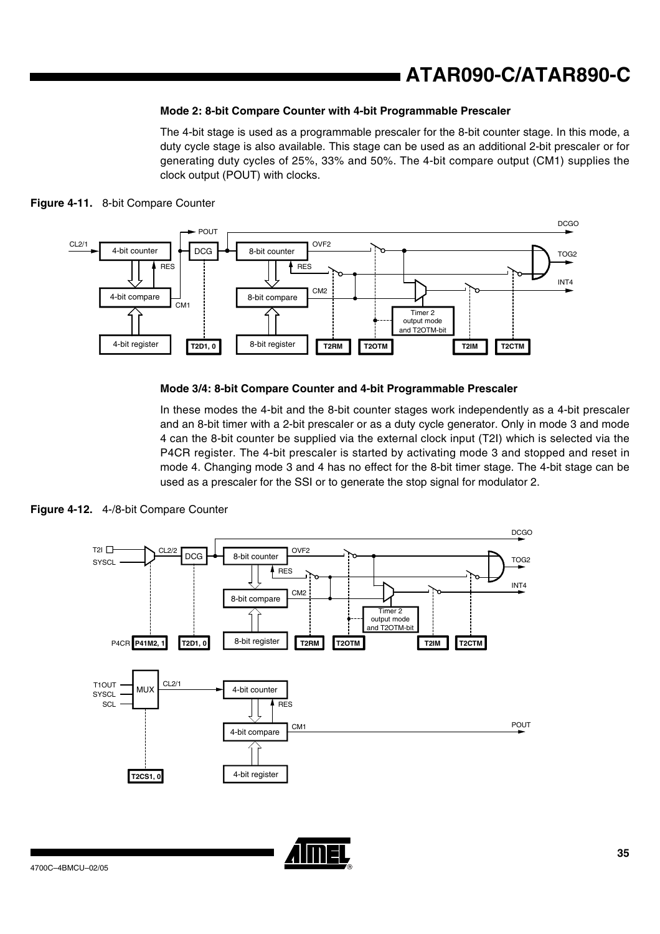## **ATAR090-C/ATAR890-C**

## **Mode 2: 8-bit Compare Counter with 4-bit Programmable Prescaler**

The 4-bit stage is used as a programmable prescaler for the 8-bit counter stage. In this mode, a duty cycle stage is also available. This stage can be used as an additional 2-bit prescaler or for generating duty cycles of 25%, 33% and 50%. The 4-bit compare output (CM1) supplies the clock output (POUT) with clocks.





#### **Mode 3/4: 8-bit Compare Counter and 4-bit Programmable Prescaler**

In these modes the 4-bit and the 8-bit counter stages work independently as a 4-bit prescaler and an 8-bit timer with a 2-bit prescaler or as a duty cycle generator. Only in mode 3 and mode 4 can the 8-bit counter be supplied via the external clock input (T2I) which is selected via the P4CR register. The 4-bit prescaler is started by activating mode 3 and stopped and reset in mode 4. Changing mode 3 and 4 has no effect for the 8-bit timer stage. The 4-bit stage can be used as a prescaler for the SSI or to generate the stop signal for modulator 2.

**Figure 4-12.** 4-/8-bit Compare Counter

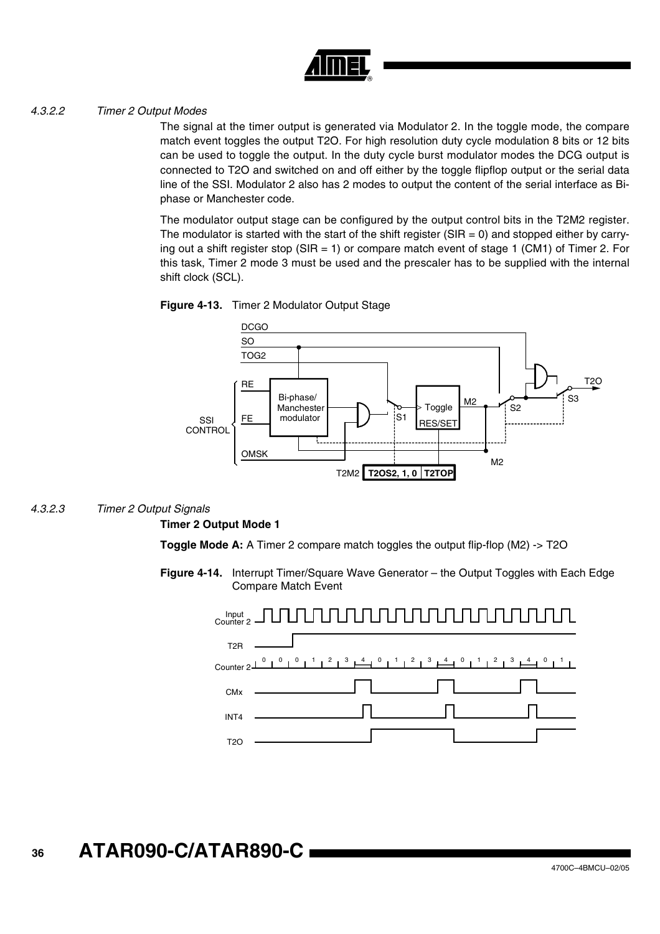

## *4.3.2.2 Timer 2 Output Modes*

The signal at the timer output is generated via Modulator 2. In the toggle mode, the compare match event toggles the output T2O. For high resolution duty cycle modulation 8 bits or 12 bits can be used to toggle the output. In the duty cycle burst modulator modes the DCG output is connected to T2O and switched on and off either by the toggle flipflop output or the serial data line of the SSI. Modulator 2 also has 2 modes to output the content of the serial interface as Biphase or Manchester code.

The modulator output stage can be configured by the output control bits in the T2M2 register. The modulator is started with the start of the shift register ( $SIR = 0$ ) and stopped either by carrying out a shift register stop (SIR = 1) or compare match event of stage 1 (CM1) of Timer 2. For this task, Timer 2 mode 3 must be used and the prescaler has to be supplied with the internal shift clock (SCL).





## *4.3.2.3 Timer 2 Output Signals*

### **Timer 2 Output Mode 1**



**Figure 4-14.** Interrupt Timer/Square Wave Generator – the Output Toggles with Each Edge Compare Match Event

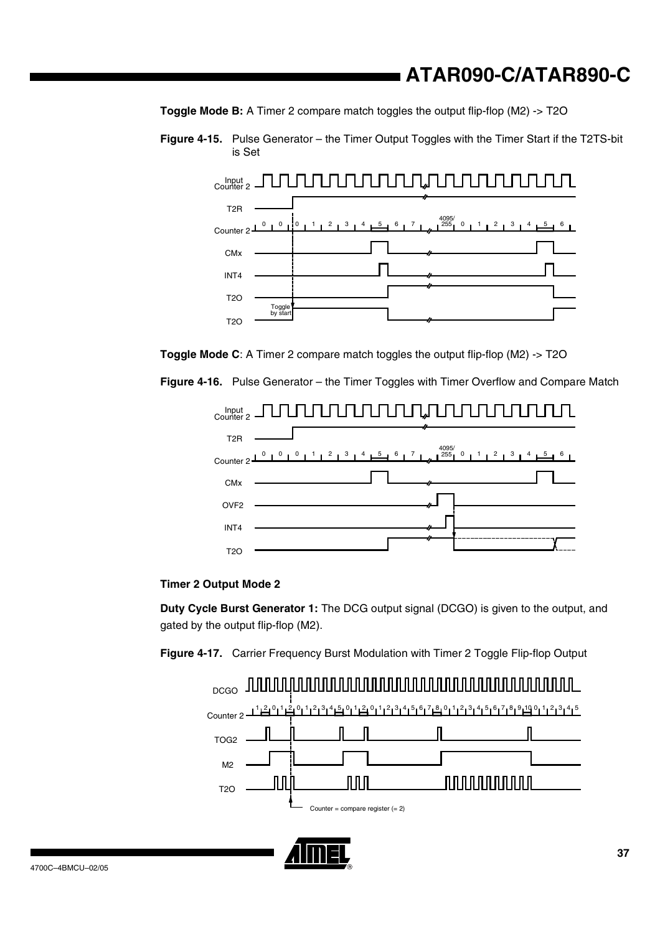**Toggle Mode B:** A Timer 2 compare match toggles the output flip-flop (M2) -> T2O

**Figure 4-15.** Pulse Generator – the Timer Output Toggles with the Timer Start if the T2TS-bit is Set



**Toggle Mode C:** A Timer 2 compare match toggles the output flip-flop (M2) -> T2O

**Figure 4-16.** Pulse Generator – the Timer Toggles with Timer Overflow and Compare Match





**Duty Cycle Burst Generator 1:** The DCG output signal (DCGO) is given to the output, and gated by the output flip-flop (M2).

Figure 4-17. Carrier Frequency Burst Modulation with Timer 2 Toggle Flip-flop Output



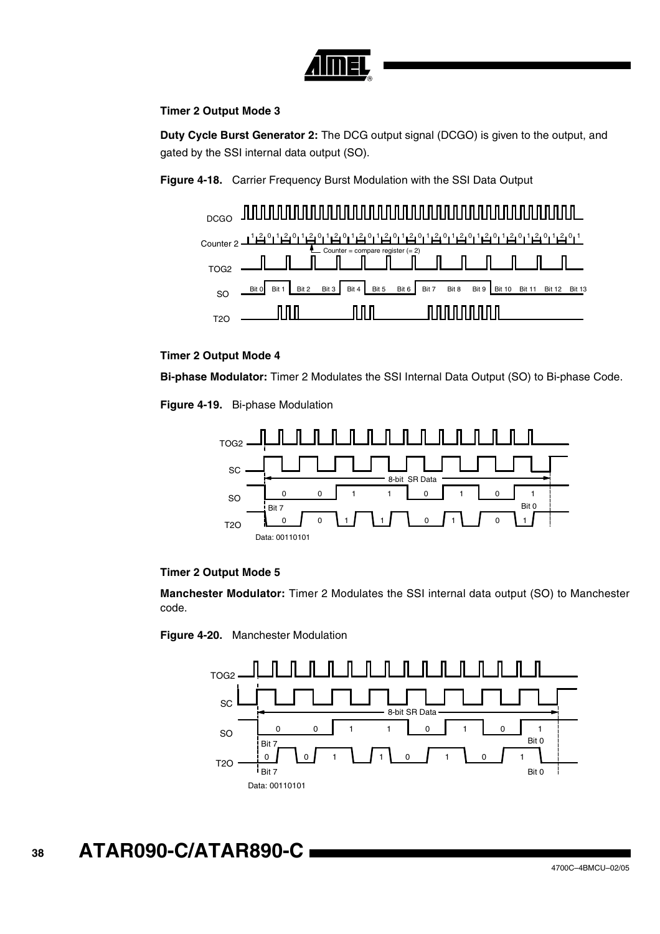

## **Timer 2 Output Mode 3**

**Duty Cycle Burst Generator 2:** The DCG output signal (DCGO) is given to the output, and gated by the SSI internal data output (SO).

**Figure 4-18.** Carrier Frequency Burst Modulation with the SSI Data Output



## **Timer 2 Output Mode 4**

**Bi-phase Modulator:** Timer 2 Modulates the SSI Internal Data Output (SO) to Bi-phase Code.

**Figure 4-19.** Bi-phase Modulation



## **Timer 2 Output Mode 5**

**Manchester Modulator:** Timer 2 Modulates the SSI internal data output (SO) to Manchester code.

**Figure 4-20.** Manchester Modulation

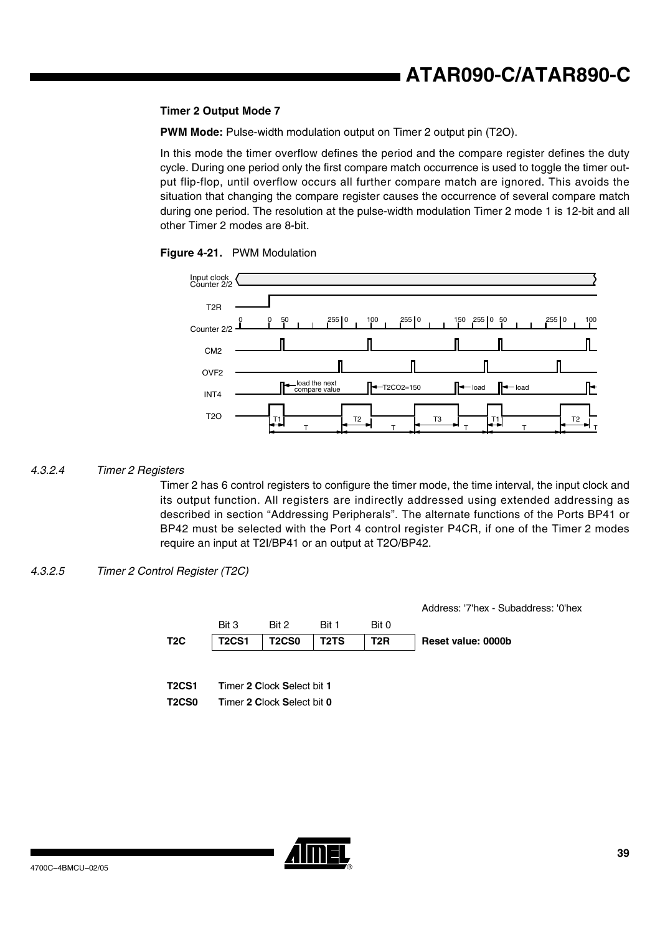### **Timer 2 Output Mode 7**

**PWM Mode:** Pulse-width modulation output on Timer 2 output pin (T2O).

In this mode the timer overflow defines the period and the compare register defines the duty cycle. During one period only the first compare match occurrence is used to toggle the timer output flip-flop, until overflow occurs all further compare match are ignored. This avoids the situation that changing the compare register causes the occurrence of several compare match during one period. The resolution at the pulse-width modulation Timer 2 mode 1 is 12-bit and all other Timer 2 modes are 8-bit.





#### *4.3.2.4 Timer 2 Registers*

Timer 2 has 6 control registers to configure the timer mode, the time interval, the input clock and its output function. All registers are indirectly addressed using extended addressing as described in section "Addressing Peripherals". The alternate functions of the Ports BP41 or BP42 must be selected with the Port 4 control register P4CR, if one of the Timer 2 modes require an input at T2I/BP41 or an output at T2O/BP42.

#### *4.3.2.5 Timer 2 Control Register (T2C)*

|                              |              |                                                          |       |       | Address: '7'hex - Subaddress: '0'hex |
|------------------------------|--------------|----------------------------------------------------------|-------|-------|--------------------------------------|
|                              | Bit 3        | Bit 2                                                    | Bit 1 | Bit 0 |                                      |
| T <sub>2</sub> C             | <b>T2CS1</b> | <b>T2CS0</b>                                             | T2TS  | T2R   | Reset value: 0000b                   |
| <b>T2CS1</b><br><b>T2CS0</b> |              | Timer 2 Clock Select bit 1<br>Timer 2 Clock Select bit 0 |       |       |                                      |

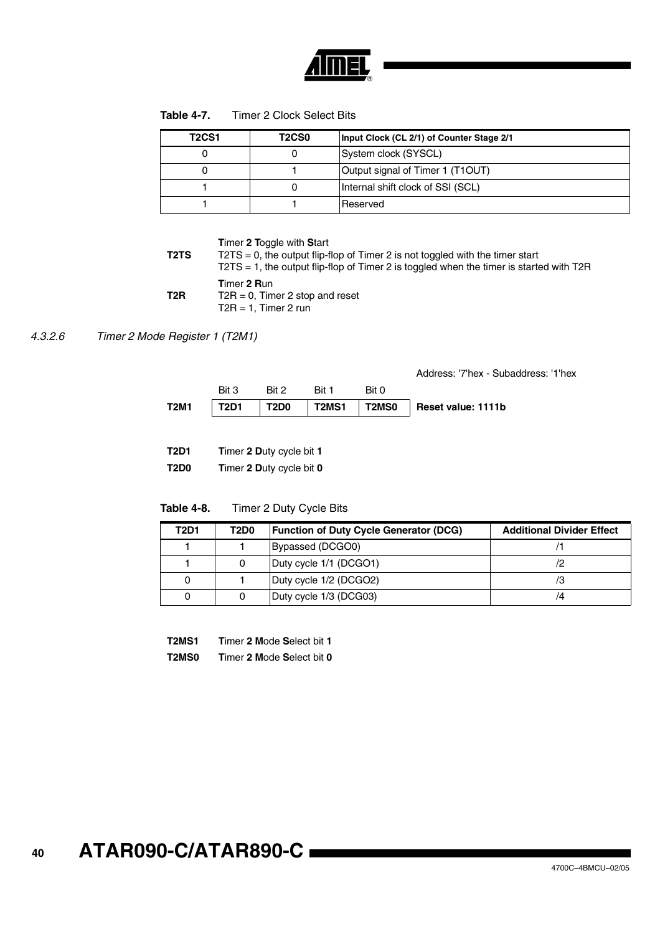

| <b>T2CS1</b> | <b>T2CS0</b> | Input Clock (CL 2/1) of Counter Stage 2/1 |
|--------------|--------------|-------------------------------------------|
|              |              | System clock (SYSCL)                      |
|              |              | Output signal of Timer 1 (T1OUT)          |
|              |              | Internal shift clock of SSI (SCL)         |
|              |              | Reserved                                  |

**T**imer **2 T**oggle with **S**tart

**T2TS**  $T2TS = 0$ , the output flip-flop of Timer 2 is not toggled with the timer start T2TS = 1, the output flip-flop of Timer 2 is toggled when the timer is started with T2R **T2R T**imer **2 R**un T2R = 0, Timer 2 stop and reset  $T2R = 1$ , Timer 2 run

*4.3.2.6 Timer 2 Mode Register 1 (T2M1)*

Address: '7'hex - Subaddress: '1'hex

| T2M1 | Bit 3<br>T2D1 | Rit 2<br>$\overline{1}$ T2D0 | Bit 1 | Bit 0 | T2MS1   T2MS0   Reset value: 1111b |
|------|---------------|------------------------------|-------|-------|------------------------------------|
|      |               |                              |       |       |                                    |

| <b>T2D1</b> |  | <b>Timer 2 Duty cycle bit 1</b> |
|-------------|--|---------------------------------|
|-------------|--|---------------------------------|

**T2D0 T**imer **2 D**uty cycle bit **0**

| Table 4-8. | Timer 2 Duty Cycle Bits |
|------------|-------------------------|
|------------|-------------------------|

| <b>T2D1</b> | T2D0 | <b>Function of Duty Cycle Generator (DCG)</b> | <b>Additional Divider Effect</b> |
|-------------|------|-----------------------------------------------|----------------------------------|
|             |      | Bypassed (DCGO0)                              |                                  |
|             |      | Duty cycle 1/1 (DCGO1)                        |                                  |
|             |      | Duty cycle 1/2 (DCGO2)                        |                                  |
|             |      | Duty cycle 1/3 (DCG03)                        | /4                               |

| <b>T2MS1</b> | Timer 2 Mode Select bit 1 |
|--------------|---------------------------|
|              |                           |

**T2MS0 T**imer **2 M**ode **S**elect bit **0**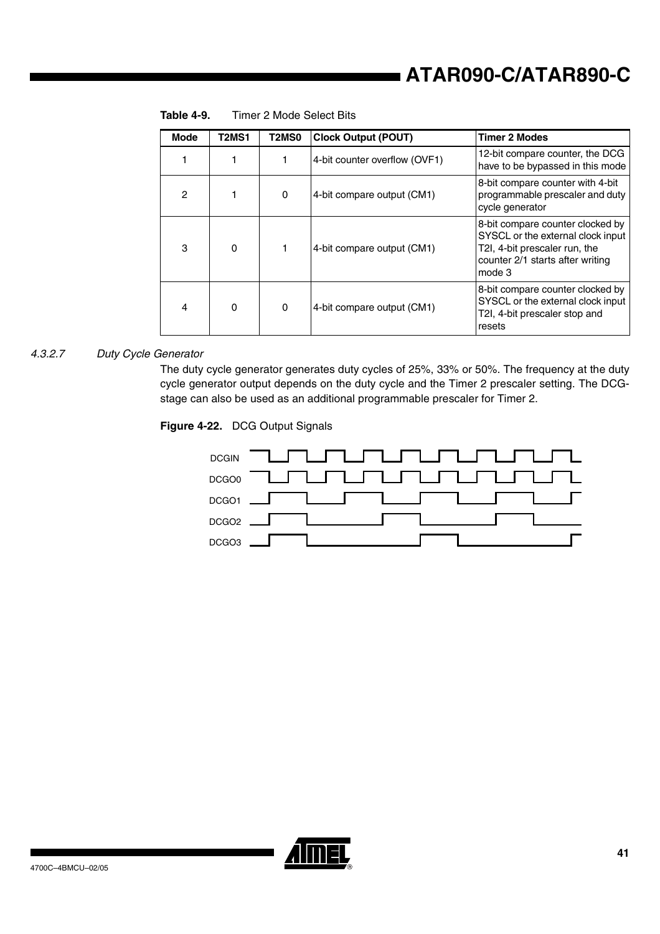| <b>Mode</b>    | <b>T2MS1</b> | T <sub>2</sub> M <sub>S0</sub> | <b>Clock Output (POUT)</b>    | <b>Timer 2 Modes</b>                                                                                                                                 |
|----------------|--------------|--------------------------------|-------------------------------|------------------------------------------------------------------------------------------------------------------------------------------------------|
|                |              | 1                              | 4-bit counter overflow (OVF1) | 12-bit compare counter, the DCG<br>have to be bypassed in this mode                                                                                  |
| $\overline{c}$ |              | 0                              | 4-bit compare output (CM1)    | 8-bit compare counter with 4-bit<br>programmable prescaler and duty<br>cycle generator                                                               |
| 3              | $\mathbf 0$  |                                | 4-bit compare output (CM1)    | 8-bit compare counter clocked by<br>SYSCL or the external clock input<br>T2I, 4-bit prescaler run, the<br>counter 2/1 starts after writing<br>mode 3 |
| 4              | 0            | 0                              | 4-bit compare output (CM1)    | 8-bit compare counter clocked by<br>SYSCL or the external clock input<br>T2I, 4-bit prescaler stop and<br>resets                                     |

**Table 4-9.** Timer 2 Mode Select Bits

#### *4.3.2.7 Duty Cycle Generator*

The duty cycle generator generates duty cycles of 25%, 33% or 50%. The frequency at the duty cycle generator output depends on the duty cycle and the Timer 2 prescaler setting. The DCGstage can also be used as an additional programmable prescaler for Timer 2.

#### **Figure 4-22.** DCG Output Signals



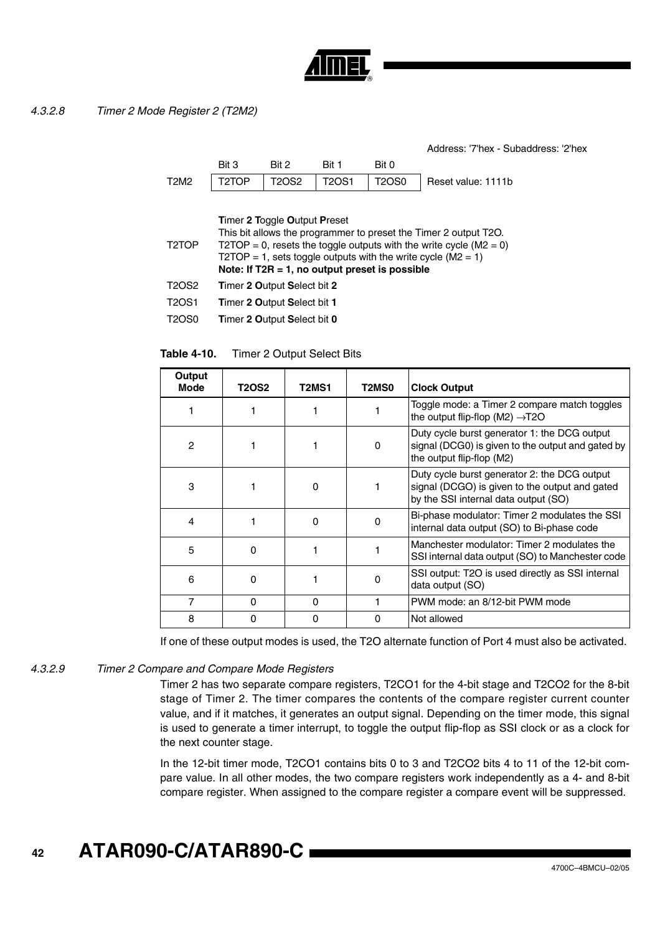

Address: '7'hex - Subaddress: '2'hex

|             | Bit 3 | Bit 2 | Bit 1 | Bit 0 |                                                    |
|-------------|-------|-------|-------|-------|----------------------------------------------------|
| <b>T2M2</b> |       |       |       |       | T2TOP   T2OS2   T2OS1   T2OS0   Reset value: 1111b |

**T**imer **2 T**oggle **O**utput **P**reset

| This bit allows the programmer to preset the Timer 2 output T2O.<br>T2TOP = 0, resets the toggle outputs with the write cycle ( $M2 = 0$ )<br>T2TOP = 1, sets toggle outputs with the write cycle ( $M2 = 1$ )<br>Note: If $T2R = 1$ , no output preset is possible |
|---------------------------------------------------------------------------------------------------------------------------------------------------------------------------------------------------------------------------------------------------------------------|
| Timer 2 Output Select bit 2                                                                                                                                                                                                                                         |
|                                                                                                                                                                                                                                                                     |

| T2OS1 | Timer 2 Output Select bit 1 |
|-------|-----------------------------|
|       |                             |

T2OS0 **T**imer **2 O**utput **S**elect bit **0**

**Table 4-10.** Timer 2 Output Select Bits

| Output<br>Mode | <b>T2OS2</b> | T2MS1    | T2MS0    | <b>Clock Output</b>                                                                                                                    |
|----------------|--------------|----------|----------|----------------------------------------------------------------------------------------------------------------------------------------|
|                |              |          |          | Toggle mode: a Timer 2 compare match toggles<br>the output flip-flop (M2) $\rightarrow$ T2O                                            |
| 2              |              |          | $\Omega$ | Duty cycle burst generator 1: the DCG output<br>signal (DCG0) is given to the output and gated by<br>the output flip-flop (M2)         |
| 3              |              | $\Omega$ |          | Duty cycle burst generator 2: the DCG output<br>signal (DCGO) is given to the output and gated<br>by the SSI internal data output (SO) |
| 4              |              | 0        | O        | Bi-phase modulator: Timer 2 modulates the SSI<br>internal data output (SO) to Bi-phase code                                            |
| 5              | 0            |          |          | Manchester modulator: Timer 2 modulates the<br>SSI internal data output (SO) to Manchester code                                        |
| 6              | O            |          | O        | SSI output: T2O is used directly as SSI internal<br>data output (SO)                                                                   |
| 7              | 0            | O        |          | PWM mode: an 8/12-bit PWM mode                                                                                                         |
| 8              | O            | O        | O        | Not allowed                                                                                                                            |

If one of these output modes is used, the T2O alternate function of Port 4 must also be activated.

#### *4.3.2.9 Timer 2 Compare and Compare Mode Registers*

Timer 2 has two separate compare registers, T2CO1 for the 4-bit stage and T2CO2 for the 8-bit stage of Timer 2. The timer compares the contents of the compare register current counter value, and if it matches, it generates an output signal. Depending on the timer mode, this signal is used to generate a timer interrupt, to toggle the output flip-flop as SSI clock or as a clock for the next counter stage.

In the 12-bit timer mode, T2CO1 contains bits 0 to 3 and T2CO2 bits 4 to 11 of the 12-bit compare value. In all other modes, the two compare registers work independently as a 4- and 8-bit compare register. When assigned to the compare register a compare event will be suppressed.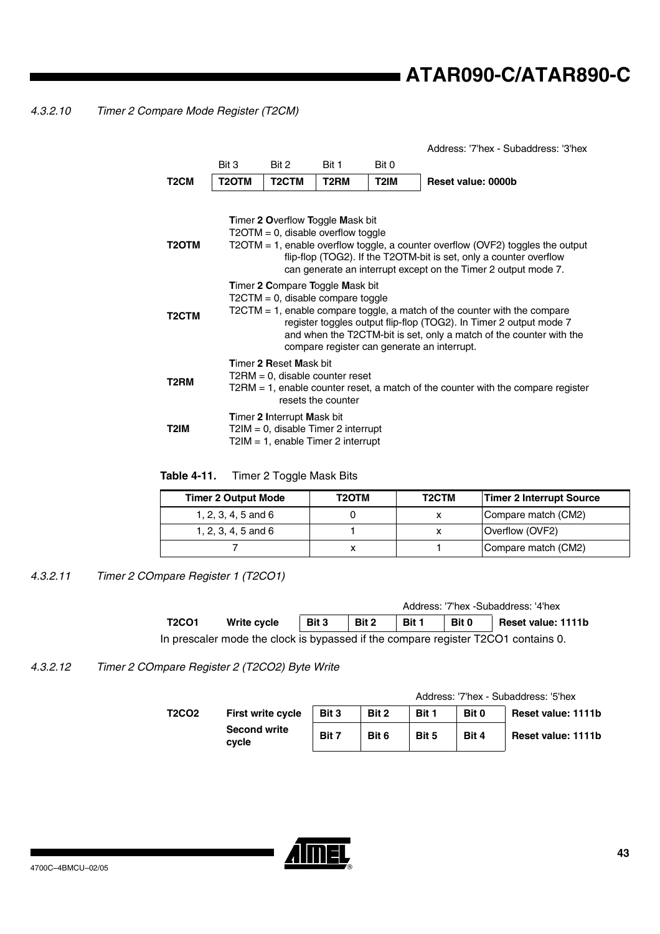*4.3.2.10 Timer 2 Compare Mode Register (T2CM)*

|                    |                                                                                                                                                                                                                                                                                                                                                     |                                                                                                                      |                   |                   | Address: '7'hex - Subaddress: '3'hex |  |  |  |  |
|--------------------|-----------------------------------------------------------------------------------------------------------------------------------------------------------------------------------------------------------------------------------------------------------------------------------------------------------------------------------------------------|----------------------------------------------------------------------------------------------------------------------|-------------------|-------------------|--------------------------------------|--|--|--|--|
|                    | Bit 3                                                                                                                                                                                                                                                                                                                                               | Bit 2                                                                                                                | Bit 1             | Bit 0             |                                      |  |  |  |  |
| T <sub>2</sub> CM  | T <sub>2</sub> OTM                                                                                                                                                                                                                                                                                                                                  | T <sub>2</sub> CTM                                                                                                   | T <sub>2</sub> RM | T <sub>2</sub> IM | Reset value: 0000b                   |  |  |  |  |
| T2OTM              | <b>Timer 2 Overflow Toggle Mask bit</b><br>$T2OTM = 0$ , disable overflow toggle<br>T2OTM = 1, enable overflow toggle, a counter overflow (OVF2) toggles the output<br>flip-flop (TOG2). If the T2OTM-bit is set, only a counter overflow<br>can generate an interrupt except on the Timer 2 output mode 7.                                         |                                                                                                                      |                   |                   |                                      |  |  |  |  |
| T <sub>2</sub> CTM | Timer 2 Compare Toggle Mask bit<br>$T2CTM = 0$ , disable compare toggle<br>$T2CTM = 1$ , enable compare toggle, a match of the counter with the compare<br>register toggles output flip-flop (TOG2). In Timer 2 output mode 7<br>and when the T2CTM-bit is set, only a match of the counter with the<br>compare register can generate an interrupt. |                                                                                                                      |                   |                   |                                      |  |  |  |  |
| T2RM               | <b>Timer 2 Reset Mask bit</b><br>$T2RM = 0$ , disable counter reset<br>$T2RM = 1$ , enable counter reset, a match of the counter with the compare register<br>resets the counter                                                                                                                                                                    |                                                                                                                      |                   |                   |                                      |  |  |  |  |
| T2IM               |                                                                                                                                                                                                                                                                                                                                                     | <b>Timer 2 Interrupt Mask bit</b><br>$T2IM = 0$ , disable Timer 2 interrupt<br>$T2IM = 1$ , enable Timer 2 interrupt |                   |                   |                                      |  |  |  |  |

**Table 4-11.** Timer 2 Toggle Mask Bits

| <b>Timer 2 Output Mode</b> | T2OTM | T <sub>2</sub> CTM | Timer 2 Interrupt Source |
|----------------------------|-------|--------------------|--------------------------|
| 1, 2, 3, 4, 5 and 6        |       |                    | Compare match (CM2)      |
| 1, 2, 3, 4, 5 and 6        |       |                    | Overflow (OVF2)          |
|                            |       |                    | Compare match (CM2)      |

*4.3.2.11 Timer 2 COmpare Register 1 (T2CO1)*

|                                                                                   |             |       |       |       |       | Address: '7'hex -Subaddress: '4'hex |
|-----------------------------------------------------------------------------------|-------------|-------|-------|-------|-------|-------------------------------------|
| <b>T2CO1</b>                                                                      | Write cycle | Bit 3 | Bit 2 | Bit 1 | Bit 0 | Reset value: 1111b                  |
| In prescaler mode the clock is bypassed if the compare register T2CO1 contains 0. |             |       |       |       |       |                                     |

*4.3.2.12 Timer 2 COmpare Register 2 (T2CO2) Byte Write*

|       |                              |       |       |       |       | Address: '7'hex - Subaddress: '5'hex |
|-------|------------------------------|-------|-------|-------|-------|--------------------------------------|
| T2CO2 | <b>First write cycle</b>     | Bit 3 | Bit 2 | Bit 1 | Bit 0 | Reset value: 1111b                   |
|       | <b>Second write</b><br>cycle | Bit 7 | Bit 6 | Bit 5 | Bit 4 | Reset value: 1111b                   |

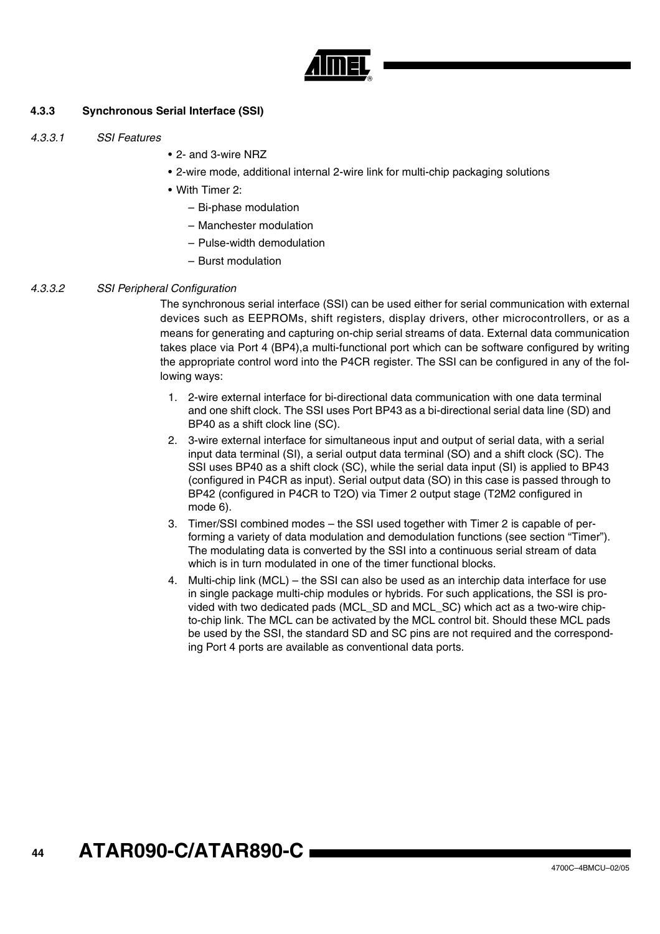

## **4.3.3 Synchronous Serial Interface (SSI)**

- *4.3.3.1 SSI Features*
- 2- and 3-wire NRZ
- 2-wire mode, additional internal 2-wire link for multi-chip packaging solutions
- With Timer 2:
	- Bi-phase modulation
	- Manchester modulation
	- Pulse-width demodulation
	- Burst modulation

#### *4.3.3.2 SSI Peripheral Configuration*

The synchronous serial interface (SSI) can be used either for serial communication with external devices such as EEPROMs, shift registers, display drivers, other microcontrollers, or as a means for generating and capturing on-chip serial streams of data. External data communication takes place via Port 4 (BP4),a multi-functional port which can be software configured by writing the appropriate control word into the P4CR register. The SSI can be configured in any of the following ways:

- 1. 2-wire external interface for bi-directional data communication with one data terminal and one shift clock. The SSI uses Port BP43 as a bi-directional serial data line (SD) and BP40 as a shift clock line (SC).
- 2. 3-wire external interface for simultaneous input and output of serial data, with a serial input data terminal (SI), a serial output data terminal (SO) and a shift clock (SC). The SSI uses BP40 as a shift clock (SC), while the serial data input (SI) is applied to BP43 (configured in P4CR as input). Serial output data (SO) in this case is passed through to BP42 (configured in P4CR to T2O) via Timer 2 output stage (T2M2 configured in mode 6).
- 3. Timer/SSI combined modes the SSI used together with Timer 2 is capable of performing a variety of data modulation and demodulation functions (see section "Timer"). The modulating data is converted by the SSI into a continuous serial stream of data which is in turn modulated in one of the timer functional blocks.
- 4. Multi-chip link (MCL) the SSI can also be used as an interchip data interface for use in single package multi-chip modules or hybrids. For such applications, the SSI is provided with two dedicated pads (MCL\_SD and MCL\_SC) which act as a two-wire chipto-chip link. The MCL can be activated by the MCL control bit. Should these MCL pads be used by the SSI, the standard SD and SC pins are not required and the corresponding Port 4 ports are available as conventional data ports.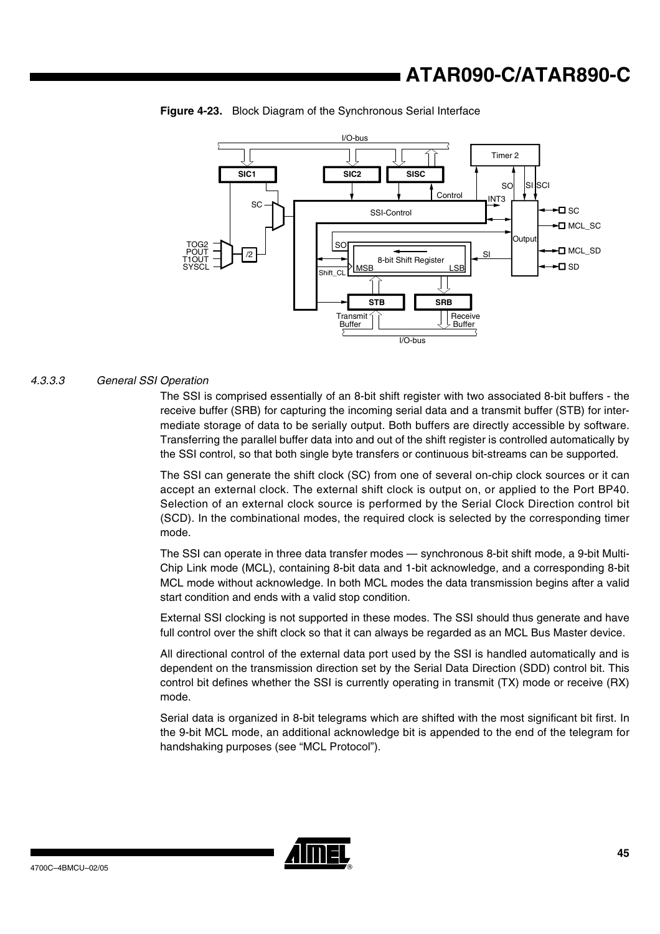



#### *4.3.3.3 General SSI Operation*

The SSI is comprised essentially of an 8-bit shift register with two associated 8-bit buffers - the receive buffer (SRB) for capturing the incoming serial data and a transmit buffer (STB) for intermediate storage of data to be serially output. Both buffers are directly accessible by software. Transferring the parallel buffer data into and out of the shift register is controlled automatically by the SSI control, so that both single byte transfers or continuous bit-streams can be supported.

The SSI can generate the shift clock (SC) from one of several on-chip clock sources or it can accept an external clock. The external shift clock is output on, or applied to the Port BP40. Selection of an external clock source is performed by the Serial Clock Direction control bit (SCD). In the combinational modes, the required clock is selected by the corresponding timer mode.

The SSI can operate in three data transfer modes — synchronous 8-bit shift mode, a 9-bit Multi-Chip Link mode (MCL), containing 8-bit data and 1-bit acknowledge, and a corresponding 8-bit MCL mode without acknowledge. In both MCL modes the data transmission begins after a valid start condition and ends with a valid stop condition.

External SSI clocking is not supported in these modes. The SSI should thus generate and have full control over the shift clock so that it can always be regarded as an MCL Bus Master device.

All directional control of the external data port used by the SSI is handled automatically and is dependent on the transmission direction set by the Serial Data Direction (SDD) control bit. This control bit defines whether the SSI is currently operating in transmit (TX) mode or receive (RX) mode.

Serial data is organized in 8-bit telegrams which are shifted with the most significant bit first. In the 9-bit MCL mode, an additional acknowledge bit is appended to the end of the telegram for handshaking purposes (see "MCL Protocol").

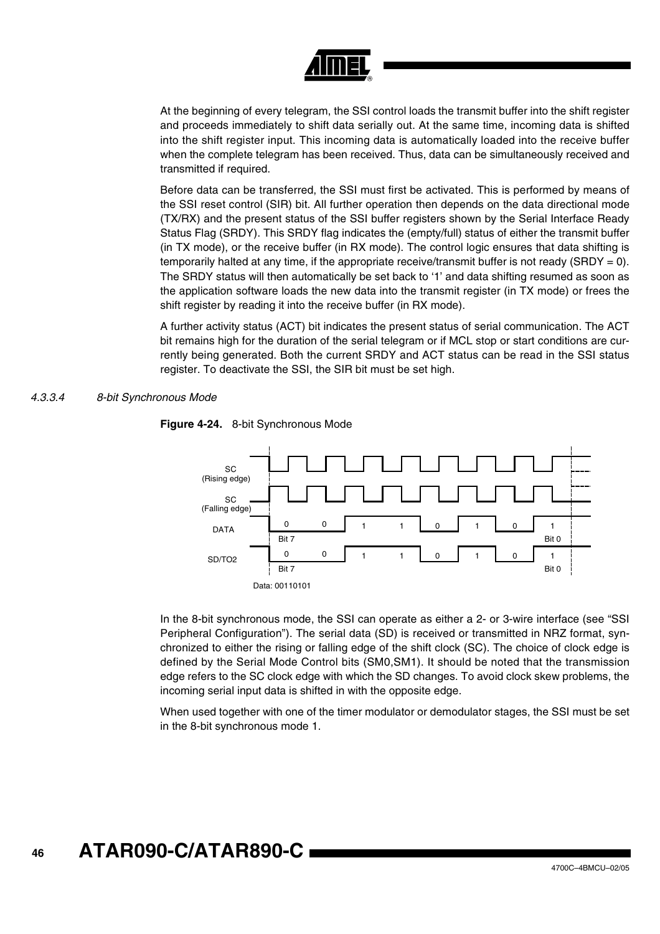

At the beginning of every telegram, the SSI control loads the transmit buffer into the shift register and proceeds immediately to shift data serially out. At the same time, incoming data is shifted into the shift register input. This incoming data is automatically loaded into the receive buffer when the complete telegram has been received. Thus, data can be simultaneously received and transmitted if required.

Before data can be transferred, the SSI must first be activated. This is performed by means of the SSI reset control (SIR) bit. All further operation then depends on the data directional mode (TX/RX) and the present status of the SSI buffer registers shown by the Serial Interface Ready Status Flag (SRDY). This SRDY flag indicates the (empty/full) status of either the transmit buffer (in TX mode), or the receive buffer (in RX mode). The control logic ensures that data shifting is temporarily halted at any time, if the appropriate receive/transmit buffer is not ready (SRDY = 0). The SRDY status will then automatically be set back to '1' and data shifting resumed as soon as the application software loads the new data into the transmit register (in TX mode) or frees the shift register by reading it into the receive buffer (in RX mode).

A further activity status (ACT) bit indicates the present status of serial communication. The ACT bit remains high for the duration of the serial telegram or if MCL stop or start conditions are currently being generated. Both the current SRDY and ACT status can be read in the SSI status register. To deactivate the SSI, the SIR bit must be set high.

#### *4.3.3.4 8-bit Synchronous Mode*



**Figure 4-24.** 8-bit Synchronous Mode

In the 8-bit synchronous mode, the SSI can operate as either a 2- or 3-wire interface (see "SSI Peripheral Configuration"). The serial data (SD) is received or transmitted in NRZ format, synchronized to either the rising or falling edge of the shift clock (SC). The choice of clock edge is defined by the Serial Mode Control bits (SM0,SM1). It should be noted that the transmission edge refers to the SC clock edge with which the SD changes. To avoid clock skew problems, the incoming serial input data is shifted in with the opposite edge.

When used together with one of the timer modulator or demodulator stages, the SSI must be set in the 8-bit synchronous mode 1.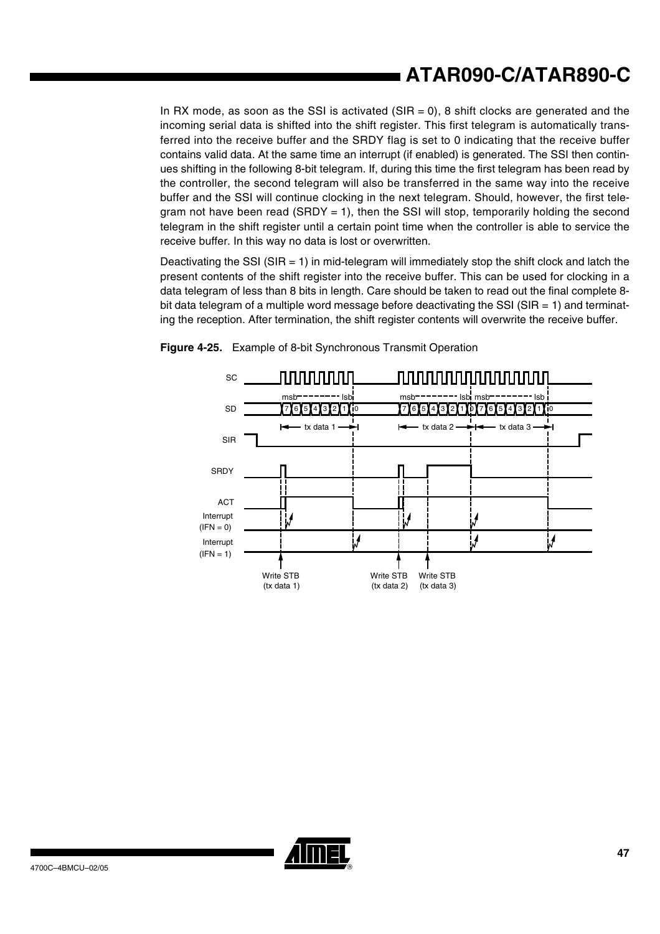In RX mode, as soon as the SSI is activated  $(SIR = 0)$ , 8 shift clocks are generated and the incoming serial data is shifted into the shift register. This first telegram is automatically transferred into the receive buffer and the SRDY flag is set to 0 indicating that the receive buffer contains valid data. At the same time an interrupt (if enabled) is generated. The SSI then continues shifting in the following 8-bit telegram. If, during this time the first telegram has been read by the controller, the second telegram will also be transferred in the same way into the receive buffer and the SSI will continue clocking in the next telegram. Should, however, the first telegram not have been read (SRDY = 1), then the SSI will stop, temporarily holding the second telegram in the shift register until a certain point time when the controller is able to service the receive buffer. In this way no data is lost or overwritten.

Deactivating the SSI (SIR  $= 1$ ) in mid-telegram will immediately stop the shift clock and latch the present contents of the shift register into the receive buffer. This can be used for clocking in a data telegram of less than 8 bits in length. Care should be taken to read out the final complete 8 bit data telegram of a multiple word message before deactivating the SSI (SIR  $=$  1) and terminating the reception. After termination, the shift register contents will overwrite the receive buffer.





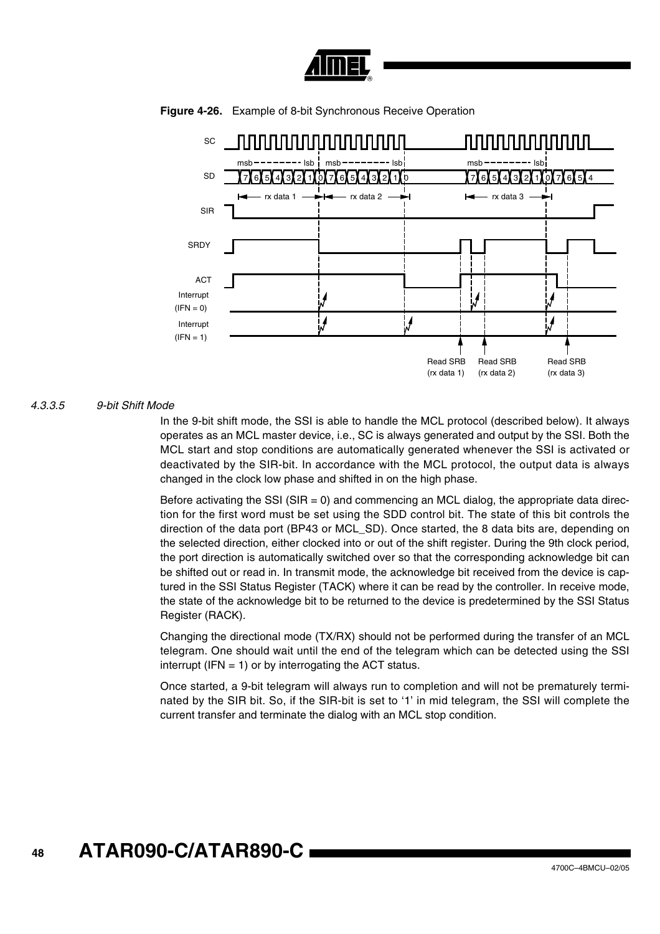



**Figure 4-26.** Example of 8-bit Synchronous Receive Operation

#### *4.3.3.5 9-bit Shift Mode*

In the 9-bit shift mode, the SSI is able to handle the MCL protocol (described below). It always operates as an MCL master device, i.e., SC is always generated and output by the SSI. Both the MCL start and stop conditions are automatically generated whenever the SSI is activated or deactivated by the SIR-bit. In accordance with the MCL protocol, the output data is always changed in the clock low phase and shifted in on the high phase.

Before activating the SSI ( $SIR = 0$ ) and commencing an MCL dialog, the appropriate data direction for the first word must be set using the SDD control bit. The state of this bit controls the direction of the data port (BP43 or MCL\_SD). Once started, the 8 data bits are, depending on the selected direction, either clocked into or out of the shift register. During the 9th clock period, the port direction is automatically switched over so that the corresponding acknowledge bit can be shifted out or read in. In transmit mode, the acknowledge bit received from the device is captured in the SSI Status Register (TACK) where it can be read by the controller. In receive mode, the state of the acknowledge bit to be returned to the device is predetermined by the SSI Status Register (RACK).

Changing the directional mode (TX/RX) should not be performed during the transfer of an MCL telegram. One should wait until the end of the telegram which can be detected using the SSI interrupt (IFN  $= 1$ ) or by interrogating the ACT status.

Once started, a 9-bit telegram will always run to completion and will not be prematurely terminated by the SIR bit. So, if the SIR-bit is set to '1' in mid telegram, the SSI will complete the current transfer and terminate the dialog with an MCL stop condition.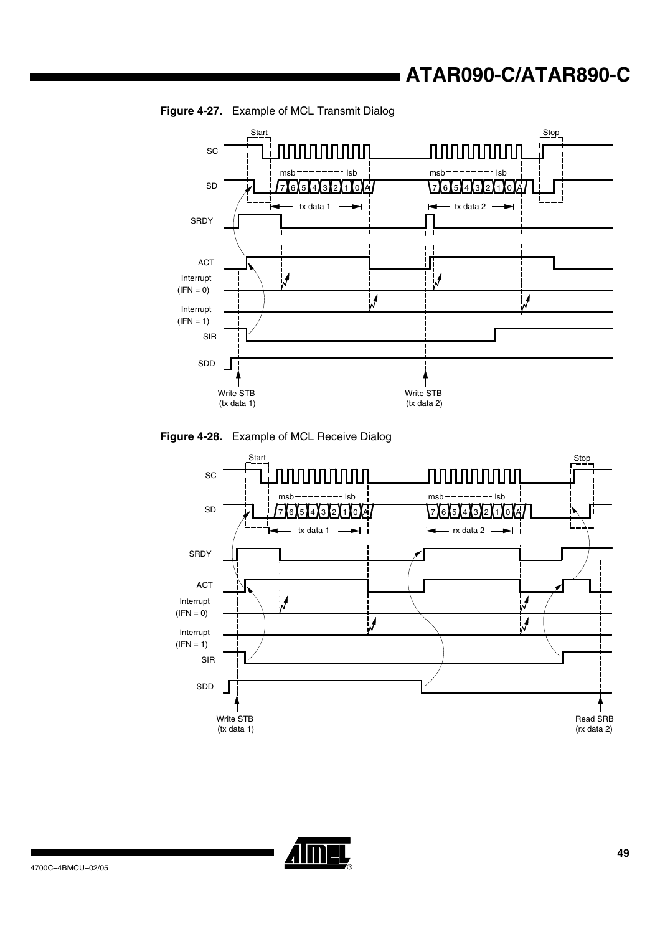

**Figure 4-27.** Example of MCL Transmit Dialog





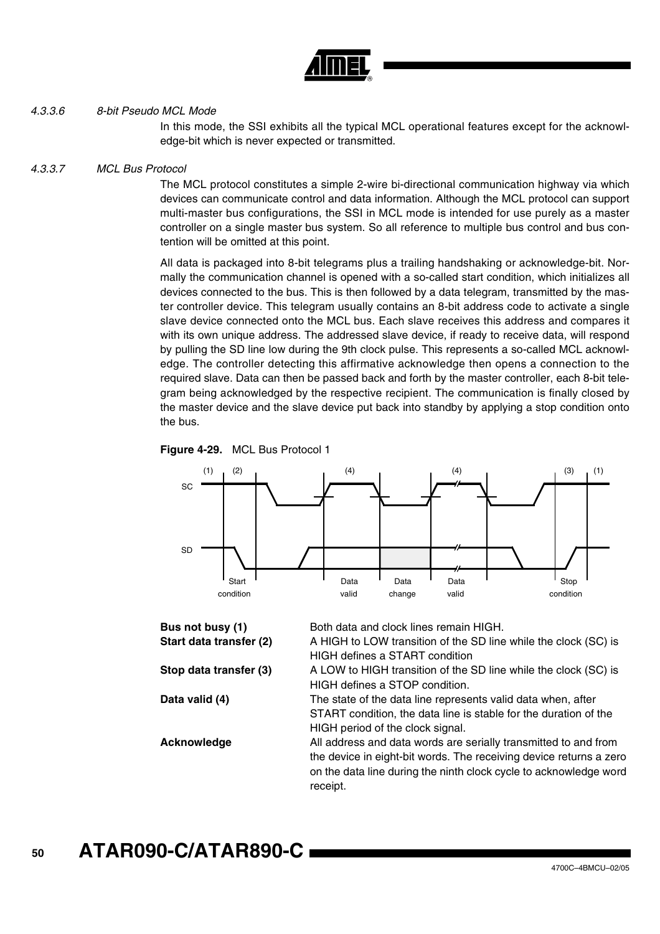

#### *4.3.3.6 8-bit Pseudo MCL Mode*

In this mode, the SSI exhibits all the typical MCL operational features except for the acknowledge-bit which is never expected or transmitted.

#### *4.3.3.7 MCL Bus Protocol*

The MCL protocol constitutes a simple 2-wire bi-directional communication highway via which devices can communicate control and data information. Although the MCL protocol can support multi-master bus configurations, the SSI in MCL mode is intended for use purely as a master controller on a single master bus system. So all reference to multiple bus control and bus contention will be omitted at this point.

All data is packaged into 8-bit telegrams plus a trailing handshaking or acknowledge-bit. Normally the communication channel is opened with a so-called start condition, which initializes all devices connected to the bus. This is then followed by a data telegram, transmitted by the master controller device. This telegram usually contains an 8-bit address code to activate a single slave device connected onto the MCL bus. Each slave receives this address and compares it with its own unique address. The addressed slave device, if ready to receive data, will respond by pulling the SD line low during the 9th clock pulse. This represents a so-called MCL acknowledge. The controller detecting this affirmative acknowledge then opens a connection to the required slave. Data can then be passed back and forth by the master controller, each 8-bit telegram being acknowledged by the respective recipient. The communication is finally closed by the master device and the slave device put back into standby by applying a stop condition onto the bus.





| Bus not busy (1)        | Both data and clock lines remain HIGH.                                                                                                                                                                                 |
|-------------------------|------------------------------------------------------------------------------------------------------------------------------------------------------------------------------------------------------------------------|
| Start data transfer (2) | A HIGH to LOW transition of the SD line while the clock (SC) is<br><b>HIGH defines a START condition</b>                                                                                                               |
| Stop data transfer (3)  | A LOW to HIGH transition of the SD line while the clock (SC) is<br>HIGH defines a STOP condition.                                                                                                                      |
| Data valid (4)          | The state of the data line represents valid data when, after<br>START condition, the data line is stable for the duration of the<br>HIGH period of the clock signal.                                                   |
| Acknowledge             | All address and data words are serially transmitted to and from<br>the device in eight-bit words. The receiving device returns a zero<br>on the data line during the ninth clock cycle to acknowledge word<br>receipt. |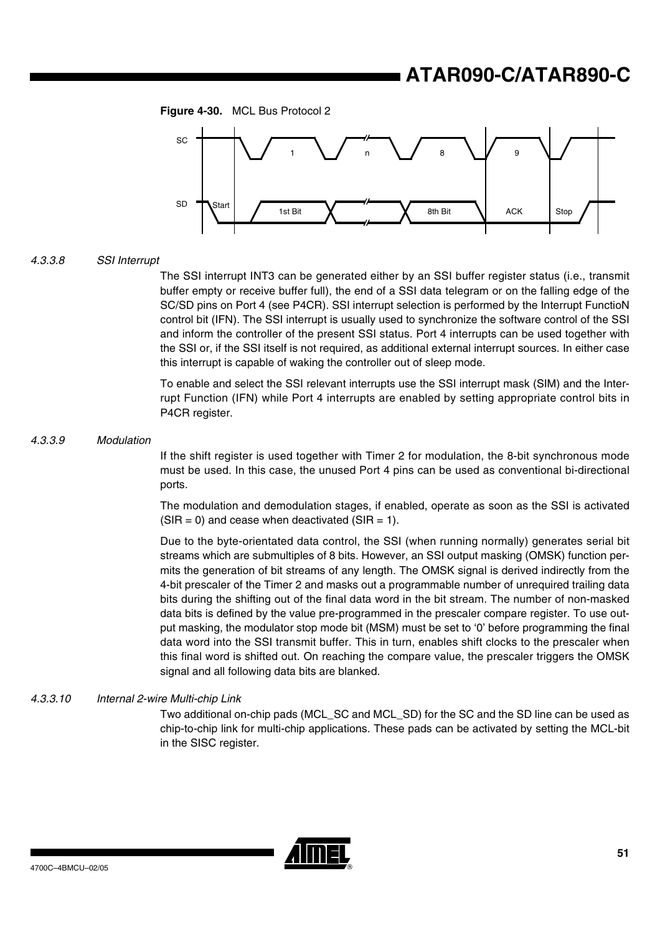



#### *4.3.3.8 SSI Interrupt*

The SSI interrupt INT3 can be generated either by an SSI buffer register status (i.e., transmit buffer empty or receive buffer full), the end of a SSI data telegram or on the falling edge of the SC/SD pins on Port 4 (see P4CR). SSI interrupt selection is performed by the Interrupt FunctioN control bit (IFN). The SSI interrupt is usually used to synchronize the software control of the SSI and inform the controller of the present SSI status. Port 4 interrupts can be used together with the SSI or, if the SSI itself is not required, as additional external interrupt sources. In either case this interrupt is capable of waking the controller out of sleep mode.

To enable and select the SSI relevant interrupts use the SSI interrupt mask (SIM) and the Interrupt Function (IFN) while Port 4 interrupts are enabled by setting appropriate control bits in P4CR register.

#### *4.3.3.9 Modulation*

If the shift register is used together with Timer 2 for modulation, the 8-bit synchronous mode must be used. In this case, the unused Port 4 pins can be used as conventional bi-directional ports.

The modulation and demodulation stages, if enabled, operate as soon as the SSI is activated  $(SIR = 0)$  and cease when deactivated  $(SIR = 1)$ .

Due to the byte-orientated data control, the SSI (when running normally) generates serial bit streams which are submultiples of 8 bits. However, an SSI output masking (OMSK) function permits the generation of bit streams of any length. The OMSK signal is derived indirectly from the 4-bit prescaler of the Timer 2 and masks out a programmable number of unrequired trailing data bits during the shifting out of the final data word in the bit stream. The number of non-masked data bits is defined by the value pre-programmed in the prescaler compare register. To use output masking, the modulator stop mode bit (MSM) must be set to '0' before programming the final data word into the SSI transmit buffer. This in turn, enables shift clocks to the prescaler when this final word is shifted out. On reaching the compare value, the prescaler triggers the OMSK signal and all following data bits are blanked.

#### *4.3.3.10 Internal 2-wire Multi-chip Link*

Two additional on-chip pads (MCL\_SC and MCL\_SD) for the SC and the SD line can be used as chip-to-chip link for multi-chip applications. These pads can be activated by setting the MCL-bit in the SISC register.

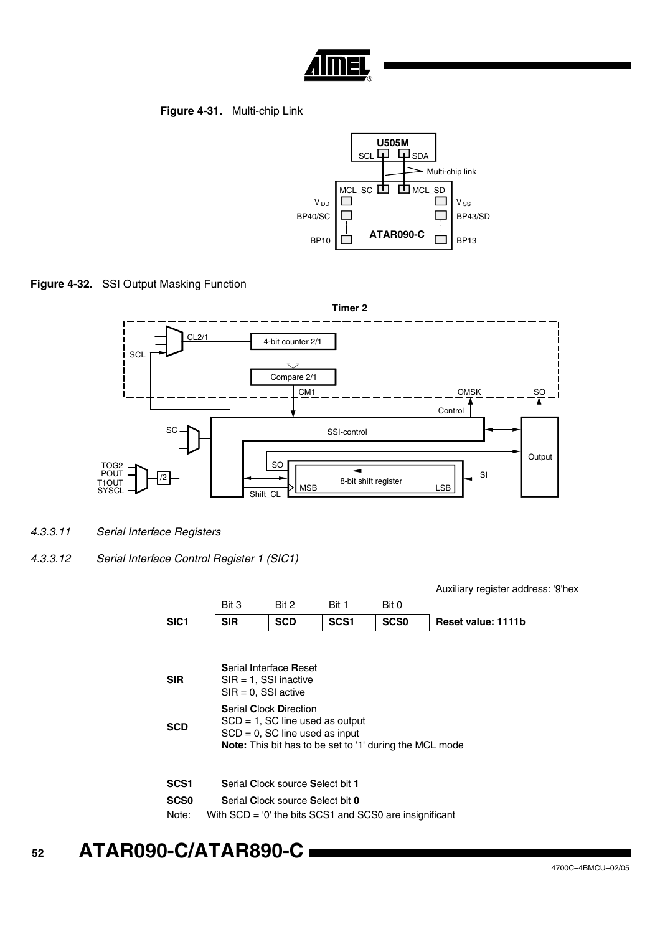

## **Figure 4-31.** Multi-chip Link



**Figure 4-32.** SSI Output Masking Function



- *4.3.3.11 Serial Interface Registers*
- *4.3.3.12 Serial Interface Control Register 1 (SIC1)*

Auxiliary register address: '9'hex

|                                          | Bit 3                                                                                                                                 | Bit 2                                                                                                                                                                                                    | Bit 1            | Bit 0       |                    |  |  |  |
|------------------------------------------|---------------------------------------------------------------------------------------------------------------------------------------|----------------------------------------------------------------------------------------------------------------------------------------------------------------------------------------------------------|------------------|-------------|--------------------|--|--|--|
| SIC <sub>1</sub>                         | <b>SIR</b>                                                                                                                            | <b>SCD</b>                                                                                                                                                                                               | SCS <sub>1</sub> | <b>SCS0</b> | Reset value: 1111b |  |  |  |
| <b>SIR</b>                               |                                                                                                                                       | Serial Interface Reset<br>$SIR = 1$ , SSI inactive                                                                                                                                                       |                  |             |                    |  |  |  |
| <b>SCD</b>                               |                                                                                                                                       | $SIR = 0$ , SSI active<br><b>Serial Clock Direction</b><br>$SCD = 1$ , $SC$ line used as output<br>$SCD = 0$ , $SC$ line used as input<br><b>Note:</b> This bit has to be set to '1' during the MCL mode |                  |             |                    |  |  |  |
| SCS <sub>1</sub><br><b>SCS0</b><br>Note: | Serial Clock source Select bit 1<br>Serial Clock source Select bit 0<br>With $SCD = '0'$ the bits $SCS1$ and $SCS0$ are insignificant |                                                                                                                                                                                                          |                  |             |                    |  |  |  |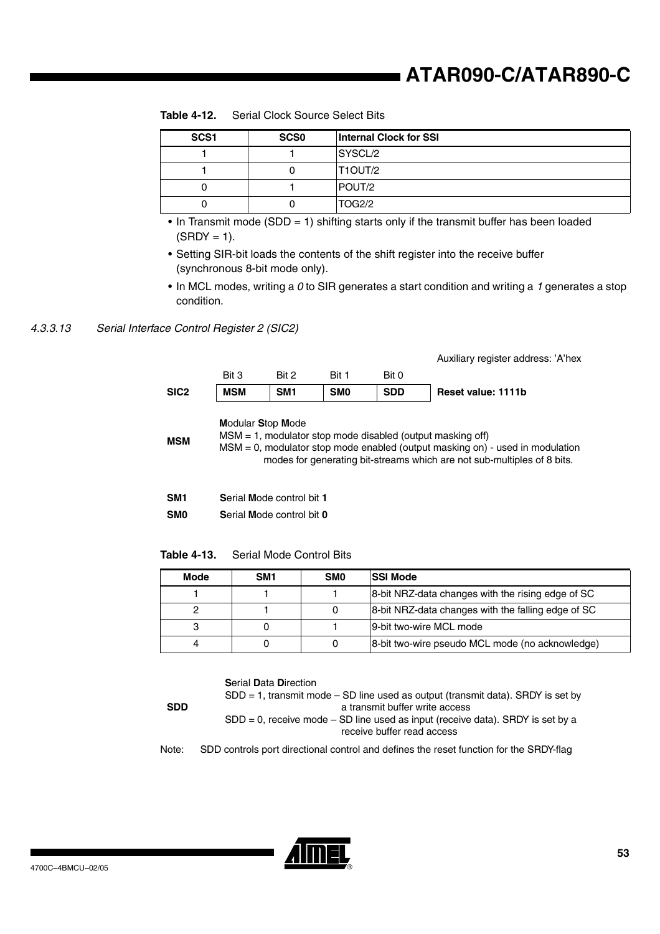| SCS <sub>1</sub> | SCS <sub>0</sub> | <b>Internal Clock for SSI</b> |
|------------------|------------------|-------------------------------|
|                  |                  | SYSCL/2                       |
|                  |                  | IT1OUT/2                      |
|                  |                  | <b>POUT/2</b>                 |
|                  |                  | <b>TOG2/2</b>                 |

**Table 4-12.** Serial Clock Source Select Bits

- In Transmit mode (SDD = 1) shifting starts only if the transmit buffer has been loaded  $(SRDY = 1).$
- Setting SIR-bit loads the contents of the shift register into the receive buffer (synchronous 8-bit mode only).
- In MCL modes, writing a *0* to SIR generates a start condition and writing a *1* generates a stop condition.

#### *4.3.3.13 Serial Interface Control Register 2 (SIC2)*



| <b>Modular Stop Mode</b> |  |  |
|--------------------------|--|--|
|--------------------------|--|--|

**MSM** MSM = 1, modulator stop mode disabled (output masking off) MSM = 0, modulator stop mode enabled (output masking on) - used in modulation modes for generating bit-streams which are not sub-multiples of 8 bits.

| SM <sub>1</sub> | Serial Mode control bit 1 |  |
|-----------------|---------------------------|--|
|                 |                           |  |

**SM0 S**erial **M**ode control bit **0**

**Table 4-13.** Serial Mode Control Bits

| <b>Mode</b> | SM <sub>1</sub> | SM <sub>0</sub> | <b>SSI Mode</b>                                    |
|-------------|-----------------|-----------------|----------------------------------------------------|
|             |                 |                 | 8-bit NRZ-data changes with the rising edge of SC  |
|             |                 |                 | 8-bit NRZ-data changes with the falling edge of SC |
|             |                 |                 | 9-bit two-wire MCL mode                            |
|             |                 |                 | 8-bit two-wire pseudo MCL mode (no acknowledge)    |

**S**erial **D**ata **D**irection

**SDD**

 $SDD = 1$ , transmit mode  $- SD$  line used as output (transmit data). SRDY is set by a transmit buffer write access  $SDD = 0$ , receive mode  $- SD$  line used as input (receive data). SRDY is set by a receive buffer read access

Note: SDD controls port directional control and defines the reset function for the SRDY-flag

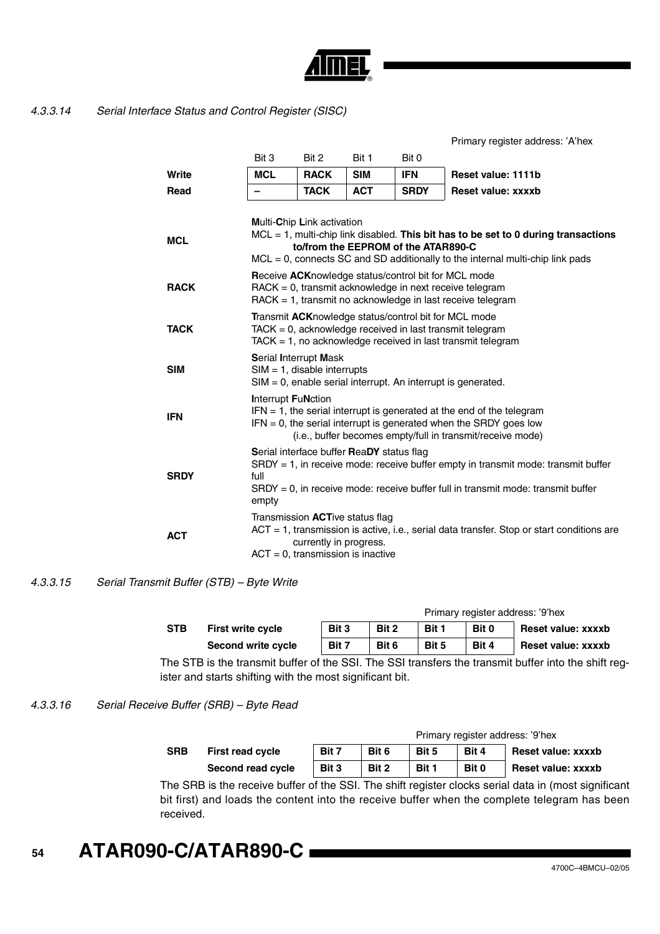

#### *4.3.3.14 Serial Interface Status and Control Register (SISC)*

Primary register address: 'A'hex

|             | Bit 3                                                                                                                                                                                                                                       | Bit 2                             | Bit 1                                                                           | Bit 0       |                                                                                              |  |  |  |
|-------------|---------------------------------------------------------------------------------------------------------------------------------------------------------------------------------------------------------------------------------------------|-----------------------------------|---------------------------------------------------------------------------------|-------------|----------------------------------------------------------------------------------------------|--|--|--|
| Write       | <b>MCL</b>                                                                                                                                                                                                                                  | <b>RACK</b>                       | <b>SIM</b>                                                                      | <b>IFN</b>  | Reset value: 1111b                                                                           |  |  |  |
| Read        |                                                                                                                                                                                                                                             | <b>TACK</b>                       | <b>ACT</b>                                                                      | <b>SRDY</b> | Reset value: xxxxb                                                                           |  |  |  |
|             |                                                                                                                                                                                                                                             | <b>Multi-Chip Link activation</b> |                                                                                 |             |                                                                                              |  |  |  |
| <b>MCL</b>  | MCL = 1, multi-chip link disabled. This bit has to be set to 0 during transactions<br>to/from the EEPROM of the ATAR890-C<br>$MCL = 0$ , connects SC and SD additionally to the internal multi-chip link pads                               |                                   |                                                                                 |             |                                                                                              |  |  |  |
| <b>RACK</b> | <b>Receive ACKnowledge status/control bit for MCL mode</b><br>RACK = 0, transmit acknowledge in next receive telegram<br>RACK = 1, transmit no acknowledge in last receive telegram                                                         |                                   |                                                                                 |             |                                                                                              |  |  |  |
| <b>TACK</b> | Transmit ACKnowledge status/control bit for MCL mode<br>$TACK = 0$ , acknowledge received in last transmit telegram<br>$TACK = 1$ , no acknowledge received in last transmit telegram                                                       |                                   |                                                                                 |             |                                                                                              |  |  |  |
| <b>SIM</b>  | <b>Serial Interrupt Mask</b><br>$SIM = 1$ , disable interrupts<br>$SIM = 0$ , enable serial interrupt. An interrupt is generated.                                                                                                           |                                   |                                                                                 |             |                                                                                              |  |  |  |
| <b>IFN</b>  | <b>Interrupt FuNction</b><br>$IFN = 1$ , the serial interrupt is generated at the end of the telegram<br>$IFN = 0$ , the serial interrupt is generated when the SRDY goes low<br>(i.e., buffer becomes empty/full in transmit/receive mode) |                                   |                                                                                 |             |                                                                                              |  |  |  |
| <b>SRDY</b> | Serial interface buffer ReaDY status flag<br>$SRDY = 1$ , in receive mode: receive buffer empty in transmit mode: transmit buffer<br>full<br>$SRDY = 0$ , in receive mode: receive buffer full in transmit mode: transmit buffer<br>empty   |                                   |                                                                                 |             |                                                                                              |  |  |  |
| <b>ACT</b>  |                                                                                                                                                                                                                                             | currently in progress.            | Transmission <b>ACT</b> ive status flag<br>$ACT = 0$ , transmission is inactive |             | $ACT = 1$ , transmission is active, i.e., serial data transfer. Stop or start conditions are |  |  |  |

### *4.3.3.15 Serial Transmit Buffer (STB) – Byte Write*

| Primary register address: '9'hex |                          |       |       |       |       |                           |  |
|----------------------------------|--------------------------|-------|-------|-------|-------|---------------------------|--|
| <b>STB</b>                       | <b>First write cycle</b> | Bit 3 | Bit 2 | Bit 1 | Bit 0 | <b>Reset value: xxxxb</b> |  |
|                                  | Second write cycle       | Bit 7 | Bit 6 | Bit 5 | Bit 4 | Reset value: xxxxb        |  |

The STB is the transmit buffer of the SSI. The SSI transfers the transmit buffer into the shift register and starts shifting with the most significant bit.

### *4.3.3.16 Serial Receive Buffer (SRB) – Byte Read*

|            | Second read cycle       | Bit 3                            | Bit 2 | Bit 1 | Bit 0 | Reset value: xxxxb |  |  |
|------------|-------------------------|----------------------------------|-------|-------|-------|--------------------|--|--|
| <b>SRB</b> | <b>First read cycle</b> | Bit 7                            | Bit 6 | Bit 5 | Bit 4 | Reset value: xxxxb |  |  |
|            |                         | Primary register address: '9'hex |       |       |       |                    |  |  |

The SRB is the receive buffer of the SSI. The shift register clocks serial data in (most significant bit first) and loads the content into the receive buffer when the complete telegram has been received.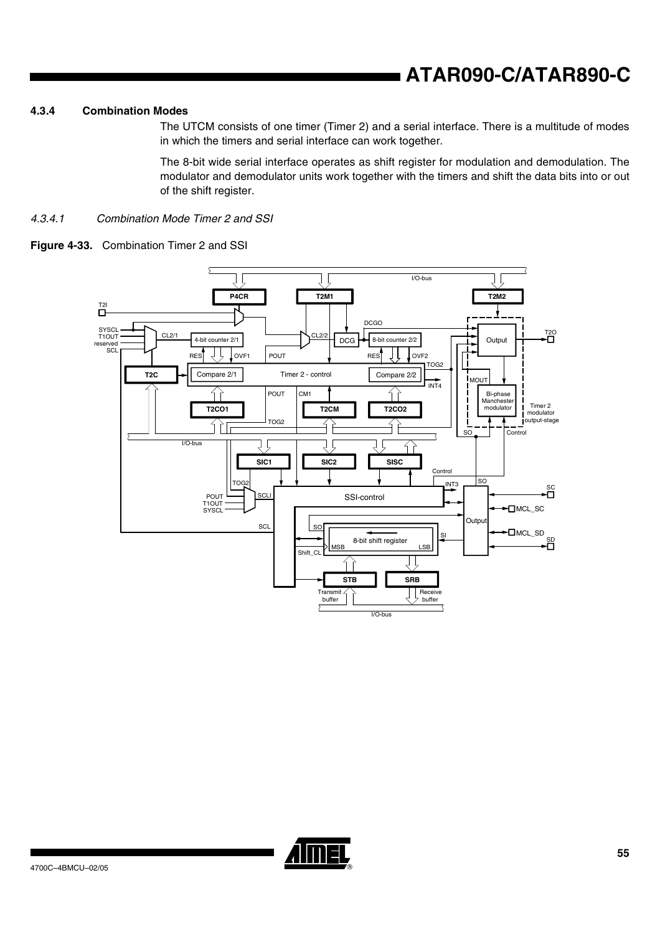#### **4.3.4 Combination Modes**

The UTCM consists of one timer (Timer 2) and a serial interface. There is a multitude of modes in which the timers and serial interface can work together.

The 8-bit wide serial interface operates as shift register for modulation and demodulation. The modulator and demodulator units work together with the timers and shift the data bits into or out of the shift register.

#### *4.3.4.1 Combination Mode Timer 2 and SSI*



#### **Figure 4-33.** Combination Timer 2 and SSI

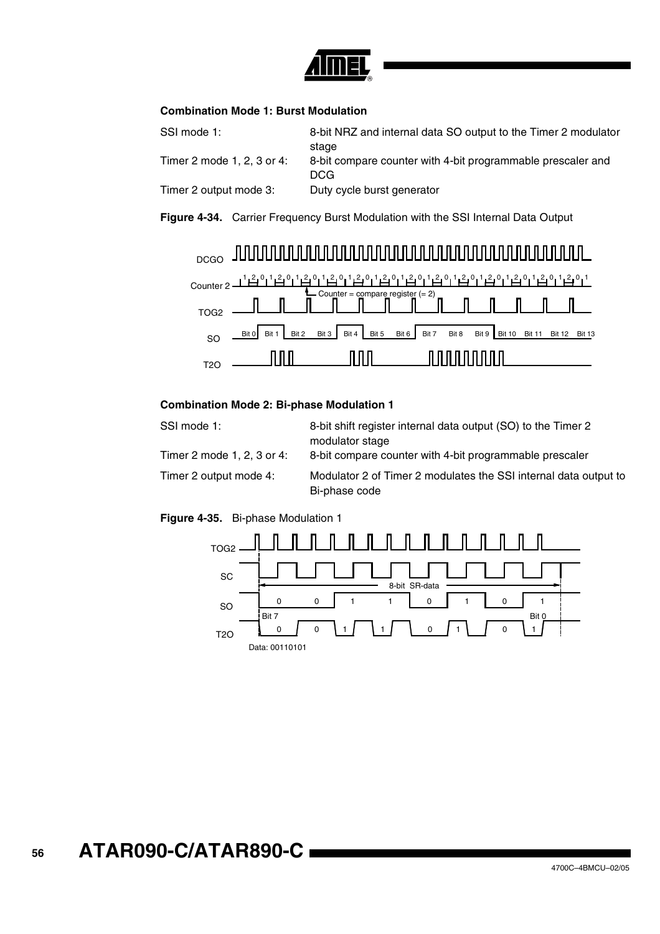

### **Combination Mode 1: Burst Modulation**

| SSI mode 1:                | 8-bit NRZ and internal data SO output to the Timer 2 modulator<br>stage |
|----------------------------|-------------------------------------------------------------------------|
| Timer 2 mode 1, 2, 3 or 4: | 8-bit compare counter with 4-bit programmable prescaler and<br>DCG      |
| Timer 2 output mode 3:     | Duty cycle burst generator                                              |





#### **Combination Mode 2: Bi-phase Modulation 1**

| SSI mode 1:                | 8-bit shift register internal data output (SO) to the Timer 2<br>modulator stage  |
|----------------------------|-----------------------------------------------------------------------------------|
| Timer 2 mode 1, 2, 3 or 4: | 8-bit compare counter with 4-bit programmable prescaler                           |
| Timer 2 output mode 4:     | Modulator 2 of Timer 2 modulates the SSI internal data output to<br>Bi-phase code |

#### **Figure 4-35.** Bi-phase Modulation 1

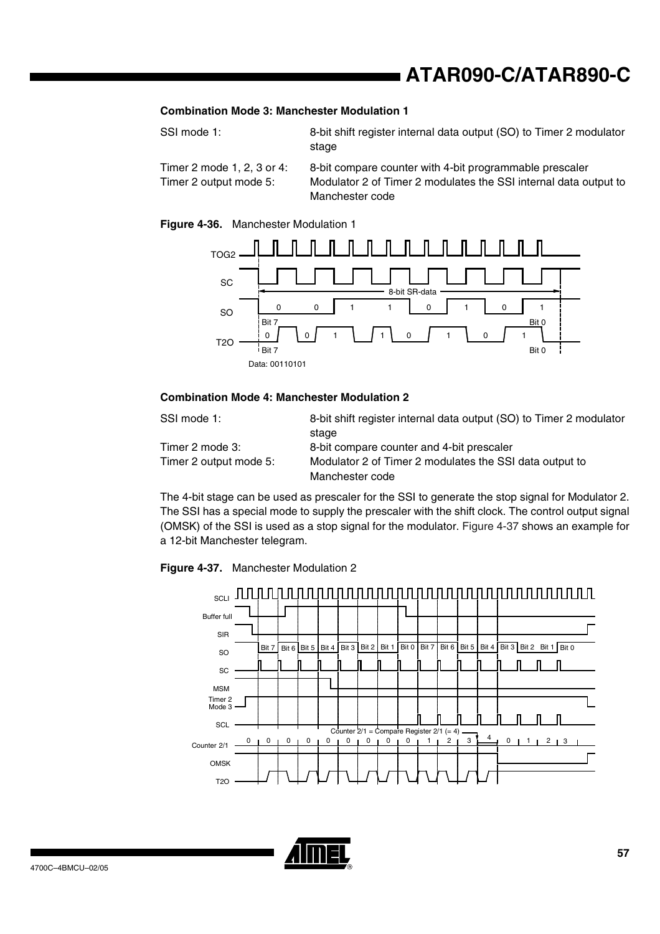#### **Combination Mode 3: Manchester Modulation 1**

| SSI mode 1:                         | 8-bit shift register internal data output (SO) to Timer 2 modulator |
|-------------------------------------|---------------------------------------------------------------------|
|                                     | stage                                                               |
| $Timer$ 2 mode 1 2 3 or $\Lambda$ . | 8-bit compare counter with 1-bit programmable prescaler             |

Timer 2 mode 1, 2, 3 or 4: 8-bit compare counter with 4-bit programmable prescaler Timer 2 output mode 5: Modulator 2 of Timer 2 modulates the SSI internal data output to Manchester code

#### **Figure 4-36.** Manchester Modulation 1



#### **Combination Mode 4: Manchester Modulation 2**

| SSI mode 1:            | 8-bit shift register internal data output (SO) to Timer 2 modulator |
|------------------------|---------------------------------------------------------------------|
|                        | stage                                                               |
| Timer 2 mode 3:        | 8-bit compare counter and 4-bit prescaler                           |
| Timer 2 output mode 5: | Modulator 2 of Timer 2 modulates the SSI data output to             |
|                        | Manchester code                                                     |

The 4-bit stage can be used as prescaler for the SSI to generate the stop signal for Modulator 2. The SSI has a special mode to supply the prescaler with the shift clock. The control output signal (OMSK) of the SSI is used as a stop signal for the modulator. [Figure 4-37](#page-56-0) shows an example for a 12-bit Manchester telegram.

<span id="page-56-0"></span>



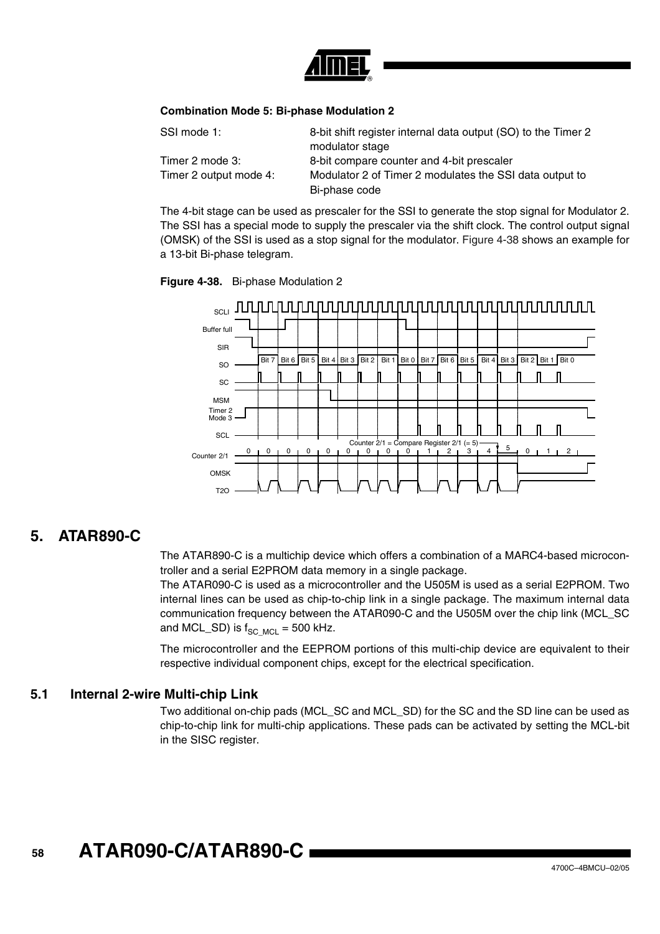

#### **Combination Mode 5: Bi-phase Modulation 2**

| SSI mode 1:            | 8-bit shift register internal data output (SO) to the Timer 2 |
|------------------------|---------------------------------------------------------------|
|                        | modulator stage                                               |
| Timer 2 mode 3:        | 8-bit compare counter and 4-bit prescaler                     |
| Timer 2 output mode 4: | Modulator 2 of Timer 2 modulates the SSI data output to       |
|                        | Bi-phase code                                                 |

The 4-bit stage can be used as prescaler for the SSI to generate the stop signal for Modulator 2. The SSI has a special mode to supply the prescaler via the shift clock. The control output signal (OMSK) of the SSI is used as a stop signal for the modulator. [Figure 4-38](#page-57-0) shows an example for a 13-bit Bi-phase telegram.

<span id="page-57-0"></span>



## **5. ATAR890-C**

The ATAR890-C is a multichip device which offers a combination of a MARC4-based microcontroller and a serial E2PROM data memory in a single package.

The ATAR090-C is used as a microcontroller and the U505M is used as a serial E2PROM. Two internal lines can be used as chip-to-chip link in a single package. The maximum internal data communication frequency between the ATAR090-C and the U505M over the chip link (MCL\_SC and MCL\_SD) is  $f_{SCMCL} = 500$  kHz.

The microcontroller and the EEPROM portions of this multi-chip device are equivalent to their respective individual component chips, except for the electrical specification.

## **5.1 Internal 2-wire Multi-chip Link**

Two additional on-chip pads (MCL\_SC and MCL\_SD) for the SC and the SD line can be used as chip-to-chip link for multi-chip applications. These pads can be activated by setting the MCL-bit in the SISC register.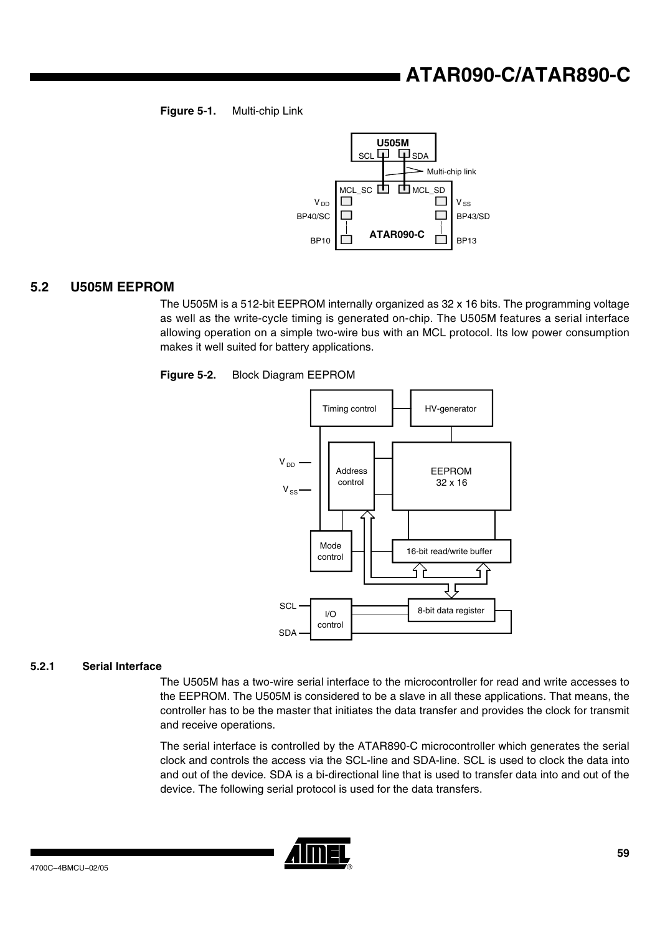#### **Figure 5-1.** Multi-chip Link



## **5.2 U505M EEPROM**

The U505M is a 512-bit EEPROM internally organized as 32 x 16 bits. The programming voltage as well as the write-cycle timing is generated on-chip. The U505M features a serial interface allowing operation on a simple two-wire bus with an MCL protocol. Its low power consumption makes it well suited for battery applications.





#### **5.2.1 Serial Interface**

The U505M has a two-wire serial interface to the microcontroller for read and write accesses to the EEPROM. The U505M is considered to be a slave in all these applications. That means, the controller has to be the master that initiates the data transfer and provides the clock for transmit and receive operations.

The serial interface is controlled by the ATAR890-C microcontroller which generates the serial clock and controls the access via the SCL-line and SDA-line. SCL is used to clock the data into and out of the device. SDA is a bi-directional line that is used to transfer data into and out of the device. The following serial protocol is used for the data transfers.

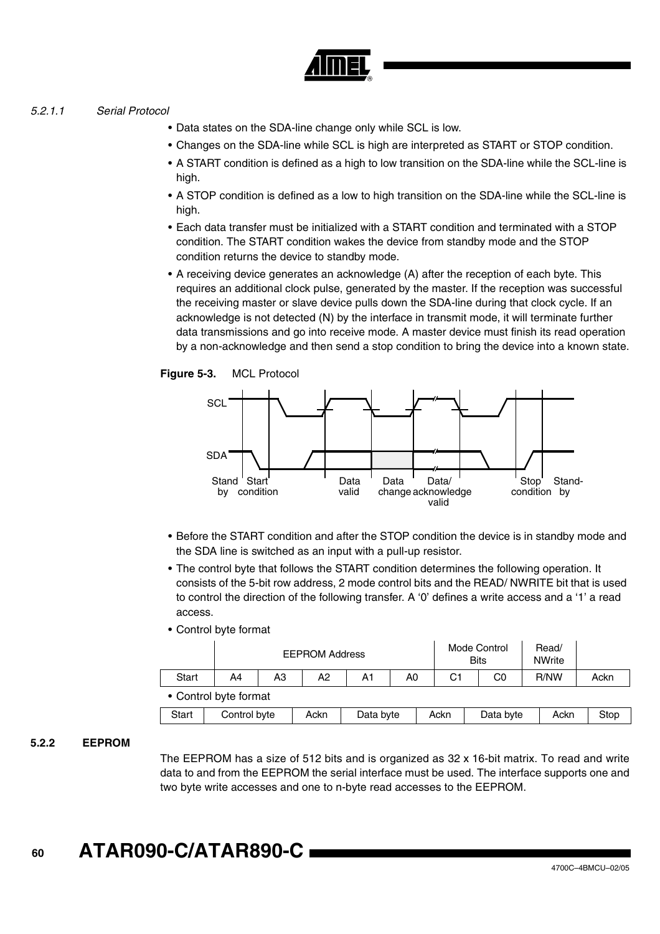#### *5.2.1.1 Serial Protocol*

- Data states on the SDA-line change only while SCL is low.
- Changes on the SDA-line while SCL is high are interpreted as START or STOP condition.
- A START condition is defined as a high to low transition on the SDA-line while the SCL-line is high.
- A STOP condition is defined as a low to high transition on the SDA-line while the SCL-line is high.
- Each data transfer must be initialized with a START condition and terminated with a STOP condition. The START condition wakes the device from standby mode and the STOP condition returns the device to standby mode.
- A receiving device generates an acknowledge (A) after the reception of each byte. This requires an additional clock pulse, generated by the master. If the reception was successful the receiving master or slave device pulls down the SDA-line during that clock cycle. If an acknowledge is not detected (N) by the interface in transmit mode, it will terminate further data transmissions and go into receive mode. A master device must finish its read operation by a non-acknowledge and then send a stop condition to bring the device into a known state.





- Before the START condition and after the STOP condition the device is in standby mode and the SDA line is switched as an input with a pull-up resistor.
- The control byte that follows the START condition determines the following operation. It consists of the 5-bit row address, 2 mode control bits and the READ/ NWRITE bit that is used to control the direction of the following transfer. A '0' defines a write access and a '1' a read access.
- Control byte format

|                       | <b>EEPROM Address</b> |    |    |    |    | Mode Control<br><b>Bits</b> |    | Read/<br><b>NWrite</b> |      |
|-----------------------|-----------------------|----|----|----|----|-----------------------------|----|------------------------|------|
| <b>Start</b>          | A4                    | A3 | А2 | A1 | A0 | C1                          | C0 | R/NW                   | Ackn |
| • Control byte format |                       |    |    |    |    |                             |    |                        |      |

| <b>Start</b> | Control byte | Ackn | Data byte | Ackn | Data byte | Ackn | Stop |
|--------------|--------------|------|-----------|------|-----------|------|------|
|              |              |      |           |      |           |      |      |

#### **5.2.2 EEPROM**

The EEPROM has a size of 512 bits and is organized as 32 x 16-bit matrix. To read and write data to and from the EEPROM the serial interface must be used. The interface supports one and two byte write accesses and one to n-byte read accesses to the EEPROM.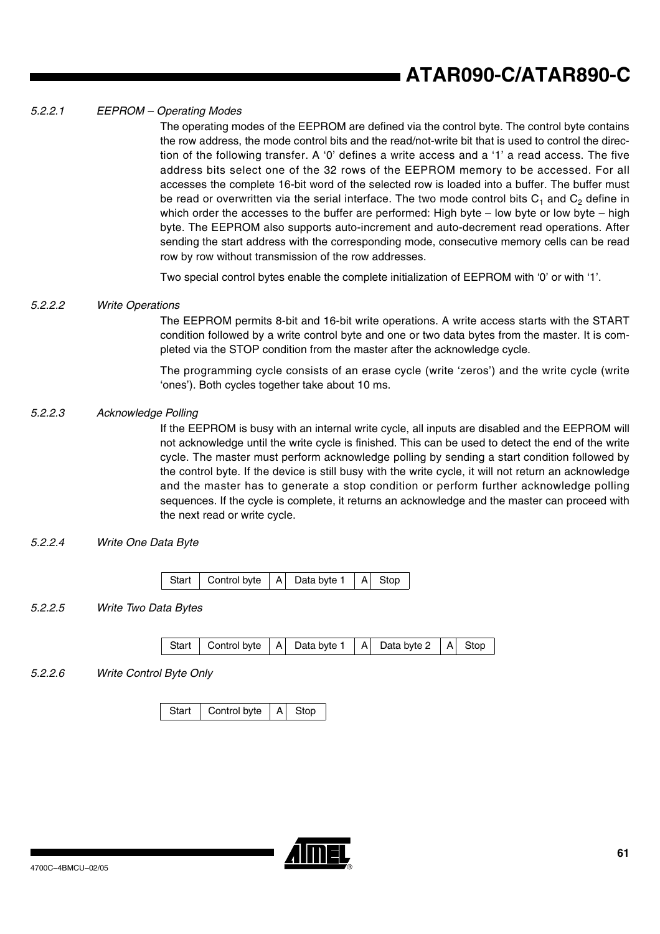#### *5.2.2.1 EEPROM – Operating Modes*

The operating modes of the EEPROM are defined via the control byte. The control byte contains the row address, the mode control bits and the read/not-write bit that is used to control the direction of the following transfer. A '0' defines a write access and a '1' a read access. The five address bits select one of the 32 rows of the EEPROM memory to be accessed. For all accesses the complete 16-bit word of the selected row is loaded into a buffer. The buffer must be read or overwritten via the serial interface. The two mode control bits  $C_1$  and  $C_2$  define in which order the accesses to the buffer are performed: High byte  $-$  low byte or low byte  $-$  high byte. The EEPROM also supports auto-increment and auto-decrement read operations. After sending the start address with the corresponding mode, consecutive memory cells can be read row by row without transmission of the row addresses.

Two special control bytes enable the complete initialization of EEPROM with '0' or with '1'.

#### *5.2.2.2 Write Operations*

The EEPROM permits 8-bit and 16-bit write operations. A write access starts with the START condition followed by a write control byte and one or two data bytes from the master. It is completed via the STOP condition from the master after the acknowledge cycle.

The programming cycle consists of an erase cycle (write 'zeros') and the write cycle (write 'ones'). Both cycles together take about 10 ms.

### *5.2.2.3 Acknowledge Polling*

If the EEPROM is busy with an internal write cycle, all inputs are disabled and the EEPROM will not acknowledge until the write cycle is finished. This can be used to detect the end of the write cycle. The master must perform acknowledge polling by sending a start condition followed by the control byte. If the device is still busy with the write cycle, it will not return an acknowledge and the master has to generate a stop condition or perform further acknowledge polling sequences. If the cycle is complete, it returns an acknowledge and the master can proceed with the next read or write cycle.

*5.2.2.4 Write One Data Byte*

#### *5.2.2.5 Write Two Data Bytes*

*5.2.2.6 Write Control Byte Only*

Start  $\vert$  Control byte  $\vert$  A  $\vert$  Stop

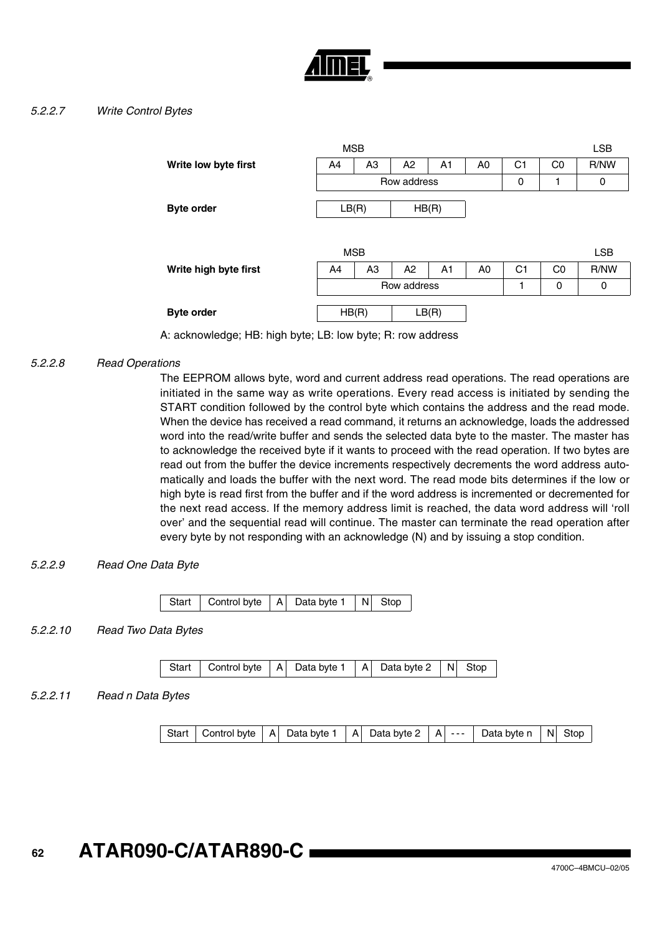

### *5.2.2.7 Write Control Bytes*

|                       |             |                |             | <b>LSB</b>     |                |                |                |            |
|-----------------------|-------------|----------------|-------------|----------------|----------------|----------------|----------------|------------|
| Write low byte first  | A4          | A <sub>3</sub> | A2          | A1             | A0             | C <sub>1</sub> | C <sub>0</sub> | R/NW       |
|                       | Row address |                |             |                |                | 0              |                | 0          |
| <b>Byte order</b>     | LB(R)       |                | HB(R)       |                |                |                |                |            |
|                       |             |                |             |                |                |                |                |            |
|                       |             |                |             |                |                |                |                |            |
|                       | <b>MSB</b>  |                |             |                |                |                |                | <b>LSB</b> |
|                       |             |                |             |                |                |                |                |            |
| Write high byte first | A4          | A <sub>3</sub> | A2          | A <sub>1</sub> | A <sub>0</sub> | C1             | C <sub>0</sub> | R/NW       |
|                       |             |                | Row address |                |                | 1              | 0              | 0          |
|                       |             |                |             |                |                |                |                |            |
| <b>Byte order</b>     |             | HB(R)          |             | LB(R)          |                |                |                |            |

A: acknowledge; HB: high byte; LB: low byte; R: row address

## *5.2.2.8 Read Operations*

The EEPROM allows byte, word and current address read operations. The read operations are initiated in the same way as write operations. Every read access is initiated by sending the START condition followed by the control byte which contains the address and the read mode. When the device has received a read command, it returns an acknowledge, loads the addressed word into the read/write buffer and sends the selected data byte to the master. The master has to acknowledge the received byte if it wants to proceed with the read operation. If two bytes are read out from the buffer the device increments respectively decrements the word address automatically and loads the buffer with the next word. The read mode bits determines if the low or high byte is read first from the buffer and if the word address is incremented or decremented for the next read access. If the memory address limit is reached, the data word address will 'roll over' and the sequential read will continue. The master can terminate the read operation after every byte by not responding with an acknowledge (N) and by issuing a stop condition.

#### *5.2.2.9 Read One Data Byte*

| Start   Control byte $ A $ Data byte 1   N   Stop |  |  |  |  |
|---------------------------------------------------|--|--|--|--|
|---------------------------------------------------|--|--|--|--|

*5.2.2.10 Read Two Data Bytes*

|  | Start   Control byte   A   Data byte 1   A   Data byte 2   N   Stop |  |  |  |  |  |  |
|--|---------------------------------------------------------------------|--|--|--|--|--|--|
|--|---------------------------------------------------------------------|--|--|--|--|--|--|

#### *5.2.2.11 Read n Data Bytes*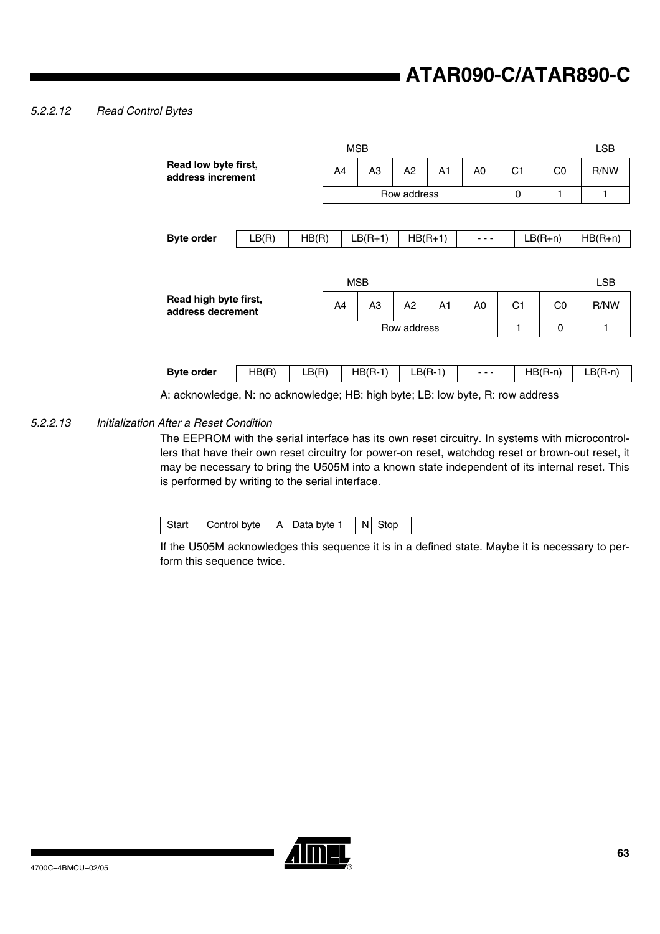### *5.2.2.12 Read Control Bytes*

|                                                                                |       |       |             | <b>MSB</b>     |             |                |                |                |                | <b>LSB</b> |  |
|--------------------------------------------------------------------------------|-------|-------|-------------|----------------|-------------|----------------|----------------|----------------|----------------|------------|--|
| Read low byte first,<br>address increment                                      |       |       | A4          | A <sub>3</sub> | A2          | A <sub>1</sub> | A <sub>0</sub> | C <sub>1</sub> | C <sub>0</sub> | R/NW       |  |
|                                                                                |       |       |             |                | Row address |                |                | 0              | 1              | 1          |  |
|                                                                                |       |       |             |                |             |                |                |                |                |            |  |
| <b>Byte order</b>                                                              | LB(R) | HB(R) |             | $LB(R+1)$      |             | $HB(R+1)$      |                |                | $LB(R+n)$      | $HB(R+n)$  |  |
|                                                                                |       |       |             |                |             |                |                |                |                |            |  |
|                                                                                |       |       |             | <b>MSB</b>     |             |                |                |                |                | <b>LSB</b> |  |
| Read high byte first,<br>address decrement                                     |       |       | A4          | A <sub>3</sub> | A2          | A <sub>1</sub> | A <sub>0</sub> | C <sub>1</sub> | C <sub>0</sub> | R/NW       |  |
|                                                                                |       |       | Row address |                |             |                |                | 1              | 0              | 1          |  |
|                                                                                |       |       |             |                |             |                |                |                |                |            |  |
| <b>Byte order</b>                                                              | HB(R) | LB(R) |             | $HB(R-1)$      |             | $LB(R-1)$      |                |                | $HB(R-n)$      | $LB(R-n)$  |  |
| A: acknowledge, N: no acknowledge; HB: high byte; LB: low byte, R: row address |       |       |             |                |             |                |                |                |                |            |  |

#### *5.2.2.13 Initialization After a Reset Condition*

The EEPROM with the serial interface has its own reset circuitry. In systems with microcontrollers that have their own reset circuitry for power-on reset, watchdog reset or brown-out reset, it may be necessary to bring the U505M into a known state independent of its internal reset. This is performed by writing to the serial interface.

| Control byte<br>Start |  | A Data byte 1 |  | N Stop |
|-----------------------|--|---------------|--|--------|
|-----------------------|--|---------------|--|--------|

If the U505M acknowledges this sequence it is in a defined state. Maybe it is necessary to perform this sequence twice.

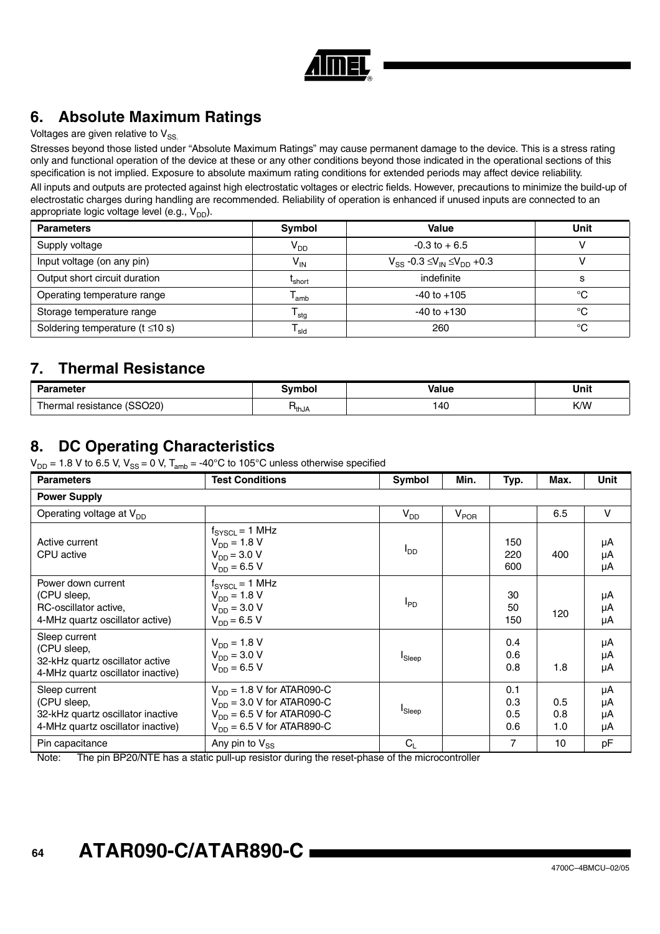

# **6. Absolute Maximum Ratings**

## Voltages are given relative to  $V_{SS}$ .

Stresses beyond those listed under "Absolute Maximum Ratings" may cause permanent damage to the device. This is a stress rating only and functional operation of the device at these or any other conditions beyond those indicated in the operational sections of this specification is not implied. Exposure to absolute maximum rating conditions for extended periods may affect device reliability. All inputs and outputs are protected against high electrostatic voltages or electric fields. However, precautions to minimize the build-up of electrostatic charges during handling are recommended. Reliability of operation is enhanced if unused inputs are connected to an appropriate logic voltage level (e.g.,  $V_{DD}$ ).

| <b>Parameters</b>                      | Symbol             | Value                                        | Unit |
|----------------------------------------|--------------------|----------------------------------------------|------|
| Supply voltage                         | V <sub>DD</sub>    | $-0.3$ to $+6.5$                             |      |
| Input voltage (on any pin)             | $V_{IN}$           | $V_{SS}$ -0.3 $\leq V_{IN} \leq V_{DD}$ +0.3 |      |
| Output short circuit duration          | L <sub>short</sub> | indefinite                                   | S    |
| Operating temperature range            | lamb               | $-40$ to $+105$                              | °C   |
| Storage temperature range              | $\mathsf{I}$ stg   | $-40$ to $+130$                              | °C   |
| Soldering temperature ( $t \leq 10$ s) | l <sub>sld</sub>   | 260                                          | °C   |

## **7. Thermal Resistance**

| <b>Parameter</b>                                                      | <b>Symbo</b> | <b>Value</b> | Unit |
|-----------------------------------------------------------------------|--------------|--------------|------|
| (SSO <sub>20</sub> )<br>$\overline{\phantom{a}}$<br>resistance<br>шаг | ™thJA        | 140          | K/W  |

## **8. DC Operating Characteristics**

 $V_{DD}$  = 1.8 V to 6.5 V,  $V_{SS}$  = 0 V,  $T_{amb}$  = -40°C to 105°C unless otherwise specified

| <b>Parameters</b>                                                                                      | <b>Test Conditions</b>                                                                                                               | Symbol             | Min.      | Typ.                     | Max.              | Unit                 |  |  |  |  |  |
|--------------------------------------------------------------------------------------------------------|--------------------------------------------------------------------------------------------------------------------------------------|--------------------|-----------|--------------------------|-------------------|----------------------|--|--|--|--|--|
| <b>Power Supply</b>                                                                                    |                                                                                                                                      |                    |           |                          |                   |                      |  |  |  |  |  |
| Operating voltage at $V_{DD}$                                                                          |                                                                                                                                      | V <sub>DD</sub>    | $V_{POR}$ |                          | 6.5               | $\vee$               |  |  |  |  |  |
| Active current<br>CPU active                                                                           | $f_{\text{SYSCL}} = 1 \text{ MHz}$<br>$V_{DD} = 1.8 V$<br>$V_{DD} = 3.0 V$<br>$V_{DD} = 6.5 V$                                       | l <sub>DD</sub>    |           | 150<br>220<br>600        | 400               | μA<br>μA<br>μA       |  |  |  |  |  |
| Power down current<br>(CPU sleep,<br>RC-oscillator active.<br>4-MHz quartz oscillator active)          | $f_{\text{SYSCL}} = 1 \text{ MHz}$<br>$V_{DD} = 1.8 V$<br>$V_{DD} = 3.0 V$<br>$V_{DD} = 6.5 V$                                       | <sup>I</sup> PD    |           | 30<br>50<br>150          | 120               | μA<br>μA<br>μA       |  |  |  |  |  |
| Sleep current<br>(CPU sleep,<br>32-kHz quartz oscillator active<br>4-MHz quartz oscillator inactive)   | $V_{DD} = 1.8 V$<br>$V_{DD} = 3.0 V$<br>$V_{DD} = 6.5 V$                                                                             | <sup>I</sup> Sleep |           | 0.4<br>0.6<br>0.8        | 1.8               | μA<br>μA<br>μA       |  |  |  |  |  |
| Sleep current<br>(CPU sleep,<br>32-kHz quartz oscillator inactive<br>4-MHz quartz oscillator inactive) | $V_{DD}$ = 1.8 V for ATAR090-C<br>$V_{DD}$ = 3.0 V for ATAR090-C<br>$V_{DD}$ = 6.5 V for ATAR090-C<br>$V_{DD}$ = 6.5 V for ATAR890-C | <b>I</b> Sleep     |           | 0.1<br>0.3<br>0.5<br>0.6 | 0.5<br>0.8<br>1.0 | μA<br>μA<br>μA<br>μA |  |  |  |  |  |
| Pin capacitance                                                                                        | Any pin to $V_{SS}$                                                                                                                  | $C_{L}$            |           | 7                        | 10                | pF                   |  |  |  |  |  |

Note: The pin BP20/NTE has a static pull-up resistor during the reset-phase of the microcontroller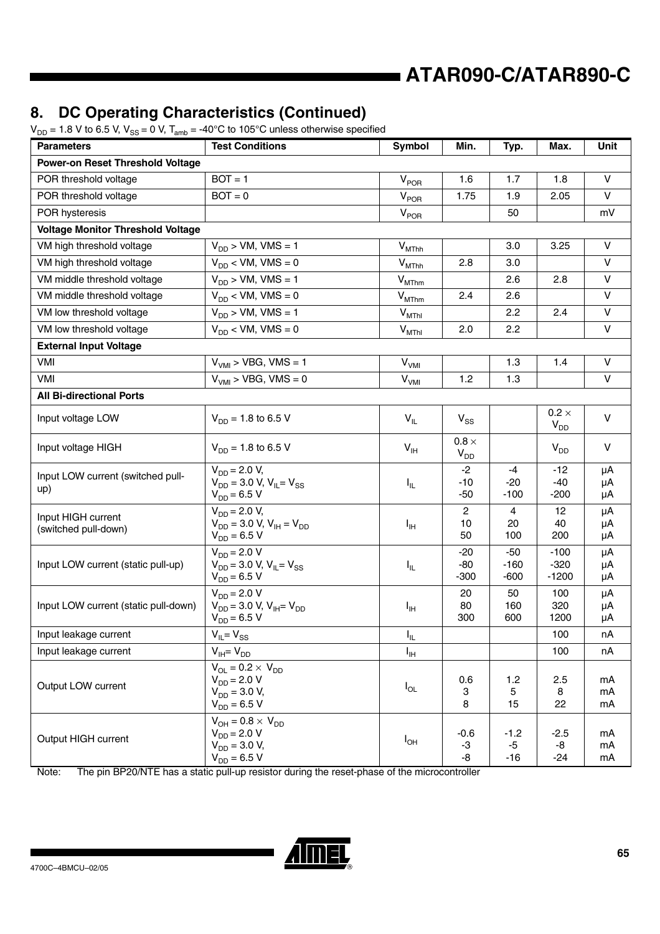# **8. DC Operating Characteristics (Continued)**

 $V_{\text{DD}} = 1.8$  V to 6.5 V,  $V_{\text{SS}} = 0$  V,  $T_{\text{amb}} = -40^{\circ}$ C to 105<sup>o</sup>C unless otherwise specified

| $-1.0$ $\sqrt{0.00}$ $\sqrt{0.00}$ $\sqrt{0.00}$<br>- o •, <sub>'amb</sub><br><b>Parameters</b> | <b>Test Conditions</b>                                                                       | <b>Symbol</b>               | Min.                     | Typ.                        | Max.                        | Unit           |
|-------------------------------------------------------------------------------------------------|----------------------------------------------------------------------------------------------|-----------------------------|--------------------------|-----------------------------|-----------------------------|----------------|
| <b>Power-on Reset Threshold Voltage</b>                                                         |                                                                                              |                             |                          |                             |                             |                |
| POR threshold voltage                                                                           | $BOT = 1$                                                                                    | $V_{POR}$                   | 1.6                      | 1.7<br>1.8                  |                             | V              |
| POR threshold voltage                                                                           | $BOT = 0$                                                                                    | $V_{POR}$                   | 1.75                     | 1.9                         | 2.05                        | $\vee$         |
| POR hysteresis                                                                                  |                                                                                              | $V_{POR}$                   |                          | 50                          |                             | mV             |
| <b>Voltage Monitor Threshold Voltage</b>                                                        |                                                                                              |                             |                          |                             |                             |                |
| VM high threshold voltage                                                                       | $V_{DD}$ > VM, VMS = 1                                                                       | $V_{MThh}$                  |                          | 3.0                         | 3.25                        | V              |
| VM high threshold voltage                                                                       | $V_{DD}$ < VM, VMS = 0                                                                       | $V_{MThh}$                  | 2.8                      | 3.0                         |                             | V              |
| VM middle threshold voltage                                                                     | $V_{DD}$ > VM, VMS = 1                                                                       | $\mathsf{V}_{\text{MThm}}$  |                          | 2.6                         | 2.8                         | $\mathsf{V}$   |
| VM middle threshold voltage                                                                     | $V_{DD}$ < VM, VMS = 0                                                                       | $\mathsf{V}_{\text{MThm}}$  | 2.4                      | 2.6                         |                             | $\vee$         |
| VM low threshold voltage                                                                        | $V_{DD}$ > VM, VMS = 1                                                                       | $V_{MThl}$                  |                          | 2.2                         | 2.4                         | $\mathsf{V}$   |
| VM low threshold voltage                                                                        | $V_{DD}$ < VM, VMS = 0                                                                       | $V_{MThl}$                  | 2.0                      | 2.2                         |                             | $\mathsf{V}$   |
| <b>External Input Voltage</b>                                                                   |                                                                                              |                             |                          |                             |                             |                |
| VMI                                                                                             | $VVMI > VBG, VMS = 1$                                                                        | $\mathsf{V}_{\mathsf{VMI}}$ |                          | 1.3                         | 1.4                         | V              |
| VMI                                                                                             | $V_{VMI}$ > VBG, VMS = 0                                                                     | V <sub>VMI</sub>            | 1.2                      | 1.3                         |                             | $\mathsf{V}$   |
| <b>All Bi-directional Ports</b>                                                                 |                                                                                              |                             |                          |                             |                             |                |
| Input voltage LOW                                                                               | $V_{DD}$ = 1.8 to 6.5 V                                                                      | $V_{IL}$                    | $V_{SS}$                 |                             | $0.2 \times$<br>$V_{DD}$    | $\vee$         |
| Input voltage HIGH                                                                              | $V_{DD}$ = 1.8 to 6.5 V                                                                      | $V_{\text{IH}}$             | $0.8 \times$<br>$V_{DD}$ |                             | $V_{DD}$                    | $\vee$         |
| Input LOW current (switched pull-<br>up)                                                        | $V_{DD} = 2.0 V,$<br>$V_{DD}$ = 3.0 V, V <sub>IL</sub> = V <sub>SS</sub><br>$V_{DD} = 6.5 V$ | $I_{\rm IL}$                | $-2$<br>$-10$<br>$-50$   | -4<br>$-20$<br>$-100$       | $-12$<br>$-40$<br>$-200$    | μA<br>μA<br>μA |
| Input HIGH current<br>(switched pull-down)                                                      | $V_{DD} = 2.0 V,$<br>$V_{DD}$ = 3.0 V, $V_{IH}$ = $V_{DD}$<br>$V_{DD} = 6.5 V$               | $I_{IH}$                    | 2<br>10<br>50            | $\overline{4}$<br>20<br>100 | 12<br>40<br>200             | μA<br>μA<br>μA |
| Input LOW current (static pull-up)                                                              | $V_{DD} = 2.0 V$<br>$V_{DD}$ = 3.0 V, V <sub>IL</sub> = V <sub>SS</sub><br>$V_{DD} = 6.5 V$  | $I_{\rm IL}$                | $-20$<br>$-80$<br>$-300$ | $-50$<br>$-160$<br>$-600$   | $-100$<br>$-320$<br>$-1200$ | μA<br>μA<br>μA |
| Input LOW current (static pull-down)                                                            | $V_{DD} = 2.0 V$<br>$V_{DD}$ = 3.0 V, V <sub>IH</sub> = V <sub>DD</sub><br>$V_{DD} = 6.5 V$  | Iн                          | 20<br>80<br>300          | 50<br>160<br>600            | 100<br>320<br>1200          | μA<br>μA<br>μA |
| Input leakage current                                                                           | $V_{IL} = V_{SS}$                                                                            | $I_{\rm IL}$                |                          |                             | 100                         | nA             |
| Input leakage current                                                                           | $V_{IH} = V_{DD}$                                                                            | $I_{\rm IH}$                |                          |                             | 100                         | nA             |
| Output LOW current                                                                              | $V_{OL} = 0.2 \times V_{DD}$<br>$V_{DD} = 2.0 V$<br>$V_{DD} = 3.0 V,$<br>$V_{DD} = 6.5 V$    | $I_{OL}$                    | 0.6<br>3<br>8            | $1.2$<br>5<br>15            | 2.5<br>8<br>22              | mA<br>mA<br>mA |
| Output HIGH current                                                                             | $V_{OH} = 0.8 \times V_{DD}$<br>$V_{DD} = 2.0 V$<br>$V_{DD} = 3.0 V,$<br>$V_{DD} = 6.5 V$    | $I_{OH}$                    | $-0.6$<br>$-3$<br>-8     | $-1.2$<br>$-5$<br>$-16$     | $-2.5$<br>-8<br>$-24$       | mA<br>mA<br>mA |

Note: The pin BP20/NTE has a static pull-up resistor during the reset-phase of the microcontroller

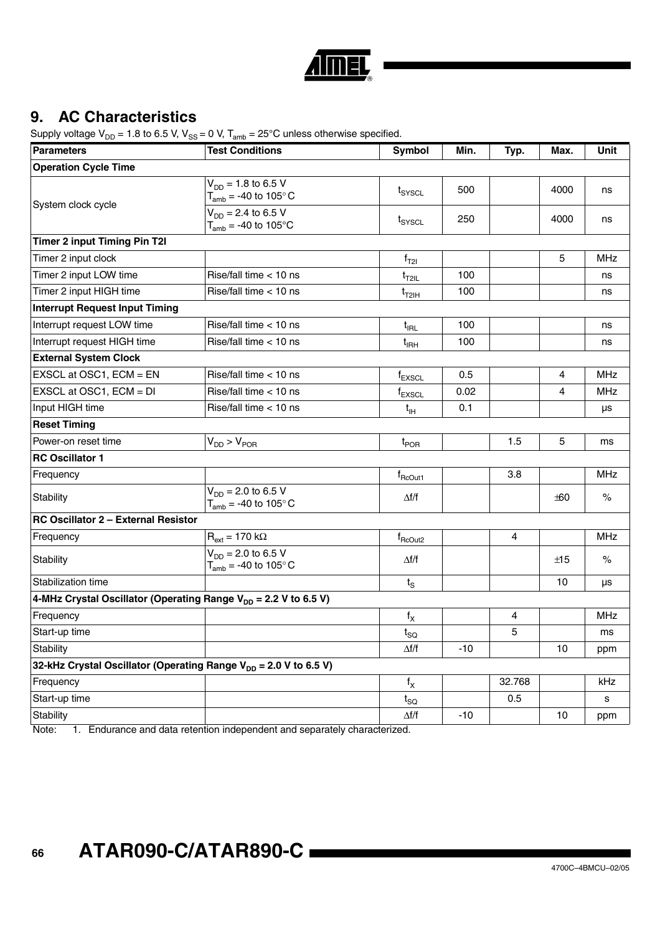

# **9. AC Characteristics**

Supply voltage  $V_{DD} = 1.8$  to 6.5 V,  $V_{SS} = 0$  V,  $T_{amb} = 25^{\circ}$ C unless otherwise specified.

| <b>Parameters</b>                     | <b>Test Conditions</b>                                                       | <b>Symbol</b>       | Min.  | Typ.   | Max.  | <b>Unit</b> |
|---------------------------------------|------------------------------------------------------------------------------|---------------------|-------|--------|-------|-------------|
| <b>Operation Cycle Time</b>           |                                                                              |                     |       |        |       |             |
| System clock cycle                    | $V_{DD} = 1.8$ to 6.5 V<br>$T_{amb}$ = -40 to 105 $^{\circ}$ C               | $t_{\text{SYSCL}}$  | 500   |        | 4000  | ns          |
|                                       | $V_{DD} = 2.4$ to 6.5 V<br>$T_{amb}$ = -40 to 105°C                          | $t_{\text{SYSCL}}$  | 250   |        | 4000  | ns          |
| <b>Timer 2 input Timing Pin T2I</b>   |                                                                              |                     |       |        |       |             |
| Timer 2 input clock                   |                                                                              | $f_{T2I}$           |       |        | 5     | <b>MHz</b>  |
| Timer 2 input LOW time                | Rise/fall time $<$ 10 ns                                                     | $t_{T2IL}$          | 100   |        |       | ns          |
| Timer 2 input HIGH time               | Rise/fall time $<$ 10 ns                                                     | $t_{T2IH}$          | 100   |        |       | ns          |
| <b>Interrupt Request Input Timing</b> |                                                                              |                     |       |        |       |             |
| Interrupt request LOW time            | Rise/fall time $<$ 10 ns                                                     | $t_{\rm{IRL}}$      | 100   |        |       | ns          |
| Interrupt request HIGH time           | Rise/fall time $<$ 10 ns                                                     | $t_{\rm{IRH}}$      | 100   |        |       | ns          |
| <b>External System Clock</b>          |                                                                              |                     |       |        |       |             |
| EXSCL at OSC1, ECM = EN               | Rise/fall time < 10 ns                                                       | $f_{EXSCL}$         | 0.5   |        | 4     | <b>MHz</b>  |
| EXSCL at OSC1, ECM = DI               | Rise/fall time < 10 ns                                                       | $f_{EXSCL}$         | 0.02  |        | 4     | <b>MHz</b>  |
| Input HIGH time                       | Rise/fall time < 10 ns                                                       | $t_{\text{IH}}$     | 0.1   |        |       | μs          |
| <b>Reset Timing</b>                   |                                                                              |                     |       |        |       |             |
| Power-on reset time                   | $V_{DD}$ > $V_{POR}$                                                         | $t_{\mathsf{POR}}$  |       | 1.5    | 5     | ms          |
| <b>RC Oscillator 1</b>                |                                                                              |                     |       |        |       |             |
| Frequency                             |                                                                              | $f_{\text{RCOut1}}$ |       | 3.8    |       | <b>MHz</b>  |
| Stability                             | $V_{DD} = 2.0$ to 6.5 V<br>$T_{amb}$ = -40 to 105 $^{\circ}$ C               | $\Delta f/f$        |       |        | $+60$ | $\%$        |
| RC Oscillator 2 - External Resistor   |                                                                              |                     |       |        |       |             |
| Frequency                             | $R_{ext} = 170 k\Omega$                                                      | $f_{\text{RCOut2}}$ |       | 4      |       | <b>MHz</b>  |
| Stability                             | $V_{DD} = 2.0$ to 6.5 V<br>$T_{amb}$ = -40 to 105° C                         | $\Delta f/f$        |       |        | ±15   | $\%$        |
| Stabilization time                    |                                                                              | $t_{\rm S}$         |       |        | 10    | μs          |
|                                       | 4-MHz Crystal Oscillator (Operating Range V <sub>DD</sub> = 2.2 V to 6.5 V)  |                     |       |        |       |             |
| Frequency                             |                                                                              | $f_X$               |       | 4      |       | <b>MHz</b>  |
| Start-up time                         |                                                                              | $t_{\rm SQ}$        |       | 5      |       | ms          |
| Stability                             |                                                                              | $\Delta f/f$        | $-10$ |        | 10    | ppm         |
|                                       | 32-kHz Crystal Oscillator (Operating Range V <sub>DD</sub> = 2.0 V to 6.5 V) |                     |       |        |       |             |
| Frequency                             |                                                                              | $f_X$               |       | 32.768 |       | kHz         |
| Start-up time                         |                                                                              | $t_{\rm SO}$        |       | 0.5    |       | s           |
| Stability                             |                                                                              | $\Delta f/f$        | $-10$ |        | 10    | ppm         |

Note: 1. Endurance and data retention independent and separately characterized.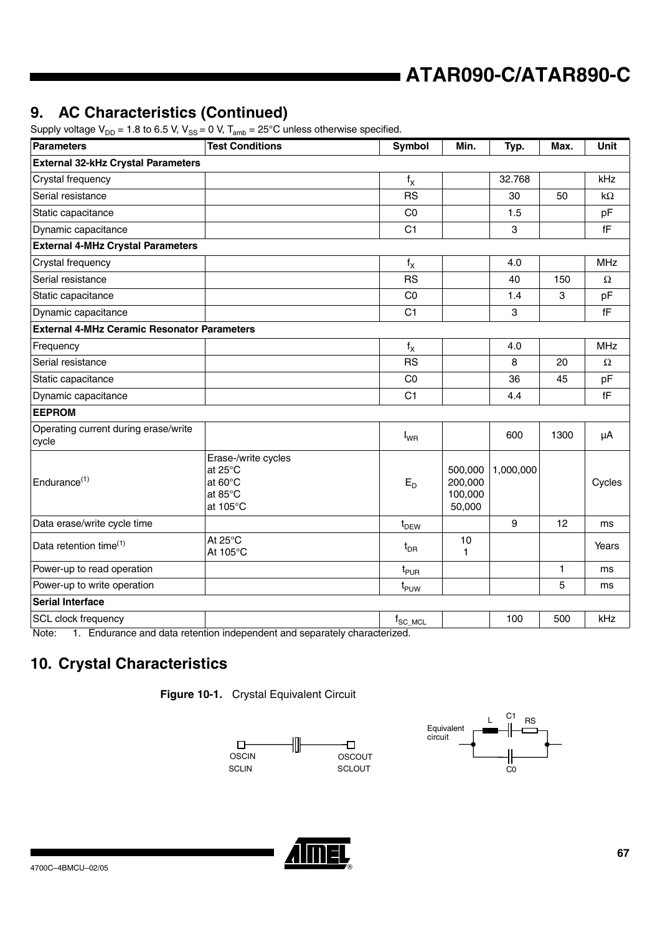# **9. AC Characteristics (Continued)**

| Supply voltage $V_{DD}$ = 1.8 to 6.5 V, $V_{SS}$ = 0 V, $T_{amb}$ = 25°C unless otherwise specified. |  |  |  |  |  |  |  |  |
|------------------------------------------------------------------------------------------------------|--|--|--|--|--|--|--|--|
|------------------------------------------------------------------------------------------------------|--|--|--|--|--|--|--|--|

| $\frac{1}{2}$<br><b>Parameters</b>                                | $\cdot$ , $\cdot$ amp<br><b>Test Conditions</b>                  | <b>Symbol</b>           | Min.                                    | Typ.      | Max.                      | Unit                   |
|-------------------------------------------------------------------|------------------------------------------------------------------|-------------------------|-----------------------------------------|-----------|---------------------------|------------------------|
| <b>External 32-kHz Crystal Parameters</b>                         |                                                                  |                         |                                         |           |                           |                        |
| Crystal frequency                                                 |                                                                  | $f_X$                   |                                         | 32.768    |                           | kHz                    |
| Serial resistance                                                 |                                                                  | <b>RS</b>               |                                         | 30        | 50                        | $k\Omega$              |
| Static capacitance                                                |                                                                  | CO                      |                                         | 1.5       |                           | pF                     |
| Dynamic capacitance                                               |                                                                  | C <sub>1</sub>          |                                         | 3         |                           | fF                     |
| <b>External 4-MHz Crystal Parameters</b>                          |                                                                  |                         |                                         |           |                           |                        |
| Crystal frequency                                                 |                                                                  | $f_X$                   |                                         | 4.0       |                           | <b>MHz</b>             |
| Serial resistance                                                 |                                                                  | <b>RS</b>               |                                         | 40        | 150                       | $\Omega$               |
| Static capacitance                                                |                                                                  | CO                      |                                         | 1.4       | $\ensuremath{\mathsf{3}}$ | pF                     |
| Dynamic capacitance                                               |                                                                  | C <sub>1</sub>          |                                         | 3         |                           | $\mathsf{f}\mathsf{F}$ |
| <b>External 4-MHz Ceramic Resonator Parameters</b>                |                                                                  |                         |                                         |           |                           |                        |
| Frequency                                                         |                                                                  | $\mathsf{f}_\mathsf{X}$ |                                         | 4.0       |                           | <b>MHz</b>             |
| Serial resistance                                                 |                                                                  | <b>RS</b>               |                                         | 8         | 20                        | $\Omega$               |
| Static capacitance                                                |                                                                  | CO                      |                                         | 36        | 45                        | pF                     |
| Dynamic capacitance                                               |                                                                  | C <sub>1</sub>          |                                         | 4.4       |                           | fF                     |
| <b>EEPROM</b>                                                     |                                                                  |                         |                                         |           |                           |                        |
| Operating current during erase/write<br>cycle                     |                                                                  | $I_{WR}$                |                                         | 600       | 1300                      | μA                     |
| Endurance <sup>(1)</sup>                                          | Erase-/write cycles<br>at 25°C<br>at 60°C<br>at 85°C<br>at 105°C | $E_D$                   | 500,000<br>200,000<br>100,000<br>50,000 | 1,000,000 |                           | Cycles                 |
| Data erase/write cycle time                                       |                                                                  | $t_{DEW}$               |                                         | 9         | 12                        | ms                     |
| Data retention time <sup>(1)</sup>                                | At 25°C<br>At 105°C                                              | $t_{\text{DR}}$         | 10<br>1                                 |           |                           | Years                  |
| Power-up to read operation                                        |                                                                  | $t_{\sf{PUR}}$          |                                         |           | $\mathbf{1}$              | ms                     |
| Power-up to write operation                                       |                                                                  | $t_{PUW}$               |                                         |           | 5                         | ms                     |
| <b>Serial Interface</b>                                           |                                                                  |                         |                                         |           |                           |                        |
| <b>SCL clock frequency</b><br>Note: 4 Federace couldn't extention |                                                                  | $f_{SC MCL}$            |                                         | 100       | 500                       | kHz                    |

Note: 1. Endurance and data retention independent and separately characterized.

# **10. Crystal Characteristics**







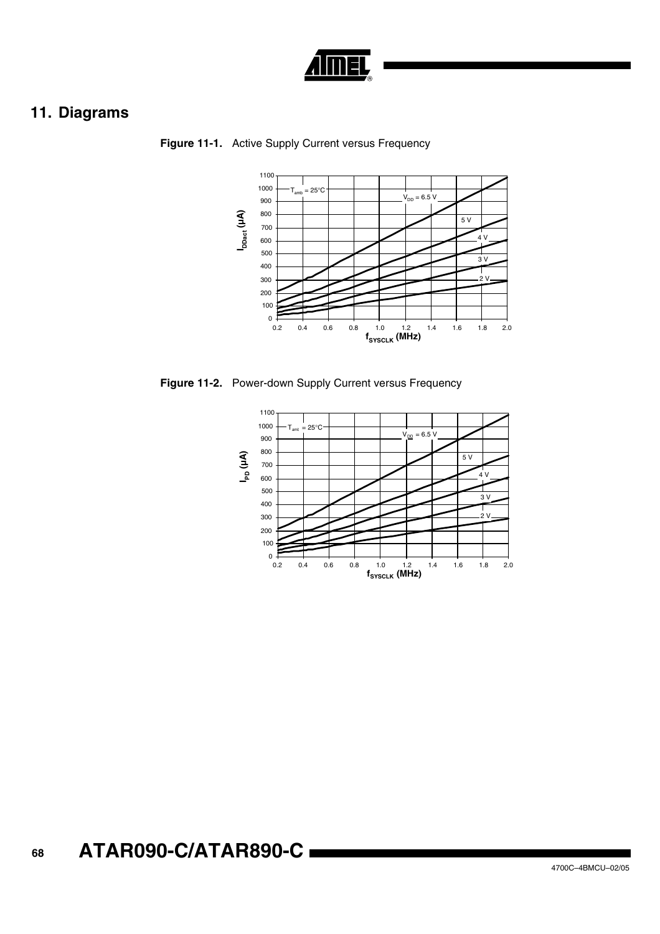

# **11. Diagrams**



**Figure 11-1.** Active Supply Current versus Frequency

**Figure 11-2.** Power-down Supply Current versus Frequency

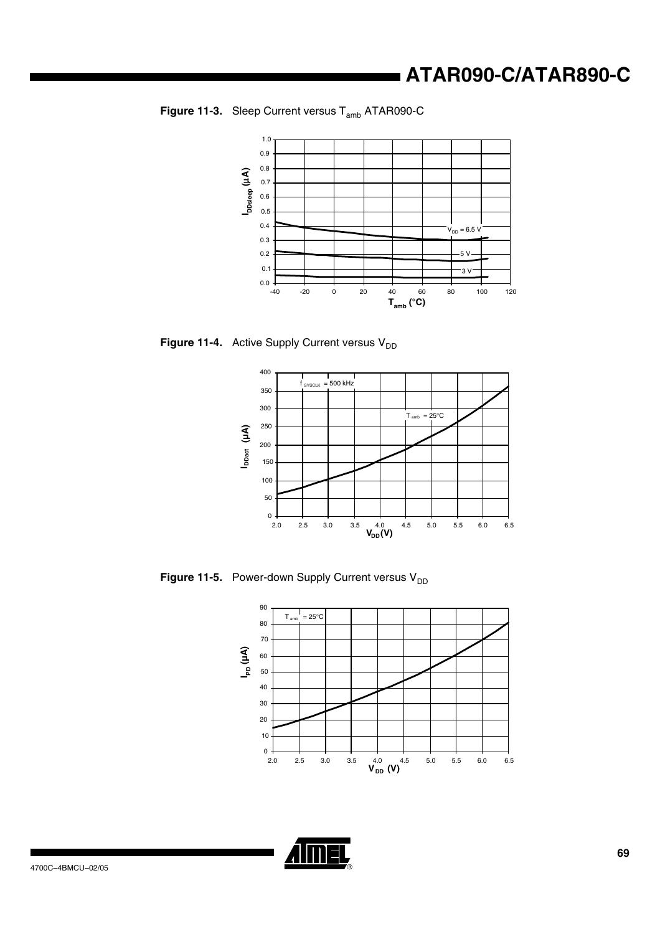



**Figure 11-4.** Active Supply Current versus V<sub>DD</sub>



**Figure 11-5.** Power-down Supply Current versus V<sub>DD</sub>



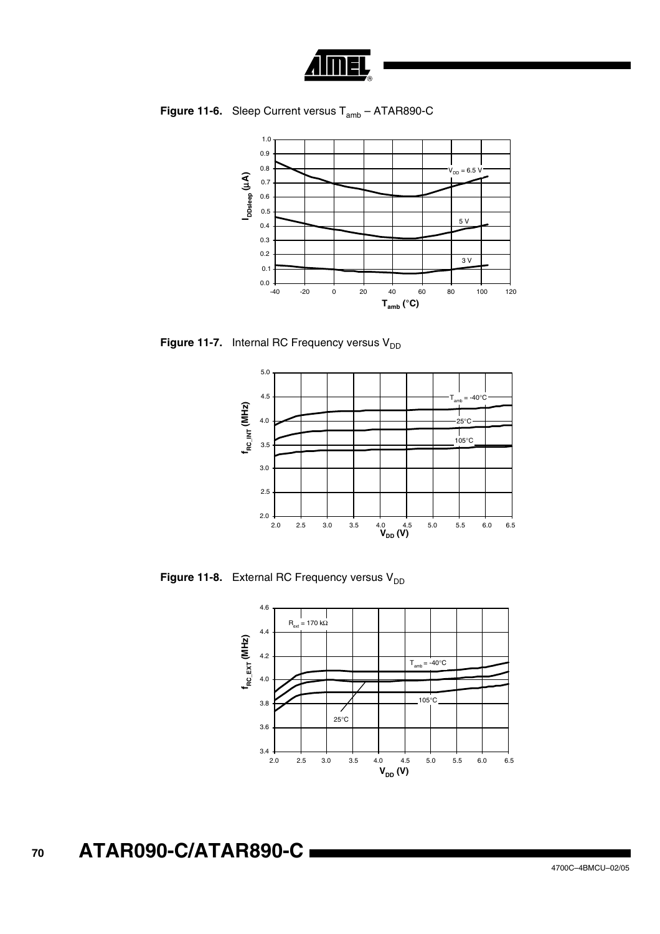

**Figure 11-6.** Sleep Current versus  $T_{amb} - ATAR890-C$ 



**Figure 11-7.** Internal RC Frequency versus  $V_{DD}$ 



**Figure 11-8.** External RC Frequency versus V<sub>DD</sub>

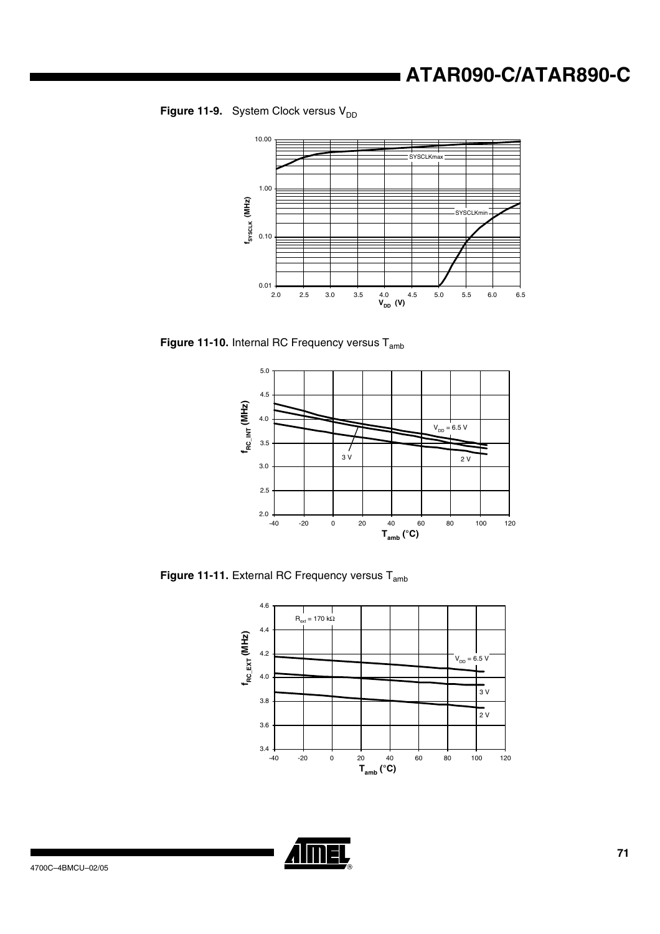



**Figure 11-10.** Internal RC Frequency versus T<sub>amb</sub>



Figure 11-11. External RC Frequency versus T<sub>amb</sub>



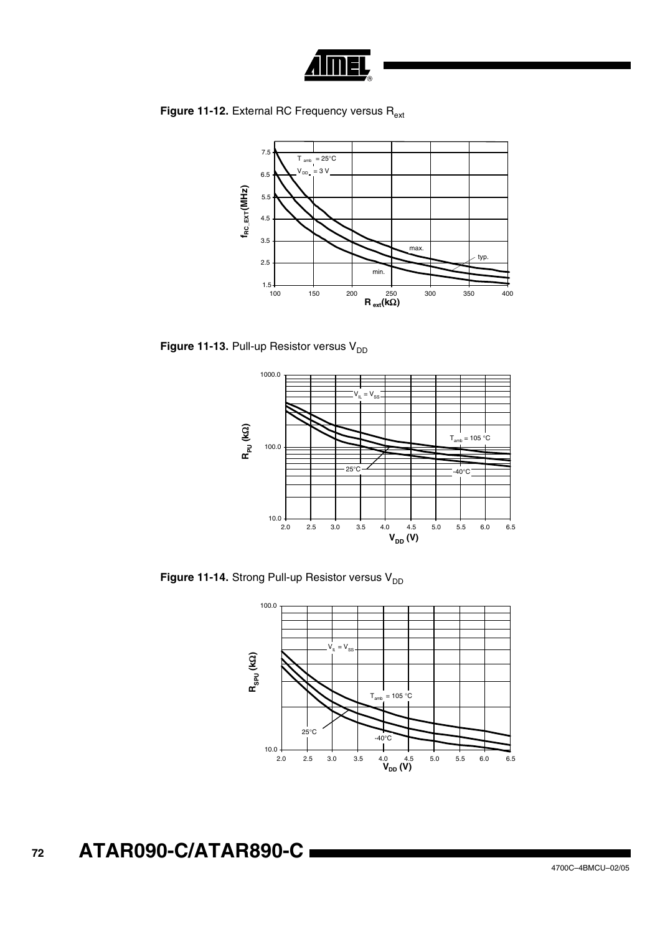

**Figure 11-12.** External RC Frequency versus R<sub>ext</sub>



**Figure 11-13.** Pull-up Resistor versus  $V_{DD}$ 



**Figure 11-14.** Strong Pull-up Resistor versus  $V_{DD}$ 

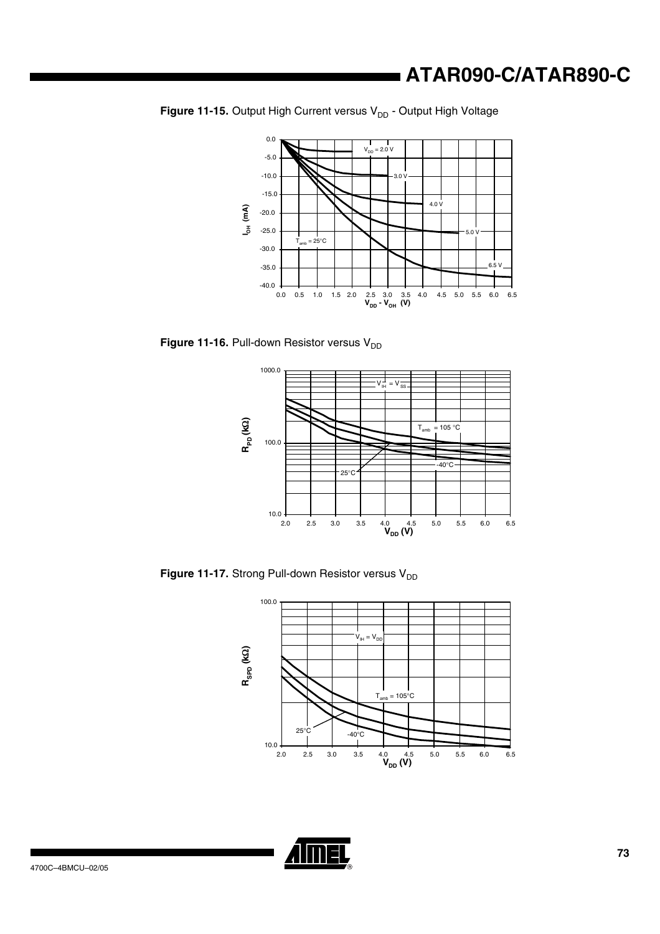## **ATAR090-C/ATAR890-C**



**Figure 11-15.** Output High Current versus V<sub>DD</sub> - Output High Voltage

**Figure 11-16.** Pull-down Resistor versus V<sub>DD</sub>



**Figure 11-17.** Strong Pull-down Resistor versus V<sub>DD</sub>



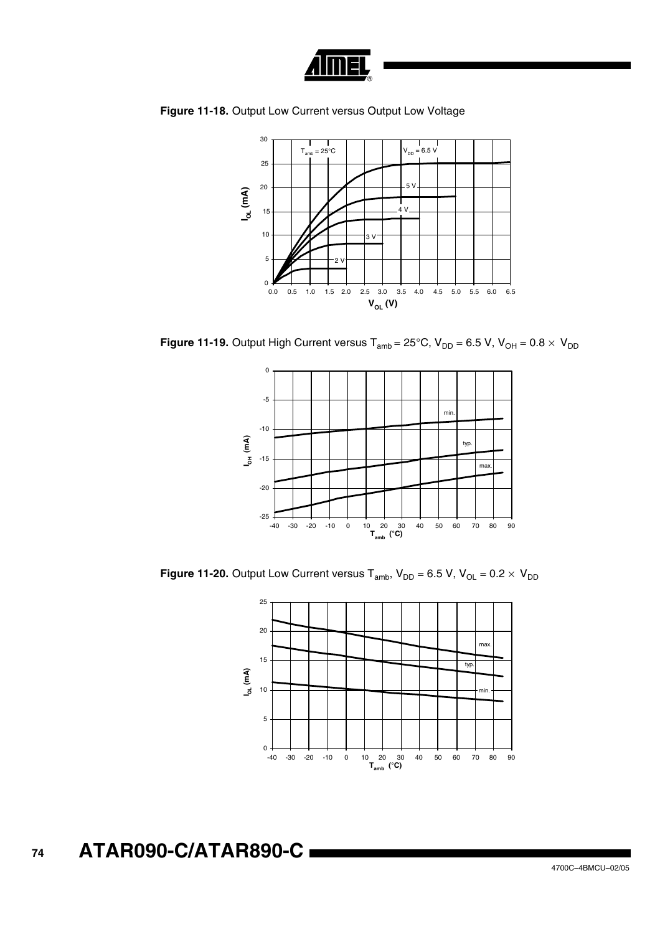

**Figure 11-18.** Output Low Current versus Output Low Voltage



**Figure 11-19.** Output High Current versus T<sub>amb</sub> = 25°C,  $V_{DD}$  = 6.5 V,  $V_{OH}$  = 0.8  $\times$   $V_{DD}$ 



**Figure 11-20.** Output Low Current versus T<sub>amb</sub>,  $V_{DD} = 6.5$  V,  $V_{OL} = 0.2 \times V_{DD}$ 

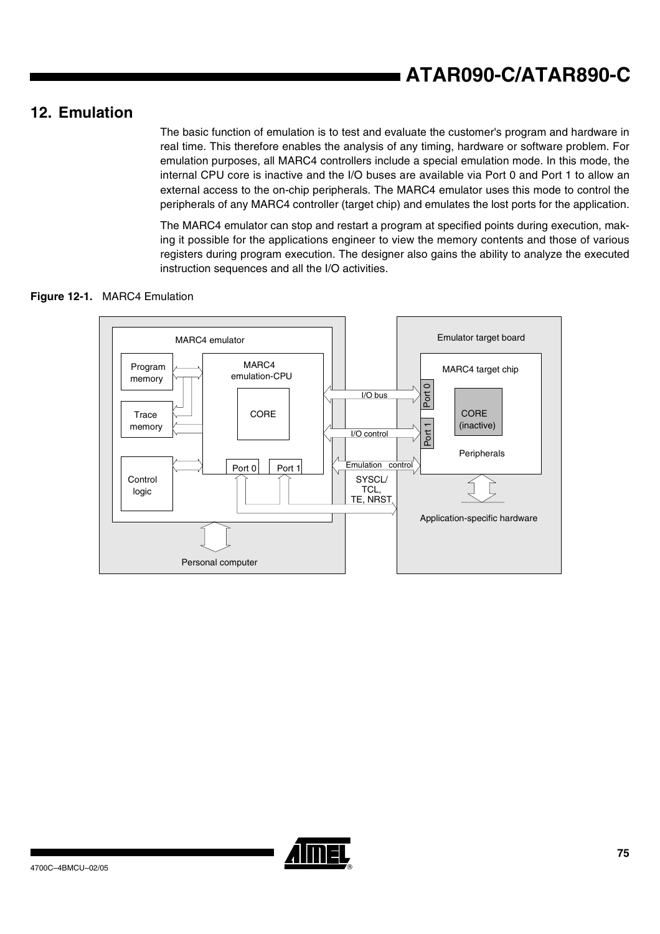## **12. Emulation**

The basic function of emulation is to test and evaluate the customer's program and hardware in real time. This therefore enables the analysis of any timing, hardware or software problem. For emulation purposes, all MARC4 controllers include a special emulation mode. In this mode, the internal CPU core is inactive and the I/O buses are available via Port 0 and Port 1 to allow an external access to the on-chip peripherals. The MARC4 emulator uses this mode to control the peripherals of any MARC4 controller (target chip) and emulates the lost ports for the application.

The MARC4 emulator can stop and restart a program at specified points during execution, making it possible for the applications engineer to view the memory contents and those of various registers during program execution. The designer also gains the ability to analyze the executed instruction sequences and all the I/O activities.

### **Figure 12-1.** MARC4 Emulation



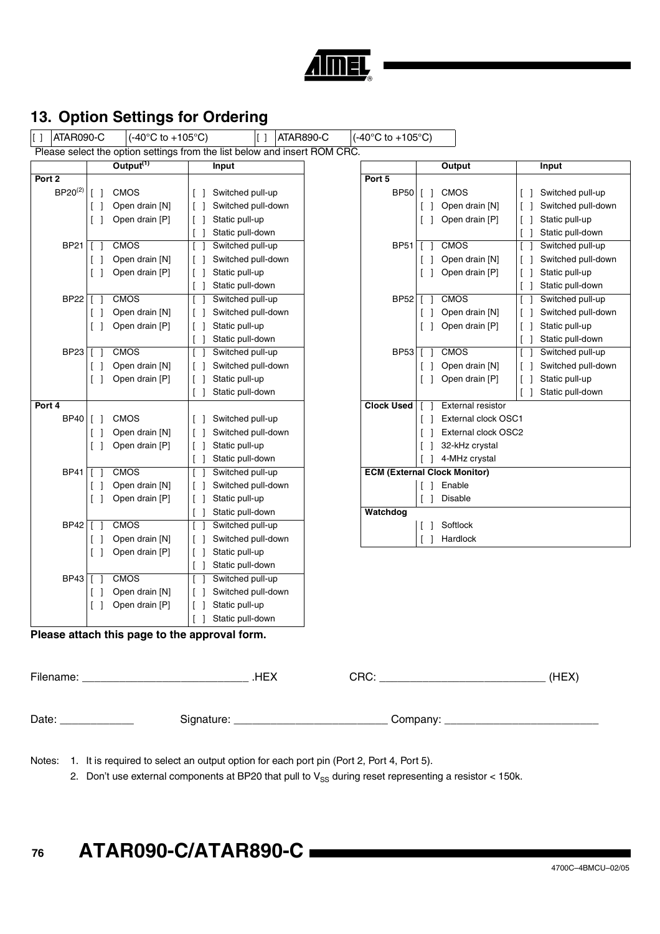

## **13. Option Settings for Ordering**

 $\begin{array}{|c|c|c|c|c|}\hline \rule{0pt}{1ex} \rule{0pt}{1ex} \end{array}$   $\begin{array}{|c|c|c|c|c|}\hline \rule{0pt}{1ex} \rule{0pt}{1ex} \end{array}$   $\begin{array}{|c|c|c|c|}\hline \rule{0pt}{1ex} \rule{0pt}{1ex} \end{array}$   $\begin{array}{|c|c|c|c|}\hline \rule{0pt}{1ex} \rule{0pt}{1ex} \end{array}$   $\begin{array}{|c|c|c|}\hline \rule{0pt}{1ex} \rule{0pt}{1ex} \end{array}$   $\begin{$ Please select the option settings from the list below and insert ROM CRC. **Output(1) Input Output Input Port 2 Port 5** BP20<sup>(2)</sup> [ ] CMOS [ ] Switched pull-up | BP50 [ ] CMOS | [ ] Switched pull-up [ ] Open drain [N] [ ] Switched pull-down [ ] Open drain [N] [ ] Switched pull-down [ ] Open drain [P]  $\begin{bmatrix} 1 \end{bmatrix}$  Static pull-up  $\begin{bmatrix} 1 \end{bmatrix}$   $\begin{bmatrix} 1 \end{bmatrix}$  Open drain  $\begin{bmatrix} P \end{bmatrix}$   $\begin{bmatrix} 1 \end{bmatrix}$  Static pull-up BP21 [ ] CMOS [ ] Switched pull-up BP51 [ ] CMOS [ ] Switched pull-up [ ] Open drain [N]  $\begin{bmatrix} 1 \end{bmatrix}$  Switched pull-down  $\begin{bmatrix} 1 \end{bmatrix}$  Switched pull-down  $\begin{bmatrix} 1 \end{bmatrix}$  Switched pull-down [ ] Open drain [P]  $\begin{bmatrix} 1 \end{bmatrix}$  Static pull-up  $\begin{bmatrix} 1 \end{bmatrix}$  open drain [P]  $\begin{bmatrix} 1 \end{bmatrix}$  Static pull-up BP22 [ ] CMOS [ ] Switched pull-up BP52 [ ] CMOS [ ] Switched pull-up [ ] Open drain [N] [ ] Switched pull-down [ ] Open drain [N] [ ] Switched pull-down [ ] Open drain [P]  $\begin{bmatrix} 1 \end{bmatrix}$  Static pull-up  $\begin{bmatrix} 1 \end{bmatrix}$   $\begin{bmatrix} 1 \end{bmatrix}$  Open drain  $\begin{bmatrix} P \end{bmatrix}$   $\begin{bmatrix} 1 \end{bmatrix}$  Static pull-up BP23 [ ] CMOS [ ] Switched pull-up BP53 [ ] CMOS [ ] Switched pull-up [ ] Open drain [N] [ ] Switched pull-down [ ] Open drain [N] [ ] Switched pull-down [ ] Open drain [P]  $\begin{bmatrix} 1 \end{bmatrix}$  Static pull-up  $\begin{bmatrix} 1 \end{bmatrix}$   $\begin{bmatrix} 1 \end{bmatrix}$  Open drain  $\begin{bmatrix} P \end{bmatrix}$   $\begin{bmatrix} 1 \end{bmatrix}$  Static pull-up **Port 4 Clock Used** [ ] External resistor BP40 [ ] CMOS [ ] Switched pull-up [ ] [ ] External clock OSC1 [ ] Open drain [N]  $\begin{vmatrix} 1 & 5 \end{vmatrix}$  Switched pull-down  $\begin{vmatrix} 1 & 1 \end{vmatrix}$  External clock OSC2 [ ] Open drain [P]  $\begin{bmatrix} 1 \end{bmatrix}$  Static pull-up [ ] 32-kHz crystal [ ] Static pull-down | | | | | | | | | | | 4-MHz crystal BP41 [ ] CMOS [ ] Switched pull-up **ECM (External Clock Monitor)** [ ] Open drain [N] | [ ] Switched pull-down | | | | | | Enable [ ] Open drain [P]  $\begin{bmatrix} 1 \end{bmatrix}$  Static pull-up [ ] Disable [ ] Static pull-down **Watchdog** BP42 [ ] CMOS [ ] Switched pull-up [ ] ] Softlock [ ] Open drain [N] [ ] Switched pull-down [ ] Hardlock [ ] Open drain [P] | [ ] Static pull-up [ ] Static pull-down BP43 [ ] CMOS [ ] Switched pull-up [ ] Open drain [N] | [ ] Switched pull-down  $[ ]$  Open drain  $[ P ]$   $[ ]$  Static pull-up [ ] Static pull-down

# [ ] Static pull-down [ ] Static pull-down [ ] Static pull-down [ ] Static pull-down [ ] Static pull-down [ ] Static pull-down [ ] Static pull-down [ ] Static pull-down [ ] Static pull-down [ ] ] Static pull-down

#### **Please attach this page to the approval form.**

| Filename: | .HEX         | CRC:     | (HEX) |
|-----------|--------------|----------|-------|
| Date:     | Signature: _ | Company: |       |

Notes: 1. It is required to select an output option for each port pin (Port 2, Port 4, Port 5).

2. Don't use external components at BP20 that pull to  $V_{SS}$  during reset representing a resistor < 150k.

#### **76 ATAR090-C/ATAR890-C**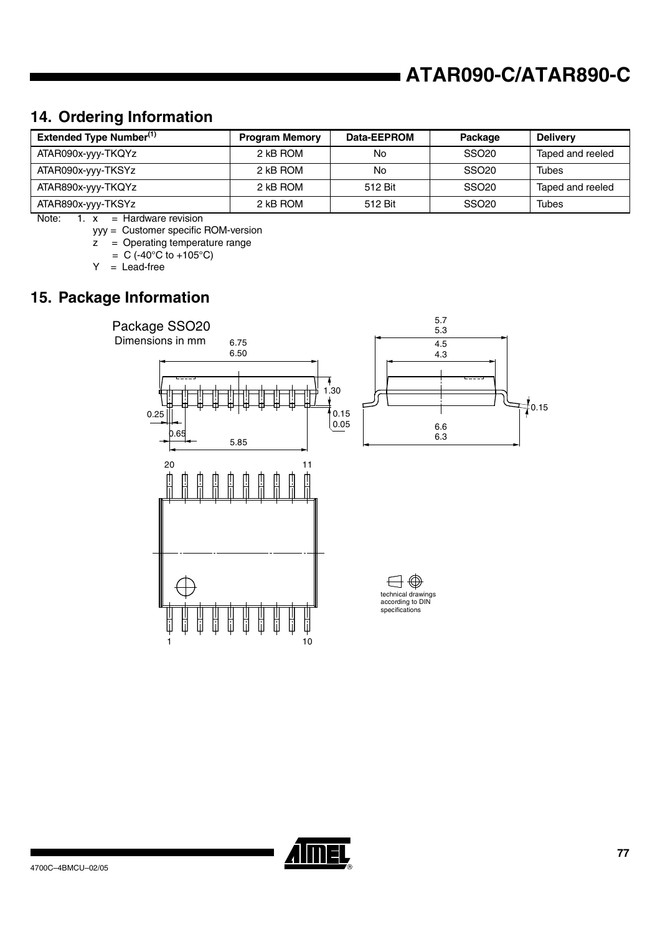## **ATAR090-C/ATAR890-C**

## **14. Ordering Information**

| <b>Extended Type Number</b> <sup>(1)</sup> | <b>Program Memory</b> | Data-EEPROM | Package           | <b>Delivery</b>  |
|--------------------------------------------|-----------------------|-------------|-------------------|------------------|
| ATAR090x-yyy-TKQYz                         | 2 kB ROM              | No          | SSO <sub>20</sub> | Taped and reeled |
| ATAR090x-yyy-TKSYz                         | 2 kB ROM              | No          | SSO <sub>20</sub> | Tubes            |
| ATAR890x-yyy-TKQYz                         | 2 kB ROM              | 512 Bit     | SSO <sub>20</sub> | Taped and reeled |
| ATAR890x-yyy-TKSYz                         | 2 kB ROM              | 512 Bit     | SSO <sub>20</sub> | Tubes            |

Note:  $1. x =$  Hardware revision

yyy = Customer specific ROM-version

 $\overline{z}$  = Operating temperature range

 $= C (-40^{\circ}C \text{ to } +105^{\circ}C)$ 

 $Y =$  Lead-free

## **15. Package Information**



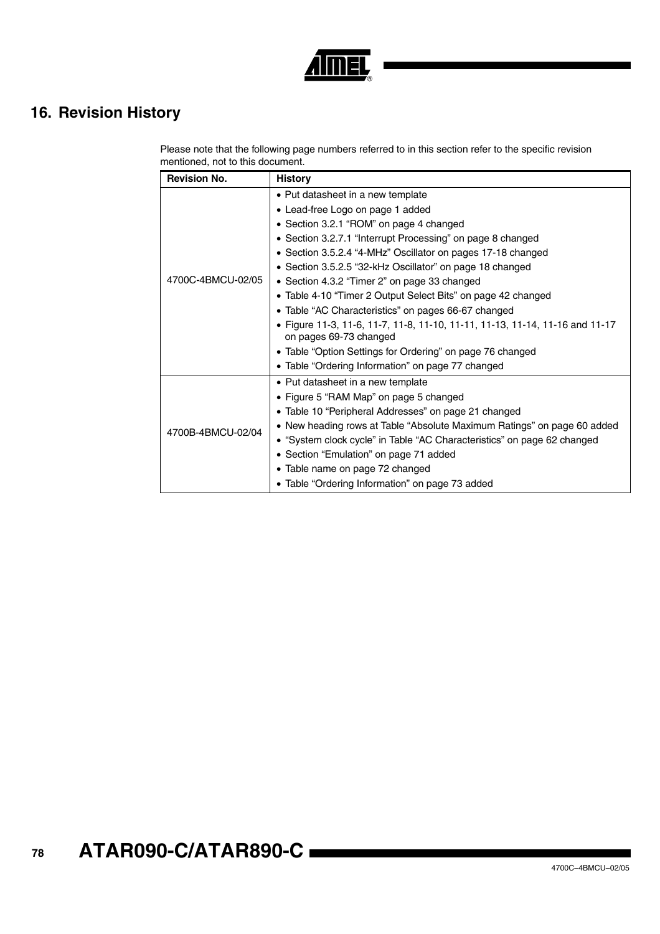

## **16. Revision History**

Please note that the following page numbers referred to in this section refer to the specific revision mentioned, not to this document.

| <b>Revision No.</b> | <b>History</b>                                                                                         |
|---------------------|--------------------------------------------------------------------------------------------------------|
| 4700C-4BMCU-02/05   | • Put datasheet in a new template                                                                      |
|                     | • Lead-free Logo on page 1 added                                                                       |
|                     | • Section 3.2.1 "ROM" on page 4 changed                                                                |
|                     | • Section 3.2.7.1 "Interrupt Processing" on page 8 changed                                             |
|                     | • Section 3.5.2.4 "4-MHz" Oscillator on pages 17-18 changed                                            |
|                     | • Section 3.5.2.5 "32-kHz Oscillator" on page 18 changed                                               |
|                     | • Section 4.3.2 "Timer 2" on page 33 changed                                                           |
|                     | • Table 4-10 "Timer 2 Output Select Bits" on page 42 changed                                           |
|                     | • Table "AC Characteristics" on pages 66-67 changed                                                    |
|                     | • Figure 11-3, 11-6, 11-7, 11-8, 11-10, 11-11, 11-13, 11-14, 11-16 and 11-17<br>on pages 69-73 changed |
|                     | • Table "Option Settings for Ordering" on page 76 changed                                              |
|                     | • Table "Ordering Information" on page 77 changed                                                      |
| 4700B-4BMCU-02/04   | • Put datasheet in a new template                                                                      |
|                     | • Figure 5 "RAM Map" on page 5 changed                                                                 |
|                     | • Table 10 "Peripheral Addresses" on page 21 changed                                                   |
|                     | • New heading rows at Table "Absolute Maximum Ratings" on page 60 added                                |
|                     | • "System clock cycle" in Table "AC Characteristics" on page 62 changed                                |
|                     | • Section "Emulation" on page 71 added                                                                 |
|                     | • Table name on page 72 changed                                                                        |
|                     | • Table "Ordering Information" on page 73 added                                                        |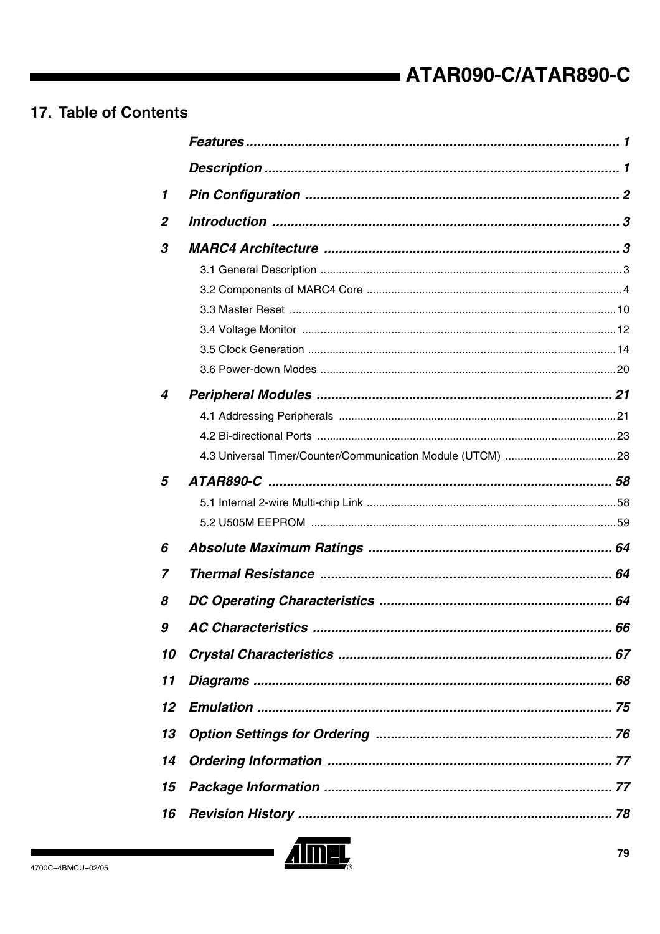## 17. Table of Contents

| $\mathbf{1}$     |  |
|------------------|--|
| $\boldsymbol{2}$ |  |
| 3                |  |
|                  |  |
|                  |  |
|                  |  |
|                  |  |
|                  |  |
|                  |  |
| 4                |  |
|                  |  |
|                  |  |
|                  |  |
| 5                |  |
|                  |  |
|                  |  |
| 6                |  |
| 7                |  |
|                  |  |
| 8                |  |
| $\pmb{g}$        |  |
| 10               |  |
| 11               |  |
| 12               |  |
| 13               |  |
| 14               |  |
| 15               |  |